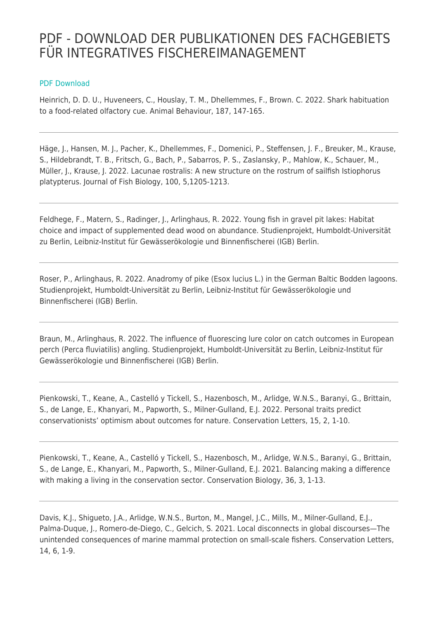## PDF - DOWNLOAD DER PUBLIKATIONEN DES FACHGEBIETS FÜR INTEGRATIVES FISCHEREIMANAGEMENT

## [PDF Download](https://www.ifishman.de/publikationen/pdf-publikationsverzeichnis/?tx_web2pdf_pi1%5Bargument%5D=printPage&tx_web2pdf_pi1%5Baction%5D=&tx_web2pdf_pi1%5Bcontroller%5D=Pdf)

Heinrich, D. D. U., Huveneers, C., Houslay, T. M., Dhellemmes, F., Brown. C. 2022. Shark habituation to a food-related olfactory cue. Animal Behaviour, 187, 147-165.

Häge, J., Hansen, M. J., Pacher, K., Dhellemmes, F., Domenici, P., Steffensen, J. F., Breuker, M., Krause, S., Hildebrandt, T. B., Fritsch, G., Bach, P., Sabarros, P. S., Zaslansky, P., Mahlow, K., Schauer, M., Müller, J., Krause, J. 2022. Lacunae rostralis: A new structure on the rostrum of sailfish Istiophorus platypterus. Journal of Fish Biology, 100, 5,1205-1213.

Feldhege, F., Matern, S., Radinger, J., Arlinghaus, R. 2022. Young fish in gravel pit lakes: Habitat choice and impact of supplemented dead wood on abundance. Studienprojekt, Humboldt-Universität zu Berlin, Leibniz-Institut für Gewässerökologie und Binnenfischerei (IGB) Berlin.

Roser, P., Arlinghaus, R. 2022. Anadromy of pike (Esox lucius L.) in the German Baltic Bodden lagoons. Studienprojekt, Humboldt-Universität zu Berlin, Leibniz-Institut für Gewässerökologie und Binnenfischerei (IGB) Berlin.

Braun, M., Arlinghaus, R. 2022. The influence of fluorescing lure color on catch outcomes in European perch (Perca fluviatilis) angling. Studienprojekt, Humboldt-Universität zu Berlin, Leibniz-Institut für Gewässerökologie und Binnenfischerei (IGB) Berlin.

Pienkowski, T., Keane, A., Castelló y Tickell, S., Hazenbosch, M., Arlidge, W.N.S., Baranyi, G., Brittain, S., de Lange, E., Khanyari, M., Papworth, S., Milner-Gulland, E.J. 2022. Personal traits predict conservationists' optimism about outcomes for nature. Conservation Letters, 15, 2, 1-10.

Pienkowski, T., Keane, A., Castelló y Tickell, S., Hazenbosch, M., Arlidge, W.N.S., Baranyi, G., Brittain, S., de Lange, E., Khanyari, M., Papworth, S., Milner-Gulland, E.J. 2021. Balancing making a difference with making a living in the conservation sector. Conservation Biology, 36, 3, 1-13.

Davis, K.J., Shigueto, J.A., Arlidge, W.N.S., Burton, M., Mangel, J.C., Mills, M., Milner-Gulland, E.J., Palma-Duque, J., Romero-de-Diego, C., Gelcich, S. 2021. Local disconnects in global discourses—The unintended consequences of marine mammal protection on small-scale fishers. Conservation Letters, 14, 6, 1-9.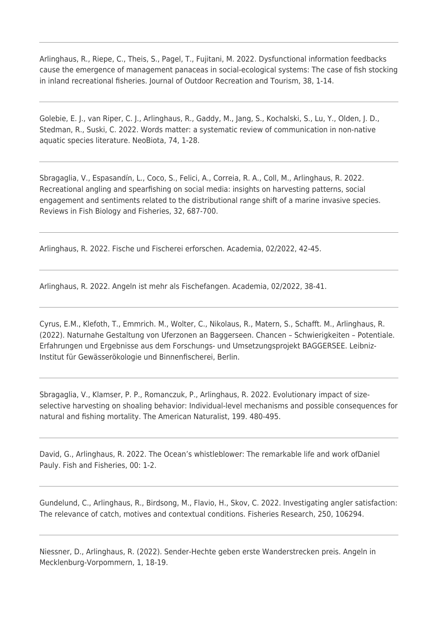Arlinghaus, R., Riepe, C., Theis, S., Pagel, T., Fujitani, M. 2022. Dysfunctional information feedbacks cause the emergence of management panaceas in social-ecological systems: The case of fish stocking in inland recreational fisheries. Journal of Outdoor Recreation and Tourism, 38, 1-14.

Golebie, E. J., van Riper, C. J., Arlinghaus, R., Gaddy, M., Jang, S., Kochalski, S., Lu, Y., Olden, J. D., Stedman, R., Suski, C. 2022. Words matter: a systematic review of communication in non-native aquatic species literature. NeoBiota, 74, 1-28.

Sbragaglia, V., Espasandín, L., Coco, S., Felici, A., Correia, R. A., Coll, M., Arlinghaus, R. 2022. Recreational angling and spearfishing on social media: insights on harvesting patterns, social engagement and sentiments related to the distributional range shift of a marine invasive species. Reviews in Fish Biology and Fisheries, 32, 687-700.

Arlinghaus, R. 2022. Fische und Fischerei erforschen. Academia, 02/2022, 42-45.

Arlinghaus, R. 2022. Angeln ist mehr als Fischefangen. Academia, 02/2022, 38-41.

Cyrus, E.M., Klefoth, T., Emmrich. M., Wolter, C., Nikolaus, R., Matern, S., Schafft. M., Arlinghaus, R. (2022). Naturnahe Gestaltung von Uferzonen an Baggerseen. Chancen – Schwierigkeiten – Potentiale. Erfahrungen und Ergebnisse aus dem Forschungs- und Umsetzungsprojekt BAGGERSEE. Leibniz-Institut für Gewässerökologie und Binnenfischerei, Berlin.

Sbragaglia, V., Klamser, P. P., Romanczuk, P., Arlinghaus, R. 2022. Evolutionary impact of sizeselective harvesting on shoaling behavior: Individual-level mechanisms and possible consequences for natural and fishing mortality. The American Naturalist, 199. 480-495.

David, G., Arlinghaus, R. 2022. The Ocean's whistleblower: The remarkable life and work ofDaniel Pauly. Fish and Fisheries, 00: 1-2.

Gundelund, C., Arlinghaus, R., Birdsong, M., Flavio, H., Skov, C. 2022. Investigating angler satisfaction: The relevance of catch, motives and contextual conditions. Fisheries Research, 250, 106294.

Niessner, D., Arlinghaus, R. (2022). Sender-Hechte geben erste Wanderstrecken preis. Angeln in Mecklenburg-Vorpommern, 1, 18-19.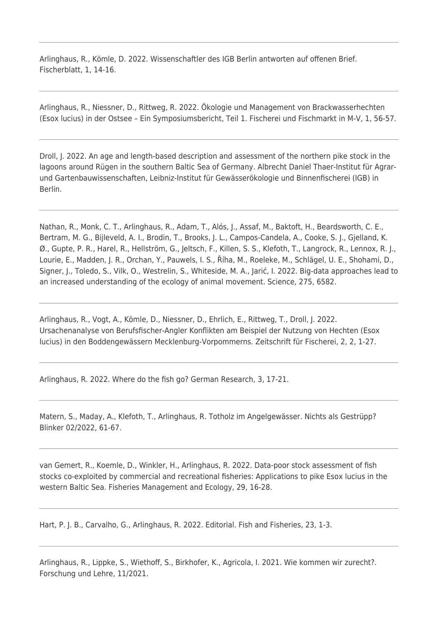Arlinghaus, R., Kömle, D. 2022. Wissenschaftler des IGB Berlin antworten auf offenen Brief. Fischerblatt, 1, 14-16.

Arlinghaus, R., Niessner, D., Rittweg, R. 2022. Ökologie und Management von Brackwasserhechten (Esox lucius) in der Ostsee – Ein Symposiumsbericht, Teil 1. Fischerei und Fischmarkt in M-V, 1, 56-57.

Droll, J. 2022. An age and length-based description and assessment of the northern pike stock in the lagoons around Rügen in the southern Baltic Sea of Germany. Albrecht Daniel Thaer-Institut für Agrarund Gartenbauwissenschaften, Leibniz-Institut für Gewässerökologie und Binnenfischerei (IGB) in Berlin.

Nathan, R., Monk, C. T., Arlinghaus, R., Adam, T., Alós, J., Assaf, M., Baktoft, H., Beardsworth, C. E., Bertram, M. G., Bijleveld, A. I., Brodin, T., Brooks, J. L., Campos-Candela, A., Cooke, S. J., Gjelland, K. Ø., Gupte, P. R., Harel, R., Hellström, G., Jeltsch, F., Killen, S. S., Klefoth, T., Langrock, R., Lennox, R. J., Lourie, E., Madden, J. R., Orchan, Y., Pauwels, I. S., Říha, M., Roeleke, M., Schlägel, U. E., Shohami, D., Signer, J., Toledo, S., Vilk, O., Westrelin, S., Whiteside, M. A., Jarić, I. 2022. Big-data approaches lead to an increased understanding of the ecology of animal movement. Science, 275, 6582.

Arlinghaus, R., Vogt, A., Kömle, D., Niessner, D., Ehrlich, E., Rittweg, T., Droll, J. 2022. Ursachenanalyse von Berufsfischer-Angler Konflikten am Beispiel der Nutzung von Hechten (Esox lucius) in den Boddengewässern Mecklenburg-Vorpommerns. Zeitschrift für Fischerei, 2, 2, 1-27.

Arlinghaus, R. 2022. Where do the fish go? German Research, 3, 17-21.

Matern, S., Maday, A., Klefoth, T., Arlinghaus, R. Totholz im Angelgewässer. Nichts als Gestrüpp? Blinker 02/2022, 61-67.

van Gemert, R., Koemle, D., Winkler, H., Arlinghaus, R. 2022. Data-poor stock assessment of fish stocks co-exploited by commercial and recreational fisheries: Applications to pike Esox lucius in the western Baltic Sea. Fisheries Management and Ecology, 29, 16-28.

Hart, P. J. B., Carvalho, G., Arlinghaus, R. 2022. Editorial. Fish and Fisheries, 23, 1-3.

Arlinghaus, R., Lippke, S., Wiethoff, S., Birkhofer, K., Agricola, I. 2021. Wie kommen wir zurecht?. Forschung und Lehre, 11/2021.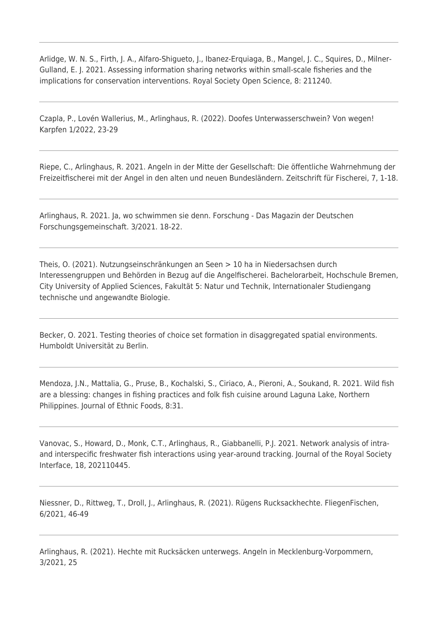Arlidge, W. N. S., Firth, J. A., Alfaro-Shigueto, J., Ibanez-Erquiaga, B., Mangel, J. C., Squires, D., Milner-Gulland, E. J. 2021. Assessing information sharing networks within small-scale fisheries and the implications for conservation interventions. Royal Society Open Science, 8: 211240.

Czapla, P., Lovén Wallerius, M., Arlinghaus, R. (2022). Doofes Unterwasserschwein? Von wegen! Karpfen 1/2022, 23-29

Riepe, C., Arlinghaus, R. 2021. Angeln in der Mitte der Gesellschaft: Die öffentliche Wahrnehmung der Freizeitfischerei mit der Angel in den alten und neuen Bundesländern. Zeitschrift für Fischerei, 7, 1-18.

Arlinghaus, R. 2021. Ja, wo schwimmen sie denn. Forschung - Das Magazin der Deutschen Forschungsgemeinschaft. 3/2021. 18-22.

Theis, O. (2021). Nutzungseinschränkungen an Seen > 10 ha in Niedersachsen durch Interessengruppen und Behörden in Bezug auf die Angelfischerei. Bachelorarbeit, Hochschule Bremen, City University of Applied Sciences, Fakultät 5: Natur und Technik, Internationaler Studiengang technische und angewandte Biologie.

Becker, O. 2021. Testing theories of choice set formation in disaggregated spatial environments. Humboldt Universität zu Berlin.

Mendoza, J.N., Mattalia, G., Pruse, B., Kochalski, S., Ciriaco, A., Pieroni, A., Soukand, R. 2021. Wild fish are a blessing: changes in fishing practices and folk fish cuisine around Laguna Lake, Northern Philippines. Journal of Ethnic Foods, 8:31.

Vanovac, S., Howard, D., Monk, C.T., Arlinghaus, R., Giabbanelli, P.J. 2021. Network analysis of intraand interspecific freshwater fish interactions using year-around tracking. Journal of the Royal Society Interface, 18, 202110445.

Niessner, D., Rittweg, T., Droll, J., Arlinghaus, R. (2021). Rügens Rucksackhechte. FliegenFischen, 6/2021, 46-49

Arlinghaus, R. (2021). Hechte mit Rucksäcken unterwegs. Angeln in Mecklenburg-Vorpommern, 3/2021, 25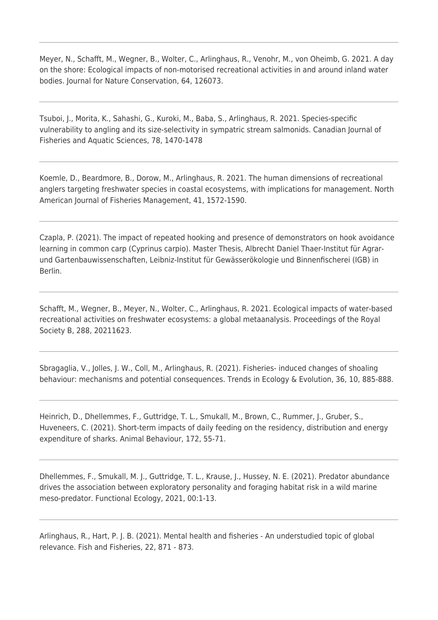Meyer, N., Schafft, M., Wegner, B., Wolter, C., Arlinghaus, R., Venohr, M., von Oheimb, G. 2021. A day on the shore: Ecological impacts of non-motorised recreational activities in and around inland water bodies. Journal for Nature Conservation, 64, 126073.

Tsuboi, J., Morita, K., Sahashi, G., Kuroki, M., Baba, S., Arlinghaus, R. 2021. Species-specific vulnerability to angling and its size-selectivity in sympatric stream salmonids. Canadian Journal of Fisheries and Aquatic Sciences, 78, 1470-1478

Koemle, D., Beardmore, B., Dorow, M., Arlinghaus, R. 2021. The human dimensions of recreational anglers targeting freshwater species in coastal ecosystems, with implications for management. North American Journal of Fisheries Management, 41, 1572-1590.

Czapla, P. (2021). The impact of repeated hooking and presence of demonstrators on hook avoidance learning in common carp (Cyprinus carpio). Master Thesis, Albrecht Daniel Thaer-Institut für Agrarund Gartenbauwissenschaften, Leibniz-Institut für Gewässerökologie und Binnenfischerei (IGB) in Berlin.

Schafft, M., Wegner, B., Meyer, N., Wolter, C., Arlinghaus, R. 2021. Ecological impacts of water-based recreational activities on freshwater ecosystems: a global metaanalysis. Proceedings of the Royal Society B, 288, 20211623.

Sbragaglia, V., Jolles, J. W., Coll, M., Arlinghaus, R. (2021). Fisheries- induced changes of shoaling behaviour: mechanisms and potential consequences. Trends in Ecology & Evolution, 36, 10, 885-888.

Heinrich, D., Dhellemmes, F., Guttridge, T. L., Smukall, M., Brown, C., Rummer, J., Gruber, S., Huveneers, C. (2021). Short-term impacts of daily feeding on the residency, distribution and energy expenditure of sharks. Animal Behaviour, 172, 55-71.

Dhellemmes, F., Smukall, M. J., Guttridge, T. L., Krause, J., Hussey, N. E. (2021). Predator abundance drives the association between exploratory personality and foraging habitat risk in a wild marine meso-predator. Functional Ecology, 2021, 00:1-13.

Arlinghaus, R., Hart, P. J. B. (2021). Mental health and fisheries - An understudied topic of global relevance. Fish and Fisheries, 22, 871 - 873.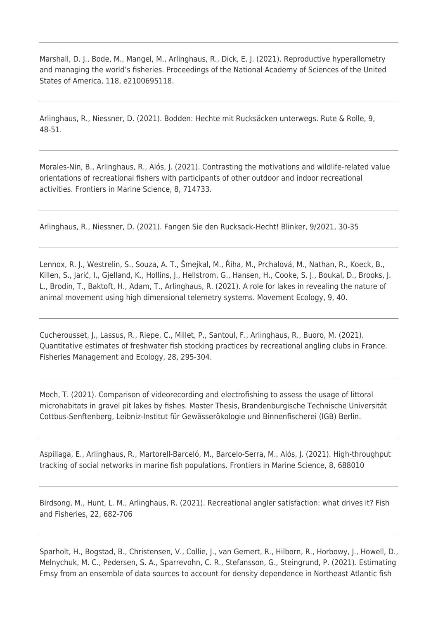Marshall, D. J., Bode, M., Mangel, M., Arlinghaus, R., Dick, E. J. (2021). Reproductive hyperallometry and managing the world's fisheries. Proceedings of the National Academy of Sciences of the United States of America, 118, e2100695118.

Arlinghaus, R., Niessner, D. (2021). Bodden: Hechte mit Rucksäcken unterwegs. Rute & Rolle, 9, 48-51.

Morales-Nin, B., Arlinghaus, R., Alós, J. (2021). Contrasting the motivations and wildlife-related value orientations of recreational fishers with participants of other outdoor and indoor recreational activities. Frontiers in Marine Science, 8, 714733.

Arlinghaus, R., Niessner, D. (2021). Fangen Sie den Rucksack-Hecht! Blinker, 9/2021, 30-35

Lennox, R. J., Westrelin, S., Souza, A. T., Šmejkal, M., Říha, M., Prchalová, M., Nathan, R., Koeck, B., Killen, S., Jarić, I., Gjelland, K., Hollins, J., Hellstrom, G., Hansen, H., Cooke, S. J., Boukal, D., Brooks, J. L., Brodin, T., Baktoft, H., Adam, T., Arlinghaus, R. (2021). A role for lakes in revealing the nature of animal movement using high dimensional telemetry systems. Movement Ecology, 9, 40.

Cucherousset, J., Lassus, R., Riepe, C., Millet, P., Santoul, F., Arlinghaus, R., Buoro, M. (2021). Quantitative estimates of freshwater fish stocking practices by recreational angling clubs in France. Fisheries Management and Ecology, 28, 295-304.

Moch, T. (2021). Comparison of videorecording and electrofishing to assess the usage of littoral microhabitats in gravel pit lakes by fishes. Master Thesis, Brandenburgische Technische Universität Cottbus-Senftenberg, Leibniz-Institut für Gewässerökologie und Binnenfischerei (IGB) Berlin.

Aspillaga, E., Arlinghaus, R., Martorell-Barceló, M., Barcelo-Serra, M., Alós, J. (2021). High-throughput tracking of social networks in marine fish populations. Frontiers in Marine Science, 8, 688010

Birdsong, M., Hunt, L. M., Arlinghaus, R. (2021). Recreational angler satisfaction: what drives it? Fish and Fisheries, 22, 682-706

Sparholt, H., Bogstad, B., Christensen, V., Collie, J., van Gemert, R., Hilborn, R., Horbowy, J., Howell, D., Melnychuk, M. C., Pedersen, S. A., Sparrevohn, C. R., Stefansson, G., Steingrund, P. (2021). Estimating Fmsy from an ensemble of data sources to account for density dependence in Northeast Atlantic fish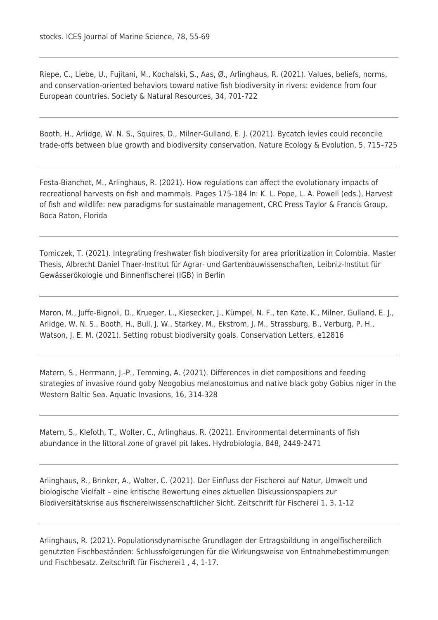Riepe, C., Liebe, U., Fujitani, M., Kochalski, S., Aas, Ø., Arlinghaus, R. (2021). Values, beliefs, norms, and conservation-oriented behaviors toward native fish biodiversity in rivers: evidence from four European countries. Society & Natural Resources, 34, 701-722

Booth, H., Arlidge, W. N. S., Squires, D., Milner-Gulland, E. J. (2021). Bycatch levies could reconcile trade-offs between blue growth and biodiversity conservation. Nature Ecology & Evolution, 5, 715–725

Festa-Bianchet, M., Arlinghaus, R. (2021). How regulations can affect the evolutionary impacts of recreational harvests on fish and mammals. Pages 175-184 In: K. L. Pope, L. A. Powell (eds.), Harvest of fish and wildlife: new paradigms for sustainable management, CRC Press Taylor & Francis Group, Boca Raton, Florida

Tomiczek, T. (2021). Integrating freshwater fish biodiversity for area prioritization in Colombia. Master Thesis, Albrecht Daniel Thaer-Institut für Agrar- und Gartenbauwissenschaften, Leibniz-Institut für Gewässerökologie und Binnenfischerei (IGB) in Berlin

Maron, M., Juffe-Bignoli, D., Krueger, L., Kiesecker, J., Kümpel, N. F., ten Kate, K., Milner, Gulland, E. J., Arlidge, W. N. S., Booth, H., Bull, J. W., Starkey, M., Ekstrom, J. M., Strassburg, B., Verburg, P. H., Watson, J. E. M. (2021). Setting robust biodiversity goals. Conservation Letters, e12816

Matern, S., Herrmann, J.-P., Temming, A. (2021). Differences in diet compositions and feeding strategies of invasive round goby Neogobius melanostomus and native black goby Gobius niger in the Western Baltic Sea. Aquatic Invasions, 16, 314-328

Matern, S., Klefoth, T., Wolter, C., Arlinghaus, R. (2021). Environmental determinants of fish abundance in the littoral zone of gravel pit lakes. Hydrobiologia, 848, 2449-2471

Arlinghaus, R., Brinker, A., Wolter, C. (2021). Der Einfluss der Fischerei auf Natur, Umwelt und biologische Vielfalt – eine kritische Bewertung eines aktuellen Diskussionspapiers zur Biodiversitätskrise aus fischereiwissenschaftlicher Sicht. Zeitschrift für Fischerei 1, 3, 1-12

Arlinghaus, R. (2021). Populationsdynamische Grundlagen der Ertragsbildung in angelfischereilich genutzten Fischbeständen: Schlussfolgerungen für die Wirkungsweise von Entnahmebestimmungen und Fischbesatz. Zeitschrift für Fischerei1 , 4, 1-17.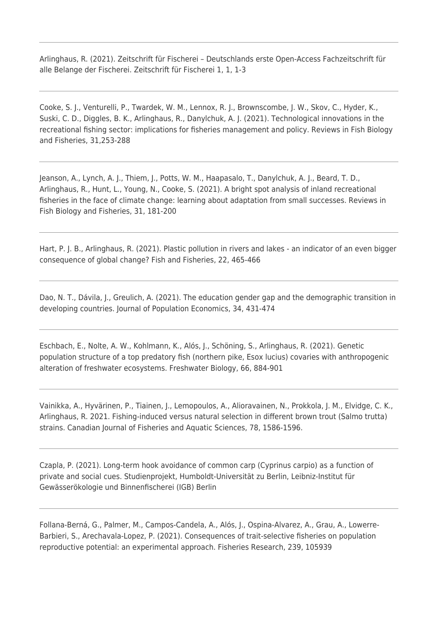Arlinghaus, R. (2021). Zeitschrift für Fischerei – Deutschlands erste Open-Access Fachzeitschrift für alle Belange der Fischerei. Zeitschrift für Fischerei 1, 1, 1-3

Cooke, S. J., Venturelli, P., Twardek, W. M., Lennox, R. J., Brownscombe, J. W., Skov, C., Hyder, K., Suski, C. D., Diggles, B. K., Arlinghaus, R., Danylchuk, A. J. (2021). Technological innovations in the recreational fishing sector: implications for fisheries management and policy. Reviews in Fish Biology and Fisheries, 31,253-288

Jeanson, A., Lynch, A. J., Thiem, J., Potts, W. M., Haapasalo, T., Danylchuk, A. J., Beard, T. D., Arlinghaus, R., Hunt, L., Young, N., Cooke, S. (2021). A bright spot analysis of inland recreational fisheries in the face of climate change: learning about adaptation from small successes. Reviews in Fish Biology and Fisheries, 31, 181-200

Hart, P. J. B., Arlinghaus, R. (2021). Plastic pollution in rivers and lakes - an indicator of an even bigger consequence of global change? Fish and Fisheries, 22, 465-466

Dao, N. T., Dávila, J., Greulich, A. (2021). The education gender gap and the demographic transition in developing countries. Journal of Population Economics, 34, 431-474

Eschbach, E., Nolte, A. W., Kohlmann, K., Alós, J., Schöning, S., Arlinghaus, R. (2021). Genetic population structure of a top predatory fish (northern pike, Esox lucius) covaries with anthropogenic alteration of freshwater ecosystems. Freshwater Biology, 66, 884-901

Vainikka, A., Hyvärinen, P., Tiainen, J., Lemopoulos, A., Alioravainen, N., Prokkola, J. M., Elvidge, C. K., Arlinghaus, R. 2021. Fishing-induced versus natural selection in different brown trout (Salmo trutta) strains. Canadian Journal of Fisheries and Aquatic Sciences, 78, 1586-1596.

Czapla, P. (2021). Long-term hook avoidance of common carp (Cyprinus carpio) as a function of private and social cues. Studienprojekt, Humboldt-Universität zu Berlin, Leibniz-Institut für Gewässerökologie und Binnenfischerei (IGB) Berlin

Follana-Berná, G., Palmer, M., Campos-Candela, A., Alós, J., Ospina-Alvarez, A., Grau, A., Lowerre-Barbieri, S., Arechavala-Lopez, P. (2021). Consequences of trait-selective fisheries on population reproductive potential: an experimental approach. Fisheries Research, 239, 105939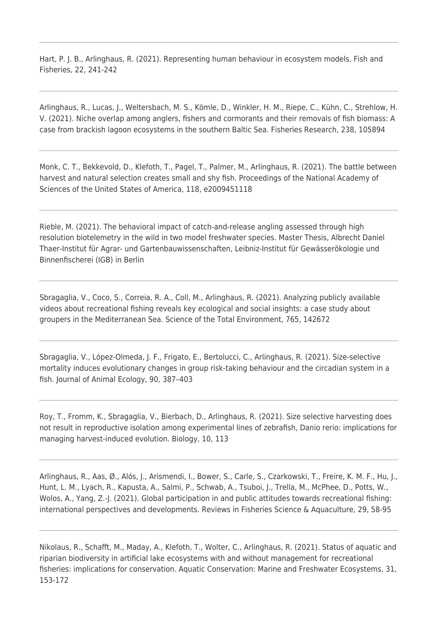Hart, P. J. B., Arlinghaus, R. (2021). Representing human behaviour in ecosystem models. Fish and Fisheries, 22, 241-242

Arlinghaus, R., Lucas, J., Weltersbach, M. S., Kömle, D., Winkler, H. M., Riepe, C., Kühn, C., Strehlow, H. V. (2021). Niche overlap among anglers, fishers and cormorants and their removals of fish biomass: A case from brackish lagoon ecosystems in the southern Baltic Sea. Fisheries Research, 238, 105894

Monk, C. T., Bekkevold, D., Klefoth, T., Pagel, T., Palmer, M., Arlinghaus, R. (2021). The battle between harvest and natural selection creates small and shy fish. Proceedings of the National Academy of Sciences of the United States of America, 118, e2009451118

Rieble, M. (2021). The behavioral impact of catch-and-release angling assessed through high resolution biotelemetry in the wild in two model freshwater species. Master Thesis, Albrecht Daniel Thaer-Institut für Agrar- und Gartenbauwissenschaften, Leibniz-Institut für Gewässerökologie und Binnenfischerei (IGB) in Berlin

Sbragaglia, V., Coco, S., Correia, R. A., Coll, M., Arlinghaus, R. (2021). Analyzing publicly available videos about recreational fishing reveals key ecological and social insights: a case study about groupers in the Mediterranean Sea. Science of the Total Environment, 765, 142672

Sbragaglia, V., López-Olmeda, J. F., Frigato, E., Bertolucci, C., Arlinghaus, R. (2021). Size-selective mortality induces evolutionary changes in group risk-taking behaviour and the circadian system in a fish. Journal of Animal Ecology, 90, 387–403

Roy, T., Fromm, K., Sbragaglia, V., Bierbach, D., Arlinghaus, R. (2021). Size selective harvesting does not result in reproductive isolation among experimental lines of zebrafish, Danio rerio: implications for managing harvest-induced evolution. Biology, 10, 113

Arlinghaus, R., Aas, Ø., Alós, J., Arismendi, I., Bower, S., Carle, S., Czarkowski, T., Freire, K. M. F., Hu, J., Hunt, L. M., Lyach, R., Kapusta, A., Salmi, P., Schwab, A., Tsuboi, J., Trella, M., McPhee, D., Potts, W., Wolos, A., Yang, Z.-J. (2021). Global participation in and public attitudes towards recreational fishing: international perspectives and developments. Reviews in Fisheries Science & Aquaculture, 29, 58-95

Nikolaus, R., Schafft, M., Maday, A., Klefoth, T., Wolter, C., Arlinghaus, R. (2021). Status of aquatic and riparian biodiversity in artificial lake ecosystems with and without management for recreational fisheries: implications for conservation. Aquatic Conservation: Marine and Freshwater Ecosystems, 31, 153-172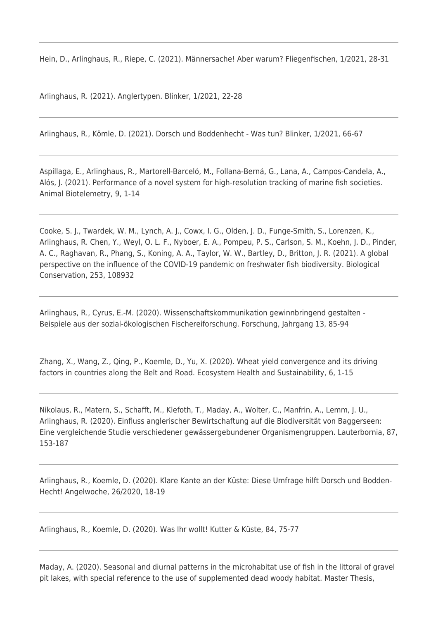Hein, D., Arlinghaus, R., Riepe, C. (2021). Männersache! Aber warum? Fliegenfischen, 1/2021, 28-31

Arlinghaus, R. (2021). Anglertypen. Blinker, 1/2021, 22-28

Arlinghaus, R., Kömle, D. (2021). Dorsch und Boddenhecht - Was tun? Blinker, 1/2021, 66-67

Aspillaga, E., Arlinghaus, R., Martorell‑Barceló, M., Follana‑Berná, G., Lana, A., Campos‑Candela, A., Alós, J. (2021). Performance of a novel system for high-resolution tracking of marine fish societies. Animal Biotelemetry, 9, 1-14

Cooke, S. J., Twardek, W. M., Lynch, A. J., Cowx, I. G., Olden, J. D., Funge-Smith, S., Lorenzen, K., Arlinghaus, R. Chen, Y., Weyl, O. L. F., Nyboer, E. A., Pompeu, P. S., Carlson, S. M., Koehn, J. D., Pinder, A. C., Raghavan, R., Phang, S., Koning, A. A., Taylor, W. W., Bartley, D., Britton, J. R. (2021). A global perspective on the influence of the COVID-19 pandemic on freshwater fish biodiversity. Biological Conservation, 253, 108932

Arlinghaus, R., Cyrus, E.-M. (2020). Wissenschaftskommunikation gewinnbringend gestalten - Beispiele aus der sozial-ökologischen Fischereiforschung. Forschung, Jahrgang 13, 85-94

Zhang, X., Wang, Z., Qing, P., Koemle, D., Yu, X. (2020). Wheat yield convergence and its driving factors in countries along the Belt and Road. Ecosystem Health and Sustainability, 6, 1-15

Nikolaus, R., Matern, S., Schafft, M., Klefoth, T., Maday, A., Wolter, C., Manfrin, A., Lemm, J. U., Arlinghaus, R. (2020). Einfluss anglerischer Bewirtschaftung auf die Biodiversität von Baggerseen: Eine vergleichende Studie verschiedener gewässergebundener Organismengruppen. Lauterbornia, 87, 153-187

Arlinghaus, R., Koemle, D. (2020). Klare Kante an der Küste: Diese Umfrage hilft Dorsch und Bodden-Hecht! Angelwoche, 26/2020, 18-19

Arlinghaus, R., Koemle, D. (2020). Was Ihr wollt! Kutter & Küste, 84, 75-77

Maday, A. (2020). Seasonal and diurnal patterns in the microhabitat use of fish in the littoral of gravel pit lakes, with special reference to the use of supplemented dead woody habitat. Master Thesis,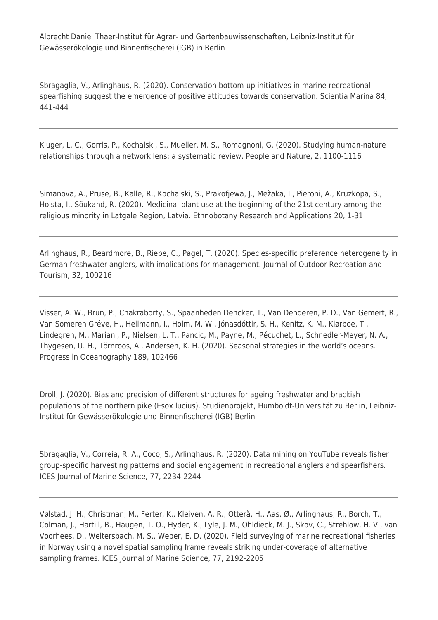Sbragaglia, V., Arlinghaus, R. (2020). Conservation bottom-up initiatives in marine recreational spearfishing suggest the emergence of positive attitudes towards conservation. Scientia Marina 84, 441-444

Kluger, L. C., Gorris, P., Kochalski, S., Mueller, M. S., Romagnoni, G. (2020). Studying human-nature relationships through a network lens: a systematic review. People and Nature, 2, 1100-1116

Simanova, A., Prūse, B., Kalle, R., Kochalski, S., Prakofjewa, J., Mežaka, I., Pieroni, A., Krūzkopa, S., Holsta, I., Sõukand, R. (2020). Medicinal plant use at the beginning of the 21st century among the religious minority in Latgale Region, Latvia. Ethnobotany Research and Applications 20, 1-31

Arlinghaus, R., Beardmore, B., Riepe, C., Pagel, T. (2020). Species-specific preference heterogeneity in German freshwater anglers, with implications for management. Journal of Outdoor Recreation and Tourism, 32, 100216

Visser, A. W., Brun, P., Chakraborty, S., Spaanheden Dencker, T., Van Denderen, P. D., Van Gemert, R., Van Someren Gréve, H., Heilmann, I., Holm, M. W., Jónasdóttir, S. H., Kenitz, K. M., Kiørboe, T., Lindegren, M., Mariani, P., Nielsen, L. T., Pancic, M., Payne, M., Pécuchet, L., Schnedler-Meyer, N. A., Thygesen, U. H., Törnroos, A., Andersen, K. H. (2020). Seasonal strategies in the world's oceans. Progress in Oceanography 189, 102466

Droll, J. (2020). Bias and precision of different structures for ageing freshwater and brackish populations of the northern pike (Esox lucius). Studienprojekt, Humboldt-Universität zu Berlin, Leibniz-Institut für Gewässerökologie und Binnenfischerei (IGB) Berlin

Sbragaglia, V., Correia, R. A., Coco, S., Arlinghaus, R. (2020). Data mining on YouTube reveals fisher group-specific harvesting patterns and social engagement in recreational anglers and spearfishers. ICES Journal of Marine Science, 77, 2234-2244

Vølstad, J. H., Christman, M., Ferter, K., Kleiven, A. R., Otterå, H., Aas, Ø., Arlinghaus, R., Borch, T., Colman, J., Hartill, B., Haugen, T. O., Hyder, K., Lyle, J. M., Ohldieck, M. J., Skov, C., Strehlow, H. V., van Voorhees, D., Weltersbach, M. S., Weber, E. D. (2020). Field surveying of marine recreational fisheries in Norway using a novel spatial sampling frame reveals striking under-coverage of alternative sampling frames. ICES Journal of Marine Science, 77, 2192-2205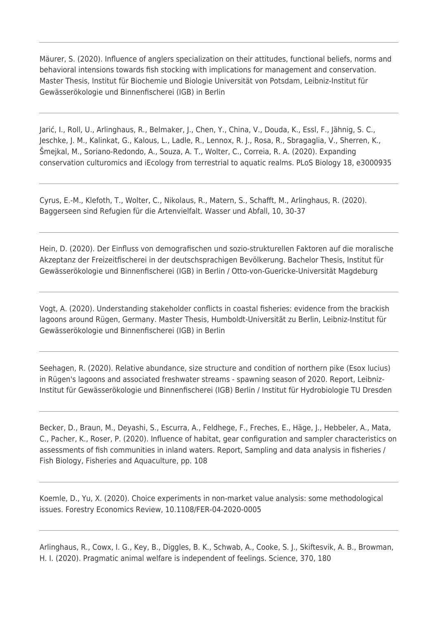Mäurer, S. (2020). Influence of anglers specialization on their attitudes, functional beliefs, norms and behavioral intensions towards fish stocking with implications for management and conservation. Master Thesis, Institut für Biochemie und Biologie Universität von Potsdam, Leibniz-Institut für Gewässerökologie und Binnenfischerei (IGB) in Berlin

Jarić, I., Roll, U., Arlinghaus, R., Belmaker, J., Chen, Y., China, V., Douda, K., Essl, F., Jähnig, S. C., Jeschke, J. M., Kalinkat, G., Kalous, L., Ladle, R., Lennox, R. J., Rosa, R., Sbragaglia, V., Sherren, K., Šmejkal, M., Soriano-Redondo, A., Souza, A. T., Wolter, C., Correia, R. A. (2020). Expanding conservation culturomics and iEcology from terrestrial to aquatic realms. PLoS Biology 18, e3000935

Cyrus, E.-M., Klefoth, T., Wolter, C., Nikolaus, R., Matern, S., Schafft, M., Arlinghaus, R. (2020). Baggerseen sind Refugien für die Artenvielfalt. Wasser und Abfall, 10, 30-37

Hein, D. (2020). Der Einfluss von demografischen und sozio-strukturellen Faktoren auf die moralische Akzeptanz der Freizeitfischerei in der deutschsprachigen Bevölkerung. Bachelor Thesis, Institut für Gewässerökologie und Binnenfischerei (IGB) in Berlin / Otto-von-Guericke-Universität Magdeburg

Vogt, A. (2020). Understanding stakeholder conflicts in coastal fisheries: evidence from the brackish lagoons around Rügen, Germany. Master Thesis, Humboldt-Universität zu Berlin, Leibniz-Institut für Gewässerökologie und Binnenfischerei (IGB) in Berlin

Seehagen, R. (2020). Relative abundance, size structure and condition of northern pike (Esox lucius) in Rügen's lagoons and associated freshwater streams - spawning season of 2020. Report, Leibniz-Institut für Gewässerökologie und Binnenfischerei (IGB) Berlin / Institut für Hydrobiologie TU Dresden

Becker, D., Braun, M., Deyashi, S., Escurra, A., Feldhege, F., Freches, E., Häge, J., Hebbeler, A., Mata, C., Pacher, K., Roser, P. (2020). Influence of habitat, gear configuration and sampler characteristics on assessments of fish communities in inland waters. Report, Sampling and data analysis in fisheries / Fish Biology, Fisheries and Aquaculture, pp. 108

Koemle, D., Yu, X. (2020). Choice experiments in non-market value analysis: some methodological issues. Forestry Economics Review, 10.1108/FER-04-2020-0005

Arlinghaus, R., Cowx, I. G., Key, B., Diggles, B. K., Schwab, A., Cooke, S. J., Skiftesvik, A. B., Browman, H. I. (2020). Pragmatic animal welfare is independent of feelings. Science, 370, 180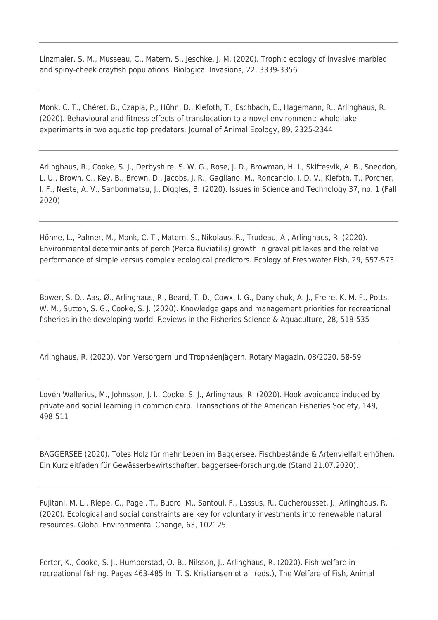Linzmaier, S. M., Musseau, C., Matern, S., Jeschke, J. M. (2020). Trophic ecology of invasive marbled and spiny-cheek crayfish populations. Biological Invasions, 22, 3339-3356

Monk, C. T., Chéret, B., Czapla, P., Hühn, D., Klefoth, T., Eschbach, E., Hagemann, R., Arlinghaus, R. (2020). Behavioural and fitness effects of translocation to a novel environment: whole-lake experiments in two aquatic top predators. Journal of Animal Ecology, 89, 2325-2344

Arlinghaus, R., Cooke, S. J., Derbyshire, S. W. G., Rose, J. D., Browman, H. I., Skiftesvik, A. B., Sneddon, L. U., Brown, C., Key, B., Brown, D., Jacobs, J. R., Gagliano, M., Roncancio, I. D. V., Klefoth, T., Porcher, I. F., Neste, A. V., Sanbonmatsu, J., Diggles, B. (2020). Issues in Science and Technology 37, no. 1 (Fall 2020)

Höhne, L., Palmer, M., Monk, C. T., Matern, S., Nikolaus, R., Trudeau, A., Arlinghaus, R. (2020). Environmental determinants of perch (Perca fluviatilis) growth in gravel pit lakes and the relative performance of simple versus complex ecological predictors. Ecology of Freshwater Fish, 29, 557-573

Bower, S. D., Aas, Ø., Arlinghaus, R., Beard, T. D., Cowx, I. G., Danylchuk, A. J., Freire, K. M. F., Potts, W. M., Sutton, S. G., Cooke, S. J. (2020). Knowledge gaps and management priorities for recreational fisheries in the developing world. Reviews in the Fisheries Science & Aquaculture, 28, 518-535

Arlinghaus, R. (2020). Von Versorgern und Trophäenjägern. Rotary Magazin, 08/2020, 58-59

Lovén Wallerius, M., Johnsson, J. I., Cooke, S. J., Arlinghaus, R. (2020). Hook avoidance induced by private and social learning in common carp. Transactions of the American Fisheries Society, 149, 498-511

BAGGERSEE (2020). Totes Holz für mehr Leben im Baggersee. Fischbestände & Artenvielfalt erhöhen. Ein Kurzleitfaden für Gewässerbewirtschafter. baggersee-forschung.de (Stand 21.07.2020).

Fujitani, M. L., Riepe, C., Pagel, T., Buoro, M., Santoul, F., Lassus, R., Cucherousset, J., Arlinghaus, R. (2020). Ecological and social constraints are key for voluntary investments into renewable natural resources. Global Environmental Change, 63, 102125

Ferter, K., Cooke, S. J., Humborstad, O.-B., Nilsson, J., Arlinghaus, R. (2020). Fish welfare in recreational fishing. Pages 463-485 In: T. S. Kristiansen et al. (eds.), The Welfare of Fish, Animal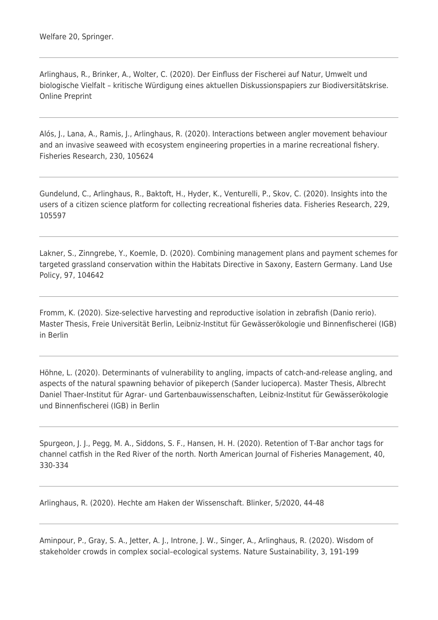Arlinghaus, R., Brinker, A., Wolter, C. (2020). Der Einfluss der Fischerei auf Natur, Umwelt und biologische Vielfalt – kritische Würdigung eines aktuellen Diskussionspapiers zur Biodiversitätskrise. Online Preprint

Alós, J., Lana, A., Ramis, J., Arlinghaus, R. (2020). Interactions between angler movement behaviour and an invasive seaweed with ecosystem engineering properties in a marine recreational fishery. Fisheries Research, 230, 105624

Gundelund, C., Arlinghaus, R., Baktoft, H., Hyder, K., Venturelli, P., Skov, C. (2020). Insights into the users of a citizen science platform for collecting recreational fisheries data. Fisheries Research, 229, 105597

Lakner, S., Zinngrebe, Y., Koemle, D. (2020). Combining management plans and payment schemes for targeted grassland conservation within the Habitats Directive in Saxony, Eastern Germany. Land Use Policy, 97, 104642

Fromm, K. (2020). Size-selective harvesting and reproductive isolation in zebrafish (Danio rerio). Master Thesis, Freie Universität Berlin, Leibniz-Institut für Gewässerökologie und Binnenfischerei (IGB) in Berlin

Höhne, L. (2020). Determinants of vulnerability to angling, impacts of catch-and-release angling, and aspects of the natural spawning behavior of pikeperch (Sander lucioperca). Master Thesis, Albrecht Daniel Thaer-Institut für Agrar- und Gartenbauwissenschaften, Leibniz-Institut für Gewässerökologie und Binnenfischerei (IGB) in Berlin

Spurgeon, J. J., Pegg, M. A., Siddons, S. F., Hansen, H. H. (2020). Retention of T-Bar anchor tags for channel catfish in the Red River of the north. North American Journal of Fisheries Management, 40, 330-334

Arlinghaus, R. (2020). Hechte am Haken der Wissenschaft. Blinker, 5/2020, 44-48

Aminpour, P., Gray, S. A., Jetter, A. J., Introne, J. W., Singer, A., Arlinghaus, R. (2020). Wisdom of stakeholder crowds in complex social–ecological systems. Nature Sustainability, 3, 191-199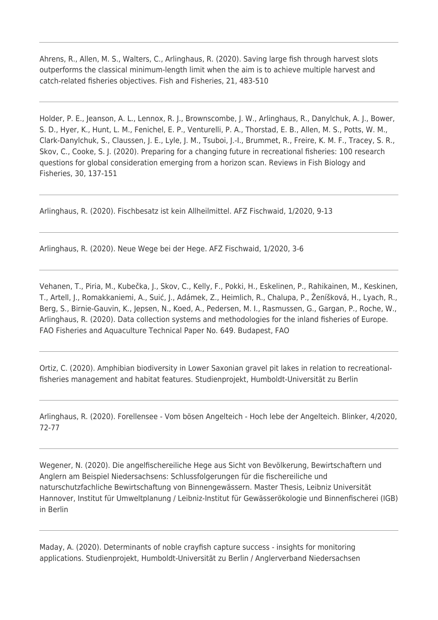Ahrens, R., Allen, M. S., Walters, C., Arlinghaus, R. (2020). Saving large fish through harvest slots outperforms the classical minimum-length limit when the aim is to achieve multiple harvest and catch-related fisheries objectives. Fish and Fisheries, 21, 483-510

Holder, P. E., Jeanson, A. L., Lennox, R. J., Brownscombe, J. W., Arlinghaus, R., Danylchuk, A. J., Bower, S. D., Hyer, K., Hunt, L. M., Fenichel, E. P., Venturelli, P. A., Thorstad, E. B., Allen, M. S., Potts, W. M., Clark-Danylchuk, S., Claussen, J. E., Lyle, J. M., Tsuboi, J.-I., Brummet, R., Freire, K. M. F., Tracey, S. R., Skov, C., Cooke, S. J. (2020). Preparing for a changing future in recreational fisheries: 100 research questions for global consideration emerging from a horizon scan. Reviews in Fish Biology and Fisheries, 30, 137-151

Arlinghaus, R. (2020). Fischbesatz ist kein Allheilmittel. AFZ Fischwaid, 1/2020, 9-13

Arlinghaus, R. (2020). Neue Wege bei der Hege. AFZ Fischwaid, 1/2020, 3-6

Vehanen, T., Piria, M., Kubečka, J., Skov, C., Kelly, F., Pokki, H., Eskelinen, P., Rahikainen, M., Keskinen, T., Artell, J., Romakkaniemi, A., Suić, J., Adámek, Z., Heimlich, R., Chalupa, P., Ženíšková, H., Lyach, R., Berg, S., Birnie-Gauvin, K., Jepsen, N., Koed, A., Pedersen, M. I., Rasmussen, G., Gargan, P., Roche, W., Arlinghaus, R. (2020). Data collection systems and methodologies for the inland fisheries of Europe. FAO Fisheries and Aquaculture Technical Paper No. 649. Budapest, FAO

Ortiz, C. (2020). Amphibian biodiversity in Lower Saxonian gravel pit lakes in relation to recreationalfisheries management and habitat features. Studienprojekt, Humboldt-Universität zu Berlin

Arlinghaus, R. (2020). Forellensee - Vom bösen Angelteich - Hoch lebe der Angelteich. Blinker, 4/2020, 72-77

Wegener, N. (2020). Die angelfischereiliche Hege aus Sicht von Bevölkerung, Bewirtschaftern und Anglern am Beispiel Niedersachsens: Schlussfolgerungen für die fischereiliche und naturschutzfachliche Bewirtschaftung von Binnengewässern. Master Thesis, Leibniz Universität Hannover, Institut für Umweltplanung / Leibniz-Institut für Gewässerökologie und Binnenfischerei (IGB) in Berlin

Maday, A. (2020). Determinants of noble crayfish capture success - insights for monitoring applications. Studienprojekt, Humboldt-Universität zu Berlin / Anglerverband Niedersachsen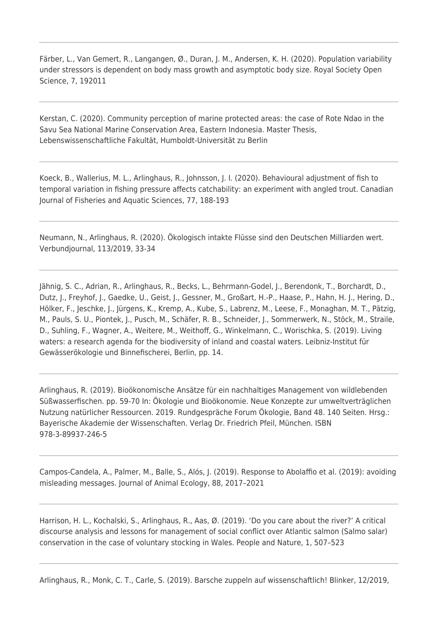Färber, L., Van Gemert, R., Langangen, Ø., Duran, J. M., Andersen, K. H. (2020). Population variability under stressors is dependent on body mass growth and asymptotic body size. Royal Society Open Science, 7, 192011

Kerstan, C. (2020). Community perception of marine protected areas: the case of Rote Ndao in the Savu Sea National Marine Conservation Area, Eastern Indonesia. Master Thesis, Lebenswissenschaftliche Fakultät, Humboldt-Universität zu Berlin

Koeck, B., Wallerius, M. L., Arlinghaus, R., Johnsson, J. I. (2020). Behavioural adjustment of fish to temporal variation in fishing pressure affects catchability: an experiment with angled trout. Canadian Journal of Fisheries and Aquatic Sciences, 77, 188-193

Neumann, N., Arlinghaus, R. (2020). Ökologisch intakte Flüsse sind den Deutschen Milliarden wert. Verbundjournal, 113/2019, 33-34

Jähnig, S. C., Adrian, R., Arlinghaus, R., Becks, L., Behrmann-Godel, J., Berendonk, T., Borchardt, D., Dutz, J., Freyhof, J., Gaedke, U., Geist, J., Gessner, M., Großart, H.-P., Haase, P., Hahn, H. J., Hering, D., Hölker, F., Jeschke, J., Jürgens, K., Kremp, A., Kube, S., Labrenz, M., Leese, F., Monaghan, M. T., Pätzig, M., Pauls, S. U., Piontek, J., Pusch, M., Schäfer, R. B., Schneider, J., Sommerwerk, N., Stöck, M., Straile, D., Suhling, F., Wagner, A., Weitere, M., Weithoff, G., Winkelmann, C., Worischka, S. (2019). Living waters: a research agenda for the biodiversity of inland and coastal waters. Leibniz-Institut für Gewässerökologie und Binnefischerei, Berlin, pp. 14.

Arlinghaus, R. (2019). Bioökonomische Ansätze für ein nachhaltiges Management von wildlebenden Süßwasserfischen. pp. 59-70 In: Ökologie und Bioökonomie. Neue Konzepte zur umweltverträglichen Nutzung natürlicher Ressourcen. 2019. Rundgespräche Forum Ökologie, Band 48. 140 Seiten. Hrsg.: Bayerische Akademie der Wissenschaften. Verlag Dr. Friedrich Pfeil, München. ISBN 978-3-89937-246-5

Campos-Candela, A., Palmer, M., Balle, S., Alós, J. (2019). Response to Abolaffio et al. (2019): avoiding misleading messages. Journal of Animal Ecology, 88, 2017–2021

Harrison, H. L., Kochalski, S., Arlinghaus, R., Aas, Ø. (2019). 'Do you care about the river?' A critical discourse analysis and lessons for management of social conflict over Atlantic salmon (Salmo salar) conservation in the case of voluntary stocking in Wales. People and Nature, 1, 507–523

Arlinghaus, R., Monk, C. T., Carle, S. (2019). Barsche zuppeln auf wissenschaftlich! Blinker, 12/2019,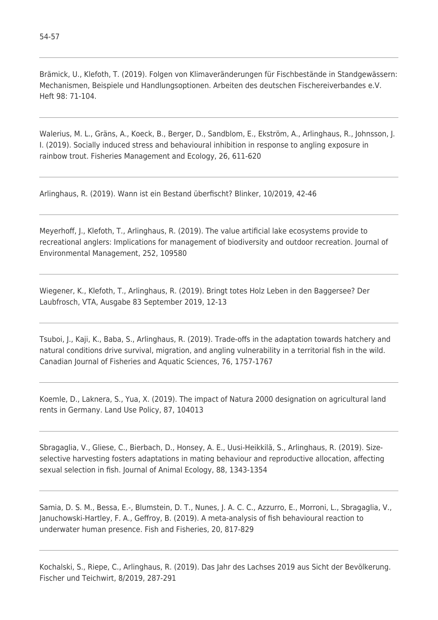Brämick, U., Klefoth, T. (2019). Folgen von Klimaveränderungen für Fischbestände in Standgewässern: Mechanismen, Beispiele und Handlungsoptionen. Arbeiten des deutschen Fischereiverbandes e.V. Heft 98: 71-104.

Walerius, M. L., Gräns, A., Koeck, B., Berger, D., Sandblom, E., Ekström, A., Arlinghaus, R., Johnsson, J. I. (2019). Socially induced stress and behavioural inhibition in response to angling exposure in rainbow trout. Fisheries Management and Ecology, 26, 611-620

Arlinghaus, R. (2019). Wann ist ein Bestand überfischt? Blinker, 10/2019, 42-46

Meyerhoff, J., Klefoth, T., Arlinghaus, R. (2019). The value artificial lake ecosystems provide to recreational anglers: Implications for management of biodiversity and outdoor recreation. Journal of Environmental Management, 252, 109580

Wiegener, K., Klefoth, T., Arlinghaus, R. (2019). Bringt totes Holz Leben in den Baggersee? Der Laubfrosch, VTA, Ausgabe 83 September 2019, 12-13

Tsuboi, J., Kaji, K., Baba, S., Arlinghaus, R. (2019). Trade-offs in the adaptation towards hatchery and natural conditions drive survival, migration, and angling vulnerability in a territorial fish in the wild. Canadian Journal of Fisheries and Aquatic Sciences, 76, 1757-1767

Koemle, D., Laknera, S., Yua, X. (2019). The impact of Natura 2000 designation on agricultural land rents in Germany. Land Use Policy, 87, 104013

Sbragaglia, V., Gliese, C., Bierbach, D., Honsey, A. E., Uusi-Heikkilä, S., Arlinghaus, R. (2019). Size‐ selective harvesting fosters adaptations in mating behaviour and reproductive allocation, affecting sexual selection in fish. Journal of Animal Ecology, 88, 1343-1354

Samia, D. S. M., Bessa, E.-, Blumstein, D. T., Nunes, J. A. C. C., Azzurro, E., Morroni, L., Sbragaglia, V., Januchowski-Hartley, F. A., Geffroy, B. (2019). A meta‐analysis of fish behavioural reaction to underwater human presence. Fish and Fisheries, 20, 817-829

Kochalski, S., Riepe, C., Arlinghaus, R. (2019). Das Jahr des Lachses 2019 aus Sicht der Bevölkerung. Fischer und Teichwirt, 8/2019, 287-291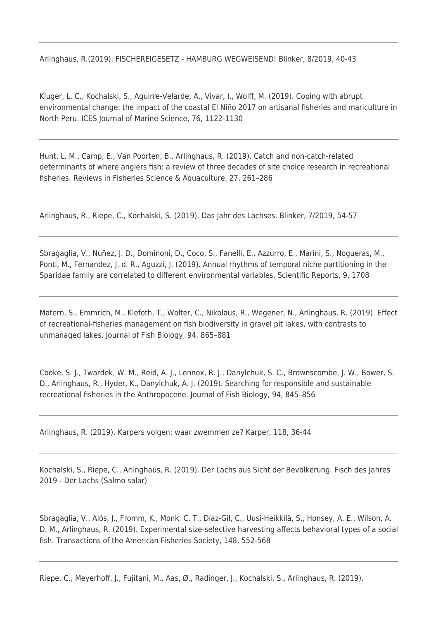Arlinghaus, R.(2019). FISCHEREIGESETZ - HAMBURG WEGWEISEND! Blinker, 8/2019, 40-43

Kluger, L. C., Kochalski, S., Aguirre-Velarde, A., Vivar, I., Wolff, M. (2019). Coping with abrupt environmental change: the impact of the coastal El Niño 2017 on artisanal fisheries and mariculture in North Peru. ICES Journal of Marine Science, 76, 1122-1130

Hunt, L. M., Camp, E., Van Poorten, B., Arlinghaus, R. (2019). Catch and non-catch-related determinants of where anglers fish: a review of three decades of site choice research in recreational fisheries. Reviews in Fisheries Science & Aquaculture, 27, 261–286

Arlinghaus, R., Riepe, C., Kochalski, S. (2019). Das Jahr des Lachses. Blinker, 7/2019, 54-57

Sbragaglia, V., Nuñez, J. D., Dominoni, D., Coco, S., Fanelli, E., Azzurro, E., Marini, S., Nogueras, M., Ponti, M., Fernandez, J. d. R., Aguzzi, J. (2019). Annual rhythms of temporal niche partitioning in the Sparidae family are correlated to different environmental variables. Scientific Reports, 9, 1708

Matern, S., Emmrich, M., Klefoth, T., Wolter, C., Nikolaus, R., Wegener, N., Arlinghaus, R. (2019). Effect of recreational-fisheries management on fish biodiversity in gravel pit lakes, with contrasts to unmanaged lakes. Journal of Fish Biology, 94, 865–881

Cooke, S. J., Twardek, W. M., Reid, A. J., Lennox, R. J., Danylchuk, S. C., Brownscombe, J. W., Bower, S. D., Arlinghaus, R., Hyder, K., Danylchuk, A. J. (2019). Searching for responsible and sustainable recreational fisheries in the Anthropocene. Journal of Fish Biology, 94, 845–856

Arlinghaus, R. (2019). Karpers volgen: waar zwemmen ze? Karper, 118, 36-44

Kochalski, S., Riepe, C., Arlinghaus, R. (2019). Der Lachs aus Sicht der Bevölkerung. Fisch des Jahres 2019 - Der Lachs (Salmo salar)

Sbragaglia, V., Alós, J., Fromm, K., Monk, C. T., Díaz-Gil, C., Uusi-Heikkilä, S., Honsey, A. E., Wilson, A. D. M., Arlinghaus, R. (2019). Experimental size-selective harvesting affects behavioral types of a social fish. Transactions of the American Fisheries Society, 148, 552-568

Riepe, C., Meyerhoff, J., Fujitani, M., Aas, Ø., Radinger, J., Kochalski, S., Arlinghaus, R. (2019).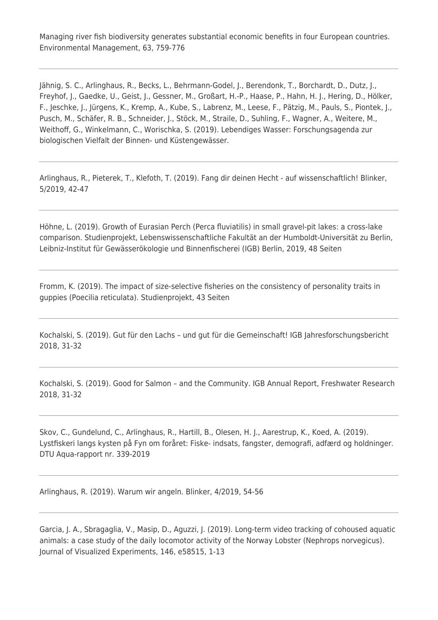Managing river fish biodiversity generates substantial economic benefits in four European countries. Environmental Management, 63, 759-776

Jähnig, S. C., Arlinghaus, R., Becks, L., Behrmann-Godel, J., Berendonk, T., Borchardt, D., Dutz, J., Freyhof, J., Gaedke, U., Geist, J., Gessner, M., Großart, H.-P., Haase, P., Hahn, H. J., Hering, D., Hölker, F., Jeschke, J., Jürgens, K., Kremp, A., Kube, S., Labrenz, M., Leese, F., Pätzig, M., Pauls, S., Piontek, J., Pusch, M., Schäfer, R. B., Schneider, J., Stöck, M., Straile, D., Suhling, F., Wagner, A., Weitere, M., Weithoff, G., Winkelmann, C., Worischka, S. (2019). Lebendiges Wasser: Forschungsagenda zur biologischen Vielfalt der Binnen- und Küstengewässer.

Arlinghaus, R., Pieterek, T., Klefoth, T. (2019). Fang dir deinen Hecht - auf wissenschaftlich! Blinker, 5/2019, 42-47

Höhne, L. (2019). Growth of Eurasian Perch (Perca fluviatilis) in small gravel-pit lakes: a cross-lake comparison. Studienprojekt, Lebenswissenschaftliche Fakultät an der Humboldt-Universität zu Berlin, Leibniz-Institut für Gewässerökologie und Binnenfischerei (IGB) Berlin, 2019, 48 Seiten

Fromm, K. (2019). The impact of size-selective fisheries on the consistency of personality traits in guppies (Poecilia reticulata). Studienprojekt, 43 Seiten

Kochalski, S. (2019). Gut für den Lachs – und gut für die Gemeinschaft! IGB Jahresforschungsbericht 2018, 31-32

Kochalski, S. (2019). Good for Salmon – and the Community. IGB Annual Report, Freshwater Research 2018, 31-32

Skov, C., Gundelund, C., Arlinghaus, R., Hartill, B., Olesen, H. J., Aarestrup, K., Koed, A. (2019). Lystfiskeri langs kysten på Fyn om foråret: Fiske- indsats, fangster, demografi, adfærd og holdninger. DTU Aqua-rapport nr. 339-2019

Arlinghaus, R. (2019). Warum wir angeln. Blinker, 4/2019, 54-56

Garcia, J. A., Sbragaglia, V., Masip, D., Aguzzi, J. (2019). Long-term video tracking of cohoused aquatic animals: a case study of the daily locomotor activity of the Norway Lobster (Nephrops norvegicus). Journal of Visualized Experiments, 146, e58515, 1-13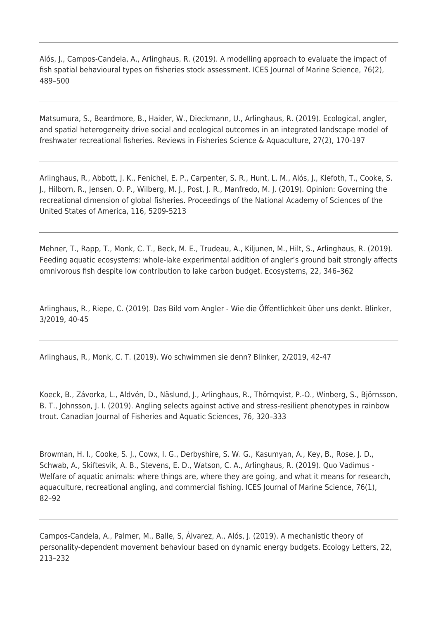Alós, J., Campos-Candela, A., Arlinghaus, R. (2019). A modelling approach to evaluate the impact of fish spatial behavioural types on fisheries stock assessment. ICES Journal of Marine Science, 76(2), 489–500

Matsumura, S., Beardmore, B., Haider, W., Dieckmann, U., Arlinghaus, R. (2019). Ecological, angler, and spatial heterogeneity drive social and ecological outcomes in an integrated landscape model of freshwater recreational fisheries. Reviews in Fisheries Science & Aquaculture, 27(2), 170-197

Arlinghaus, R., Abbott, J. K., Fenichel, E. P., Carpenter, S. R., Hunt, L. M., Alós, J., Klefoth, T., Cooke, S. J., Hilborn, R., Jensen, O. P., Wilberg, M. J., Post, J. R., Manfredo, M. J. (2019). Opinion: Governing the recreational dimension of global fisheries. Proceedings of the National Academy of Sciences of the United States of America, 116, 5209-5213

Mehner, T., Rapp, T., Monk, C. T., Beck, M. E., Trudeau, A., Kiljunen, M., Hilt, S., Arlinghaus, R. (2019). Feeding aquatic ecosystems: whole-lake experimental addition of angler's ground bait strongly affects omnivorous fish despite low contribution to lake carbon budget. Ecosystems, 22, 346–362

Arlinghaus, R., Riepe, C. (2019). Das Bild vom Angler - Wie die Öffentlichkeit über uns denkt. Blinker, 3/2019, 40-45

Arlinghaus, R., Monk, C. T. (2019). Wo schwimmen sie denn? Blinker, 2/2019, 42-47

Koeck, B., Závorka, L., Aldvén, D., Näslund, J., Arlinghaus, R., Thörnqvist, P.-O., Winberg, S., Björnsson, B. T., Johnsson, J. I. (2019). Angling selects against active and stress-resilient phenotypes in rainbow trout. Canadian Journal of Fisheries and Aquatic Sciences, 76, 320–333

Browman, H. I., Cooke, S. J., Cowx, I. G., Derbyshire, S. W. G., Kasumyan, A., Key, B., Rose, J. D., Schwab, A., Skiftesvik, A. B., Stevens, E. D., Watson, C. A., Arlinghaus, R. (2019). Quo Vadimus - Welfare of aquatic animals: where things are, where they are going, and what it means for research, aquaculture, recreational angling, and commercial fishing. ICES Journal of Marine Science, 76(1), 82–92

Campos-Candela, A., Palmer, M., Balle, S, Álvarez, A., Alós, J. (2019). A mechanistic theory of personality-dependent movement behaviour based on dynamic energy budgets. Ecology Letters, 22, 213–232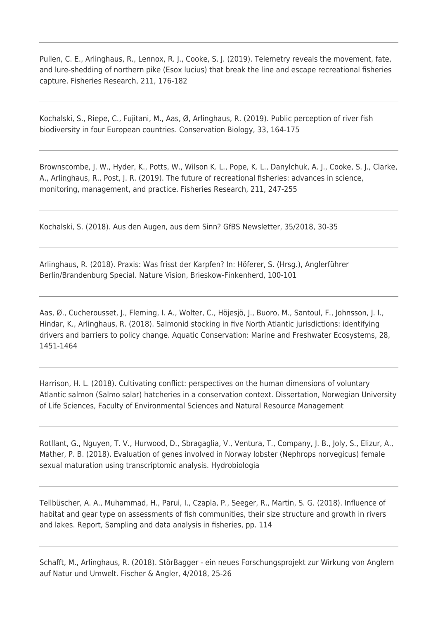Pullen, C. E., Arlinghaus, R., Lennox, R. J., Cooke, S. J. (2019). Telemetry reveals the movement, fate, and lure-shedding of northern pike (Esox lucius) that break the line and escape recreational fisheries capture. Fisheries Research, 211, 176-182

Kochalski, S., Riepe, C., Fujitani, M., Aas, Ø, Arlinghaus, R. (2019). Public perception of river fish biodiversity in four European countries. Conservation Biology, 33, 164-175

Brownscombe, J. W., Hyder, K., Potts, W., Wilson K. L., Pope, K. L., Danylchuk, A. J., Cooke, S. J., Clarke, A., Arlinghaus, R., Post, J. R. (2019). The future of recreational fisheries: advances in science, monitoring, management, and practice. Fisheries Research, 211, 247-255

Kochalski, S. (2018). Aus den Augen, aus dem Sinn? GfBS Newsletter, 35/2018, 30-35

Arlinghaus, R. (2018). Praxis: Was frisst der Karpfen? In: Höferer, S. (Hrsg.), Anglerführer Berlin/Brandenburg Special. Nature Vision, Brieskow-Finkenherd, 100-101

Aas, Ø., Cucherousset, J., Fleming, I. A., Wolter, C., Höjesjö, J., Buoro, M., Santoul, F., Johnsson, J. I., Hindar, K., Arlinghaus, R. (2018). Salmonid stocking in five North Atlantic jurisdictions: identifying drivers and barriers to policy change. Aquatic Conservation: Marine and Freshwater Ecosystems, 28, 1451-1464

Harrison, H. L. (2018). Cultivating conflict: perspectives on the human dimensions of voluntary Atlantic salmon (Salmo salar) hatcheries in a conservation context. Dissertation, Norwegian University of Life Sciences, Faculty of Environmental Sciences and Natural Resource Management

Rotllant, G., Nguyen, T. V., Hurwood, D., Sbragaglia, V., Ventura, T., Company, J. B., Joly, S., Elizur, A., Mather, P. B. (2018). Evaluation of genes involved in Norway lobster (Nephrops norvegicus) female sexual maturation using transcriptomic analysis. Hydrobiologia

Tellbüscher, A. A., Muhammad, H., Parui, I., Czapla, P., Seeger, R., Martin, S. G. (2018). Influence of habitat and gear type on assessments of fish communities, their size structure and growth in rivers and lakes. Report, Sampling and data analysis in fisheries, pp. 114

Schafft, M., Arlinghaus, R. (2018). StörBagger - ein neues Forschungsprojekt zur Wirkung von Anglern auf Natur und Umwelt. Fischer & Angler, 4/2018, 25-26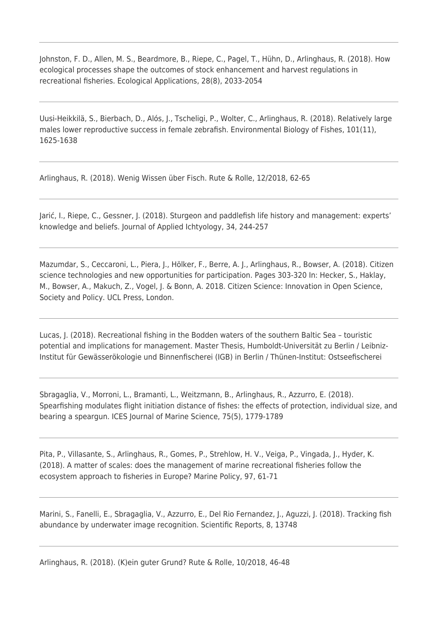Johnston, F. D., Allen, M. S., Beardmore, B., Riepe, C., Pagel, T., Hühn, D., Arlinghaus, R. (2018). How ecological processes shape the outcomes of stock enhancement and harvest regulations in recreational fisheries. Ecological Applications, 28(8), 2033-2054

Uusi-Heikkilä, S., Bierbach, D., Alós, J., Tscheligi, P., Wolter, C., Arlinghaus, R. (2018). Relatively large males lower reproductive success in female zebrafish. Environmental Biology of Fishes, 101(11), 1625-1638

Arlinghaus, R. (2018). Wenig Wissen über Fisch. Rute & Rolle, 12/2018, 62-65

Jarić, I., Riepe, C., Gessner, J. (2018). Sturgeon and paddlefish life history and management: experts' knowledge and beliefs. Journal of Applied Ichtyology, 34, 244-257

Mazumdar, S., Ceccaroni, L., Piera, J., Hölker, F., Berre, A. J., Arlinghaus, R., Bowser, A. (2018). Citizen science technologies and new opportunities for participation. Pages 303-320 In: Hecker, S., Haklay, M., Bowser, A., Makuch, Z., Vogel, J. & Bonn, A. 2018. Citizen Science: Innovation in Open Science, Society and Policy. UCL Press, London.

Lucas, J. (2018). Recreational fishing in the Bodden waters of the southern Baltic Sea – touristic potential and implications for management. Master Thesis, Humboldt-Universität zu Berlin / Leibniz-Institut für Gewässerökologie und Binnenfischerei (IGB) in Berlin / Thünen-Institut: Ostseefischerei

Sbragaglia, V., Morroni, L., Bramanti, L., Weitzmann, B., Arlinghaus, R., Azzurro, E. (2018). Spearfishing modulates flight initiation distance of fishes: the effects of protection, individual size, and bearing a speargun. ICES Journal of Marine Science, 75(5), 1779-1789

Pita, P., Villasante, S., Arlinghaus, R., Gomes, P., Strehlow, H. V., Veiga, P., Vingada, J., Hyder, K. (2018). A matter of scales: does the management of marine recreational fisheries follow the ecosystem approach to fisheries in Europe? Marine Policy, 97, 61-71

Marini, S., Fanelli, E., Sbragaglia, V., Azzurro, E., Del Rio Fernandez, J., Aguzzi, J. (2018). Tracking fish abundance by underwater image recognition. Scientific Reports, 8, 13748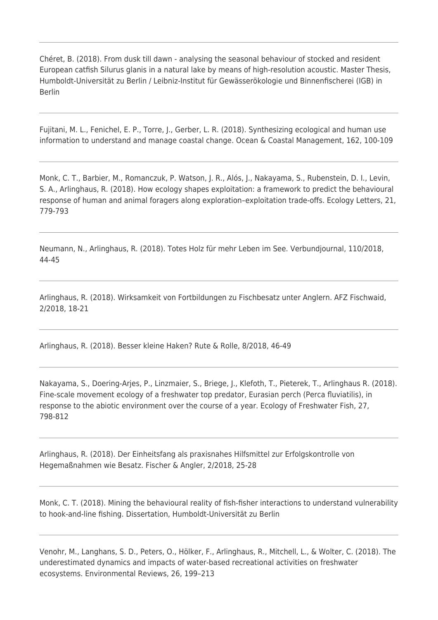Chéret, B. (2018). From dusk till dawn - analysing the seasonal behaviour of stocked and resident European catfish Silurus glanis in a natural lake by means of high-resolution acoustic. Master Thesis, Humboldt-Universität zu Berlin / Leibniz-Institut für Gewässerökologie und Binnenfischerei (IGB) in Berlin

Fujitani, M. L., Fenichel, E. P., Torre, J., Gerber, L. R. (2018). Synthesizing ecological and human use information to understand and manage coastal change. Ocean & Coastal Management, 162, 100-109

Monk, C. T., Barbier, M., Romanczuk, P. Watson, J. R., Alós, J., Nakayama, S., Rubenstein, D. I., Levin, S. A., Arlinghaus, R. (2018). How ecology shapes exploitation: a framework to predict the behavioural response of human and animal foragers along exploration–exploitation trade-offs. Ecology Letters, 21, 779-793

Neumann, N., Arlinghaus, R. (2018). Totes Holz für mehr Leben im See. Verbundjournal, 110/2018, 44-45

Arlinghaus, R. (2018). Wirksamkeit von Fortbildungen zu Fischbesatz unter Anglern. AFZ Fischwaid, 2/2018, 18-21

Arlinghaus, R. (2018). Besser kleine Haken? Rute & Rolle, 8/2018, 46-49

Nakayama, S., Doering-Arjes, P., Linzmaier, S., Briege, J., Klefoth, T., Pieterek, T., Arlinghaus R. (2018). Fine-scale movement ecology of a freshwater top predator, Eurasian perch (Perca fluviatilis), in response to the abiotic environment over the course of a year. Ecology of Freshwater Fish, 27, 798-812

Arlinghaus, R. (2018). Der Einheitsfang als praxisnahes Hilfsmittel zur Erfolgskontrolle von Hegemaßnahmen wie Besatz. Fischer & Angler, 2/2018, 25-28

Monk, C. T. (2018). Mining the behavioural reality of fish-fisher interactions to understand vulnerability to hook-and-line fishing. Dissertation, Humboldt-Universität zu Berlin

Venohr, M., Langhans, S. D., Peters, O., Hölker, F., Arlinghaus, R., Mitchell, L., & Wolter, C. (2018). The underestimated dynamics and impacts of water-based recreational activities on freshwater ecosystems. Environmental Reviews, 26, 199–213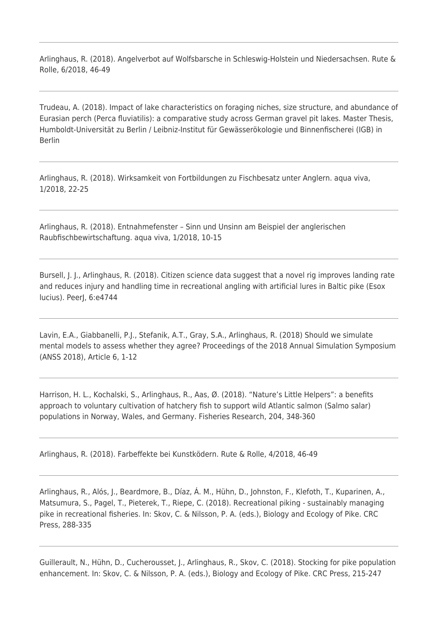Arlinghaus, R. (2018). Angelverbot auf Wolfsbarsche in Schleswig-Holstein und Niedersachsen. Rute & Rolle, 6/2018, 46-49

Trudeau, A. (2018). Impact of lake characteristics on foraging niches, size structure, and abundance of Eurasian perch (Perca fluviatilis): a comparative study across German gravel pit lakes. Master Thesis, Humboldt-Universität zu Berlin / Leibniz-Institut für Gewässerökologie und Binnenfischerei (IGB) in Berlin

Arlinghaus, R. (2018). Wirksamkeit von Fortbildungen zu Fischbesatz unter Anglern. aqua viva, 1/2018, 22-25

Arlinghaus, R. (2018). Entnahmefenster – Sinn und Unsinn am Beispiel der anglerischen Raubfischbewirtschaftung. aqua viva, 1/2018, 10-15

Bursell, J. J., Arlinghaus, R. (2018). Citizen science data suggest that a novel rig improves landing rate and reduces injury and handling time in recreational angling with artificial lures in Baltic pike (Esox lucius). PeerJ, 6:e4744

Lavin, E.A., Giabbanelli, P.J., Stefanik, A.T., Gray, S.A., Arlinghaus, R. (2018) Should we simulate mental models to assess whether they agree? Proceedings of the 2018 Annual Simulation Symposium (ANSS 2018), Article 6, 1-12

Harrison, H. L., Kochalski, S., Arlinghaus, R., Aas, Ø. (2018). "Nature's Little Helpers": a benefits approach to voluntary cultivation of hatchery fish to support wild Atlantic salmon (Salmo salar) populations in Norway, Wales, and Germany. Fisheries Research, 204, 348-360

Arlinghaus, R. (2018). Farbeffekte bei Kunstködern. Rute & Rolle, 4/2018, 46-49

Arlinghaus, R., Alós, J., Beardmore, B., Díaz, Á. M., Hühn, D., Johnston, F., Klefoth, T., Kuparinen, A., Matsumura, S., Pagel, T., Pieterek, T., Riepe, C. (2018). Recreational piking - sustainably managing pike in recreational fisheries. In: Skov, C. & Nilsson, P. A. (eds.), Biology and Ecology of Pike. CRC Press, 288-335

Guillerault, N., Hühn, D., Cucherousset, J., Arlinghaus, R., Skov, C. (2018). Stocking for pike population enhancement. In: Skov, C. & Nilsson, P. A. (eds.), Biology and Ecology of Pike. CRC Press, 215-247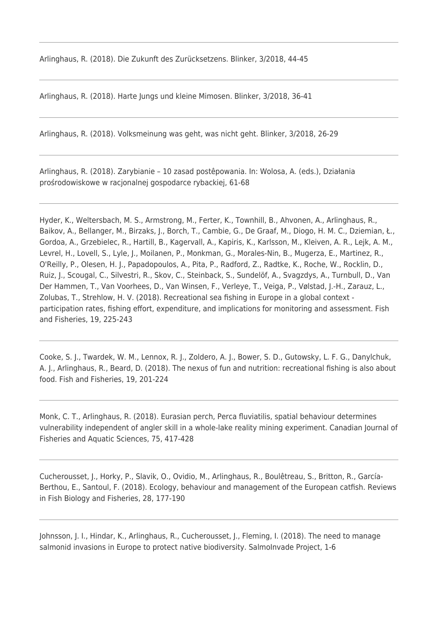Arlinghaus, R. (2018). Die Zukunft des Zurücksetzens. Blinker, 3/2018, 44-45

Arlinghaus, R. (2018). Harte Jungs und kleine Mimosen. Blinker, 3/2018, 36-41

Arlinghaus, R. (2018). Volksmeinung was geht, was nicht geht. Blinker, 3/2018, 26-29

Arlinghaus, R. (2018). Zarybianie – 10 zasad postêpowania. In: Wolosa, A. (eds.), Działania prośrodowiskowe w racjonalnej gospodarce rybackiej, 61-68

Hyder, K., Weltersbach, M. S., Armstrong, M., Ferter, K., Townhill, B., Ahvonen, A., Arlinghaus, R., Baikov, A., Bellanger, M., Birzaks, J., Borch, T., Cambie, G., De Graaf, M., Diogo, H. M. C., Dziemian, Ł., Gordoa, A., Grzebielec, R., Hartill, B., Kagervall, A., Kapiris, K., Karlsson, M., Kleiven, A. R., Lejk, A. M., Levrel, H., Lovell, S., Lyle, J., Moilanen, P., Monkman, G., Morales-Nin, B., Mugerza, E., Martinez, R., O'Reilly, P., Olesen, H. J., Papadopoulos, A., Pita, P., Radford, Z., Radtke, K., Roche, W., Rocklin, D., Ruiz, J., Scougal, C., Silvestri, R., Skov, C., Steinback, S., Sundelöf, A., Svagzdys, A., Turnbull, D., Van Der Hammen, T., Van Voorhees, D., Van Winsen, F., Verleye, T., Veiga, P., Vølstad, J.-H., Zarauz, L., Zolubas, T., Strehlow, H. V. (2018). Recreational sea fishing in Europe in a global context participation rates, fishing effort, expenditure, and implications for monitoring and assessment. Fish and Fisheries, 19, 225-243

Cooke, S. J., Twardek, W. M., Lennox, R. J., Zoldero, A. J., Bower, S. D., Gutowsky, L. F. G., Danylchuk, A. J., Arlinghaus, R., Beard, D. (2018). The nexus of fun and nutrition: recreational fishing is also about food. Fish and Fisheries, 19, 201-224

Monk, C. T., Arlinghaus, R. (2018). Eurasian perch, Perca fluviatilis, spatial behaviour determines vulnerability independent of angler skill in a whole-lake reality mining experiment. Canadian Journal of Fisheries and Aquatic Sciences, 75, 417-428

Cucherousset, J., Horky, P., Slavik, O., Ovidio, M., Arlinghaus, R., Boulêtreau, S., Britton, R., García-Berthou, E., Santoul, F. (2018). Ecology, behaviour and management of the European catfish. Reviews in Fish Biology and Fisheries, 28, 177-190

Johnsson, J. I., Hindar, K., Arlinghaus, R., Cucherousset, J., Fleming, I. (2018). The need to manage salmonid invasions in Europe to protect native biodiversity. SalmoInvade Project, 1-6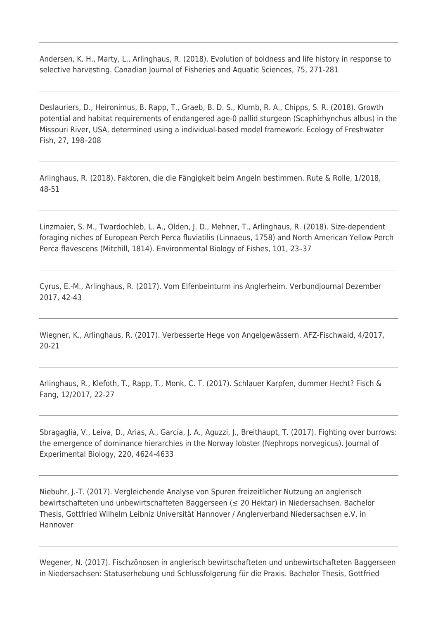Andersen, K. H., Marty, L., Arlinghaus, R. (2018). Evolution of boldness and life history in response to selective harvesting. Canadian Journal of Fisheries and Aquatic Sciences, 75, 271-281

Deslauriers, D., Heironimus, B. Rapp, T., Graeb, B. D. S., Klumb, R. A., Chipps, S. R. (2018). Growth potential and habitat requirements of endangered age-0 pallid sturgeon (Scaphirhynchus albus) in the Missouri River, USA, determined using a individual-based model framework. Ecology of Freshwater Fish, 27, 198–208

Arlinghaus, R. (2018). Faktoren, die die Fängigkeit beim Angeln bestimmen. Rute & Rolle, 1/2018, 48-51

Linzmaier, S. M., Twardochleb, L. A., Olden, J. D., Mehner, T., Arlinghaus, R. (2018). Size-dependent foraging niches of European Perch Perca fluviatilis (Linnaeus, 1758) and North American Yellow Perch Perca flavescens (Mitchill, 1814). Environmental Biology of Fishes, 101, 23–37

Cyrus, E.-M., Arlinghaus, R. (2017). Vom Elfenbeinturm ins Anglerheim. Verbundjournal Dezember 2017, 42-43

Wiegner, K., Arlinghaus, R. (2017). Verbesserte Hege von Angelgewässern. AFZ-Fischwaid, 4/2017, 20-21

Arlinghaus, R., Klefoth, T., Rapp, T., Monk, C. T. (2017). Schlauer Karpfen, dummer Hecht? Fisch & Fang, 12/2017, 22-27

Sbragaglia, V., Leiva, D., Arias, A., García, J. A., Aguzzi, J., Breithaupt, T. (2017). Fighting over burrows: the emergence of dominance hierarchies in the Norway lobster (Nephrops norvegicus). Journal of Experimental Biology, 220, 4624-4633

Niebuhr, J.-T. (2017). Vergleichende Analyse von Spuren freizeitlicher Nutzung an anglerisch bewirtschafteten und unbewirtschafteten Baggerseen (≤ 20 Hektar) in Niedersachsen. Bachelor Thesis, Gottfried Wilhelm Leibniz Universität Hannover / Anglerverband Niedersachsen e.V. in Hannover

Wegener, N. (2017). Fischzönosen in anglerisch bewirtschafteten und unbewirtschafteten Baggerseen in Niedersachsen: Statuserhebung und Schlussfolgerung für die Praxis. Bachelor Thesis, Gottfried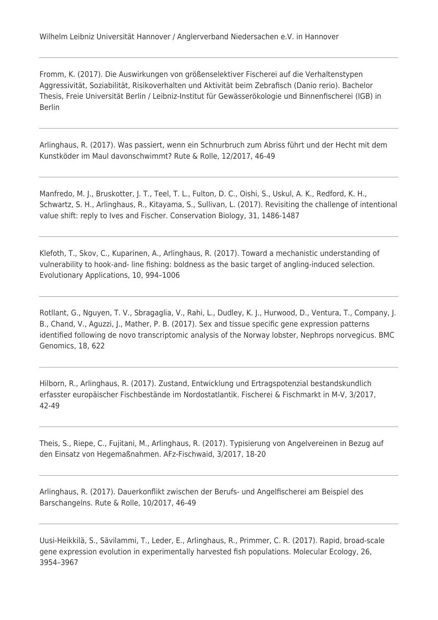Fromm, K. (2017). Die Auswirkungen von größenselektiver Fischerei auf die Verhaltenstypen Aggressivität, Soziabilität, Risikoverhalten und Aktivität beim Zebrafisch (Danio rerio). Bachelor Thesis, Freie Universität Berlin / Leibniz-Institut für Gewässerökologie und Binnenfischerei (IGB) in Berlin

Arlinghaus, R. (2017). Was passiert, wenn ein Schnurbruch zum Abriss führt und der Hecht mit dem Kunstköder im Maul davonschwimmt? Rute & Rolle, 12/2017, 46-49

Manfredo, M. J., Bruskotter, J. T., Teel, T. L., Fulton, D. C., Oishi, S., Uskul, A. K., Redford, K. H., Schwartz, S. H., Arlinghaus, R., Kitayama, S., Sullivan, L. (2017). Revisiting the challenge of intentional value shift: reply to Ives and Fischer. Conservation Biology, 31, 1486-1487

Klefoth, T., Skov, C., Kuparinen, A., Arlinghaus, R. (2017). Toward a mechanistic understanding of vulnerability to hook-and- line fishing: boldness as the basic target of angling-induced selection. Evolutionary Applications, 10, 994–1006

Rotllant, G., Nguyen, T. V., Sbragaglia, V., Rahi, L., Dudley, K. J., Hurwood, D., Ventura, T., Company, J. B., Chand, V., Aguzzi, J., Mather, P. B. (2017). Sex and tissue specific gene expression patterns identified following de novo transcriptomic analysis of the Norway lobster, Nephrops norvegicus. BMC Genomics, 18, 622

Hilborn, R., Arlinghaus, R. (2017). Zustand, Entwicklung und Ertragspotenzial bestandskundlich erfasster europäischer Fischbestände im Nordostatlantik. Fischerei & Fischmarkt in M-V, 3/2017, 42-49

Theis, S., Riepe, C., Fujitani, M., Arlinghaus, R. (2017). Typisierung von Angelvereinen in Bezug auf den Einsatz von Hegemaßnahmen. AFz-Fischwaid, 3/2017, 18-20

Arlinghaus, R. (2017). Dauerkonflikt zwischen der Berufs- und Angelfischerei am Beispiel des Barschangelns. Rute & Rolle, 10/2017, 46-49

Uusi-Heikkilä, S., Sävilammi, T., Leder, E., Arlinghaus, R., Primmer, C. R. (2017). Rapid, broad-scale gene expression evolution in experimentally harvested fish populations. Molecular Ecology, 26, 3954–3967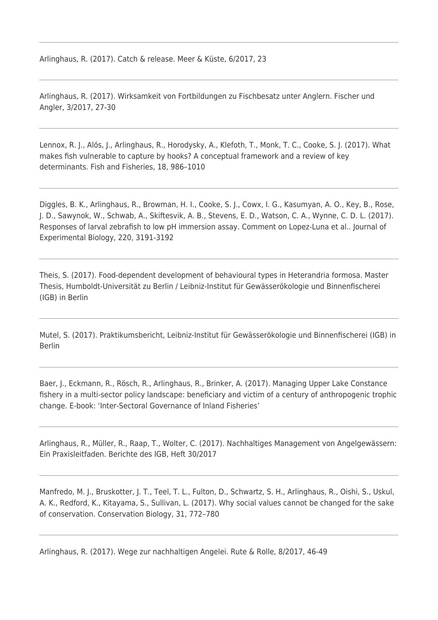Arlinghaus, R. (2017). Catch & release. Meer & Küste, 6/2017, 23

Arlinghaus, R. (2017). Wirksamkeit von Fortbildungen zu Fischbesatz unter Anglern. Fischer und Angler, 3/2017, 27-30

Lennox, R. J., Alós, J., Arlinghaus, R., Horodysky, A., Klefoth, T., Monk, T. C., Cooke, S. J. (2017). What makes fish vulnerable to capture by hooks? A conceptual framework and a review of key determinants. Fish and Fisheries, 18, 986–1010

Diggles, B. K., Arlinghaus, R., Browman, H. I., Cooke, S. J., Cowx, I. G., Kasumyan, A. O., Key, B., Rose, J. D., Sawynok, W., Schwab, A., Skiftesvik, A. B., Stevens, E. D., Watson, C. A., Wynne, C. D. L. (2017). Responses of larval zebrafish to low pH immersion assay. Comment on Lopez-Luna et al.. Journal of Experimental Biology, 220, 3191-3192

Theis, S. (2017). Food-dependent development of behavioural types in Heterandria formosa. Master Thesis, Humboldt-Universität zu Berlin / Leibniz-Institut für Gewässerökologie und Binnenfischerei (IGB) in Berlin

Mutel, S. (2017). Praktikumsbericht, Leibniz-Institut für Gewässerökologie und Binnenfischerei (IGB) in Berlin

Baer, J., Eckmann, R., Rösch, R., Arlinghaus, R., Brinker, A. (2017). Managing Upper Lake Constance fishery in a multi-sector policy landscape: beneficiary and victim of a century of anthropogenic trophic change. E-book: 'Inter-Sectoral Governance of Inland Fisheries'

Arlinghaus, R., Müller, R., Raap, T., Wolter, C. (2017). Nachhaltiges Management von Angelgewässern: Ein Praxisleitfaden. Berichte des IGB, Heft 30/2017

Manfredo, M. J., Bruskotter, J. T., Teel, T. L., Fulton, D., Schwartz, S. H., Arlinghaus, R., Oishi, S., Uskul, A. K., Redford, K., Kitayama, S., Sullivan, L. (2017). Why social values cannot be changed for the sake of conservation. Conservation Biology, 31, 772–780

Arlinghaus, R. (2017). Wege zur nachhaltigen Angelei. Rute & Rolle, 8/2017, 46-49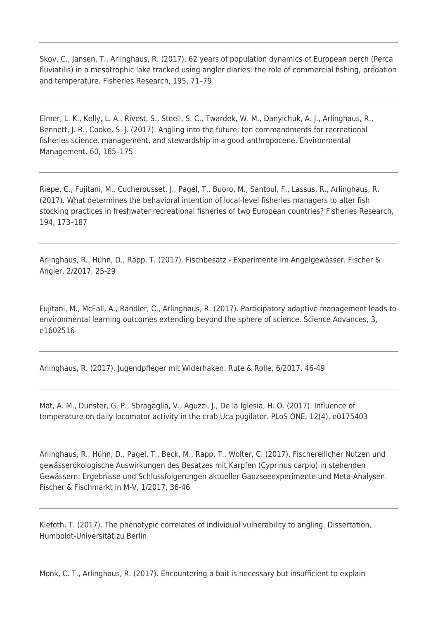Skov, C., Jansen, T., Arlinghaus, R. (2017). 62 years of population dynamics of European perch (Perca fluviatilis) in a mesotrophic lake tracked using angler diaries: the role of commercial fishing, predation and temperature. Fisheries Research, 195, 71–79

Elmer, L. K., Kelly, L. A., Rivest, S., Steell, S. C., Twardek, W. M., Danylchuk, A. J., Arlinghaus, R., Bennett, J. R., Cooke, S. J. (2017). Angling into the future: ten commandments for recreational fisheries science, management, and stewardship in a good anthropocene. Environmental Management, 60, 165–175

Riepe, C., Fujitani, M., Cucherousset, J., Pagel, T., Buoro, M., Santoul, F., Lassus, R., Arlinghaus, R. (2017). What determines the behavioral intention of local-level fisheries managers to alter fish stocking practices in freshwater recreational fisheries of two European countries? Fisheries Research, 194, 173–187

Arlinghaus, R., Hühn, D., Rapp, T. (2017). Fischbesatz - Experimente im Angelgewässer. Fischer & Angler, 2/2017, 25-29

Fujitani, M., McFall, A., Randler, C., Arlinghaus, R. (2017). Participatory adaptive management leads to environmental learning outcomes extending beyond the sphere of science. Science Advances, 3, e1602516

Arlinghaus, R. (2017). Jugendpfleger mit Widerhaken. Rute & Rolle, 6/2017, 46-49

Mat, A. M., Dunster, G. P., Sbragaglia, V., Aguzzi, J., De la Iglesia, H. O. (2017). Influence of temperature on daily locomotor activity in the crab Uca pugilator. PLoS ONE, 12(4), e0175403

Arlinghaus, R., Hühn, D., Pagel, T., Beck, M., Rapp, T., Wolter, C. (2017). Fischereilicher Nutzen und gewässerökologische Auswirkungen des Besatzes mit Karpfen (Cyprinus carpio) in stehenden Gewässern: Ergebnisse und Schlussfolgerungen aktueller Ganzseeexperimente und Meta-Analysen. Fischer & Fischmarkt in M-V, 1/2017, 36-46

Klefoth, T. (2017). The phenotypic correlates of individual vulnerability to angling. Dissertation, Humboldt-Universität zu Berlin

Monk, C. T., Arlinghaus, R. (2017). Encountering a bait is necessary but insufficient to explain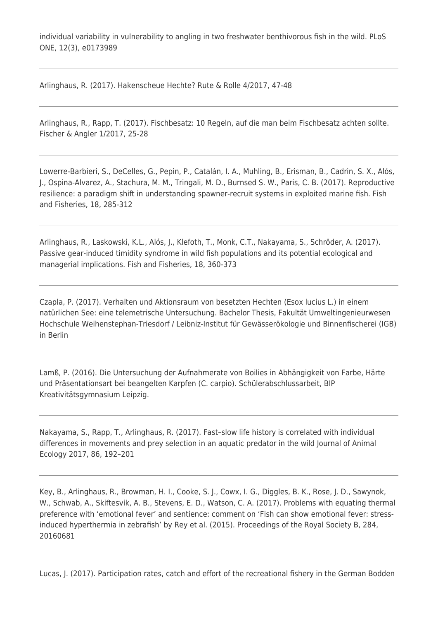individual variability in vulnerability to angling in two freshwater benthivorous fish in the wild. PLoS ONE, 12(3), e0173989

Arlinghaus, R. (2017). Hakenscheue Hechte? Rute & Rolle 4/2017, 47-48

Arlinghaus, R., Rapp, T. (2017). Fischbesatz: 10 Regeln, auf die man beim Fischbesatz achten sollte. Fischer & Angler 1/2017, 25-28

Lowerre-Barbieri, S., DeCelles, G., Pepin, P., Catalán, I. A., Muhling, B., Erisman, B., Cadrin, S. X., Alós, J., Ospina-Alvarez, A., Stachura, M. M., Tringali, M. D., Burnsed S. W., Paris, C. B. (2017). Reproductive resilience: a paradigm shift in understanding spawner-recruit systems in exploited marine fish. Fish and Fisheries, 18, 285-312

Arlinghaus, R., Laskowski, K.L., Alós, J., Klefoth, T., Monk, C.T., Nakayama, S., Schröder, A. (2017). Passive gear-induced timidity syndrome in wild fish populations and its potential ecological and managerial implications. Fish and Fisheries, 18, 360-373

Czapla, P. (2017). Verhalten und Aktionsraum von besetzten Hechten (Esox lucius L.) in einem natürlichen See: eine telemetrische Untersuchung. Bachelor Thesis, Fakultät Umweltingenieurwesen Hochschule Weihenstephan-Triesdorf / Leibniz-Institut für Gewässerökologie und Binnenfischerei (IGB) in Berlin

Lamß, P. (2016). Die Untersuchung der Aufnahmerate von Boilies in Abhängigkeit von Farbe, Härte und Präsentationsart bei beangelten Karpfen (C. carpio). Schülerabschlussarbeit, BIP Kreativitätsgymnasium Leipzig.

Nakayama, S., Rapp, T., Arlinghaus, R. (2017). Fast–slow life history is correlated with individual differences in movements and prey selection in an aquatic predator in the wild Journal of Animal Ecology 2017, 86, 192–201

Key, B., Arlinghaus, R., Browman, H. I., Cooke, S. J., Cowx, I. G., Diggles, B. K., Rose, J. D., Sawynok, W., Schwab, A., Skiftesvik, A. B., Stevens, E. D., Watson, C. A. (2017). Problems with equating thermal preference with 'emotional fever' and sentience: comment on 'Fish can show emotional fever: stressinduced hyperthermia in zebrafish' by Rey et al. (2015). Proceedings of the Royal Society B, 284, 20160681

Lucas, J. (2017). Participation rates, catch and effort of the recreational fishery in the German Bodden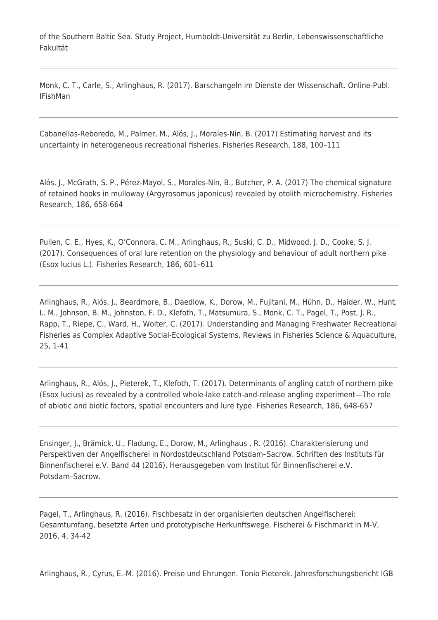of the Southern Baltic Sea. Study Project, Humboldt-Universität zu Berlin, Lebenswissenschaftliche Fakultät

Monk, C. T., Carle, S., Arlinghaus, R. (2017). Barschangeln im Dienste der Wissenschaft. Online-Publ. IFishMan

Cabanellas-Reboredo, M., Palmer, M., Alós, J., Morales-Nin, B. (2017) Estimating harvest and its uncertainty in heterogeneous recreational fisheries. Fisheries Research, 188, 100–111

Alós, J., McGrath, S. P., Pérez-Mayol, S., Morales-Nin, B., Butcher, P. A. (2017) The chemical signature of retained hooks in mulloway (Argyrosomus japonicus) revealed by otolith microchemistry. Fisheries Research, 186, 658-664

Pullen, C. E., Hyes, K., O'Connora, C. M., Arlinghaus, R., Suski, C. D., Midwood, J. D., Cooke, S. J. (2017). Consequences of oral lure retention on the physiology and behaviour of adult northern pike (Esox lucius L.). Fisheries Research, 186, 601–611

Arlinghaus, R., Alós, J., Beardmore, B., Daedlow, K., Dorow, M., Fujitani, M., Hühn, D., Haider, W., Hunt, L. M., Johnson, B. M., Johnston, F. D., Klefoth, T., Matsumura, S., Monk, C. T., Pagel, T., Post, J. R., Rapp, T., Riepe, C., Ward, H., Wolter, C. (2017). Understanding and Managing Freshwater Recreational Fisheries as Complex Adaptive Social-Ecological Systems, Reviews in Fisheries Science & Aquaculture, 25, 1-41

Arlinghaus, R., Alós, J., Pieterek, T., Klefoth, T. (2017). Determinants of angling catch of northern pike (Esox lucius) as revealed by a controlled whole-lake catch-and-release angling experiment—The role of abiotic and biotic factors, spatial encounters and lure type. Fisheries Research, 186, 648-657

Ensinger, J., Brämick, U., Fladung, E., Dorow, M., Arlinghaus , R. (2016). Charakterisierung und Perspektiven der Angelfischerei in Nordostdeutschland Potsdam–Sacrow. Schriften des Instituts für Binnenfischerei e.V. Band 44 (2016). Herausgegeben vom Institut für Binnenfischerei e.V. Potsdam–Sacrow.

Pagel, T., Arlinghaus, R. (2016). Fischbesatz in der organisierten deutschen Angelfischerei: Gesamtumfang, besetzte Arten und prototypische Herkunftswege. Fischerei & Fischmarkt in M-V, 2016, 4, 34-42

Arlinghaus, R., Cyrus, E.-M. (2016). Preise und Ehrungen. Tonio Pieterek. Jahresforschungsbericht IGB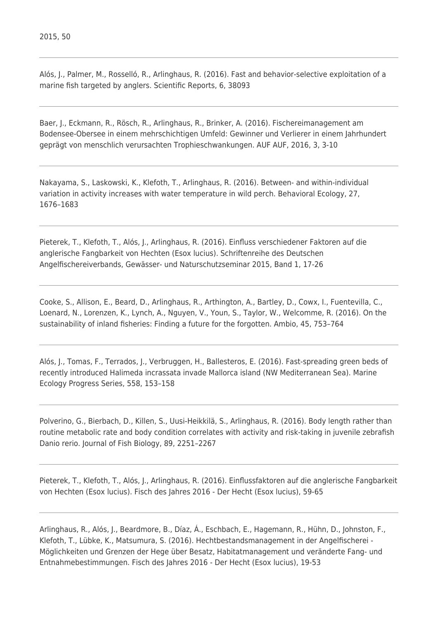Alós, J., Palmer, M., Rosselló, R., Arlinghaus, R. (2016). Fast and behavior-selective exploitation of a marine fish targeted by anglers. Scientific Reports, 6, 38093

Baer, J., Eckmann, R., Rösch, R., Arlinghaus, R., Brinker, A. (2016). Fischereimanagement am Bodensee-Obersee in einem mehrschichtigen Umfeld: Gewinner und Verlierer in einem Jahrhundert geprägt von menschlich verursachten Trophieschwankungen. AUF AUF, 2016, 3, 3-10

Nakayama, S., Laskowski, K., Klefoth, T., Arlinghaus, R. (2016). Between- and within-individual variation in activity increases with water temperature in wild perch. Behavioral Ecology, 27, 1676–1683

Pieterek, T., Klefoth, T., Alós, J., Arlinghaus, R. (2016). Einfluss verschiedener Faktoren auf die anglerische Fangbarkeit von Hechten (Esox lucius). Schriftenreihe des Deutschen Angelfischereiverbands, Gewässer- und Naturschutzseminar 2015, Band 1, 17-26

Cooke, S., Allison, E., Beard, D., Arlinghaus, R., Arthington, A., Bartley, D., Cowx, I., Fuentevilla, C., Loenard, N., Lorenzen, K., Lynch, A., Nguyen, V., Youn, S., Taylor, W., Welcomme, R. (2016). On the sustainability of inland fisheries: Finding a future for the forgotten. Ambio, 45, 753–764

Alós, J., Tomas, F., Terrados, J., Verbruggen, H., Ballesteros, E. (2016). Fast-spreading green beds of recently introduced Halimeda incrassata invade Mallorca island (NW Mediterranean Sea). Marine Ecology Progress Series, 558, 153–158

Polverino, G., Bierbach, D., Killen, S., Uusi-Heikkilä, S., Arlinghaus, R. (2016). Body length rather than routine metabolic rate and body condition correlates with activity and risk-taking in juvenile zebrafish Danio rerio. Journal of Fish Biology, 89, 2251–2267

Pieterek, T., Klefoth, T., Alós, J., Arlinghaus, R. (2016). Einflussfaktoren auf die anglerische Fangbarkeit von Hechten (Esox lucius). Fisch des Jahres 2016 - Der Hecht (Esox lucius), 59-65

Arlinghaus, R., Alós, J., Beardmore, B., Díaz, Á., Eschbach, E., Hagemann, R., Hühn, D., Johnston, F., Klefoth, T., Lübke, K., Matsumura, S. (2016). Hechtbestandsmanagement in der Angelfischerei - Möglichkeiten und Grenzen der Hege über Besatz, Habitatmanagement und veränderte Fang- und Entnahmebestimmungen. Fisch des Jahres 2016 - Der Hecht (Esox lucius), 19-53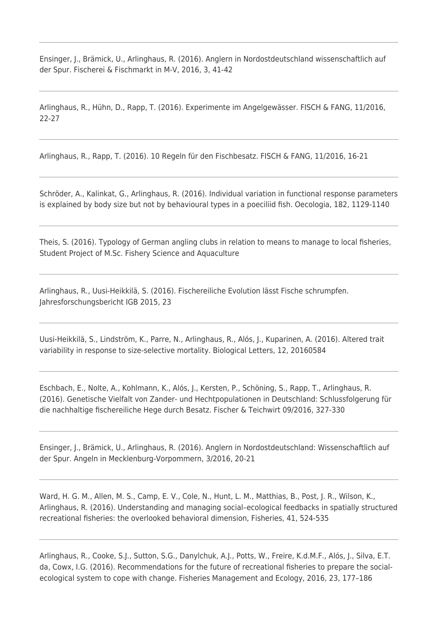Ensinger, J., Brämick, U., Arlinghaus, R. (2016). Anglern in Nordostdeutschland wissenschaftlich auf der Spur. Fischerei & Fischmarkt in M-V, 2016, 3, 41-42

Arlinghaus, R., Hühn, D., Rapp, T. (2016). Experimente im Angelgewässer. FISCH & FANG, 11/2016, 22-27

Arlinghaus, R., Rapp, T. (2016). 10 Regeln für den Fischbesatz. FISCH & FANG, 11/2016, 16-21

Schröder, A., Kalinkat, G., Arlinghaus, R. (2016). Individual variation in functional response parameters is explained by body size but not by behavioural types in a poeciliid fish. Oecologia, 182, 1129-1140

Theis, S. (2016). Typology of German angling clubs in relation to means to manage to local fisheries, Student Project of M.Sc. Fishery Science and Aquaculture

Arlinghaus, R., Uusi-Heikkilä, S. (2016). Fischereiliche Evolution lässt Fische schrumpfen. Jahresforschungsbericht IGB 2015, 23

Uusi-Heikkilä, S., Lindström, K., Parre, N., Arlinghaus, R., Alós, J., Kuparinen, A. (2016). Altered trait variability in response to size-selective mortality. Biological Letters, 12, 20160584

Eschbach, E., Nolte, A., Kohlmann, K., Alós, J., Kersten, P., Schöning, S., Rapp, T., Arlinghaus, R. (2016). Genetische Vielfalt von Zander- und Hechtpopulationen in Deutschland: Schlussfolgerung für die nachhaltige fischereiliche Hege durch Besatz. Fischer & Teichwirt 09/2016, 327-330

Ensinger, J., Brämick, U., Arlinghaus, R. (2016). Anglern in Nordostdeutschland: Wissenschaftlich auf der Spur. Angeln in Mecklenburg-Vorpommern, 3/2016, 20-21

Ward, H. G. M., Allen, M. S., Camp, E. V., Cole, N., Hunt, L. M., Matthias, B., Post, J. R., Wilson, K., Arlinghaus, R. (2016). Understanding and managing social–ecological feedbacks in spatially structured recreational fisheries: the overlooked behavioral dimension, Fisheries, 41, 524-535

Arlinghaus, R., Cooke, S.J., Sutton, S.G., Danylchuk, A.J., Potts, W., Freire, K.d.M.F., Alós, J., Silva, E.T. da, Cowx, I.G. (2016). Recommendations for the future of recreational fisheries to prepare the socialecological system to cope with change. Fisheries Management and Ecology, 2016, 23, 177–186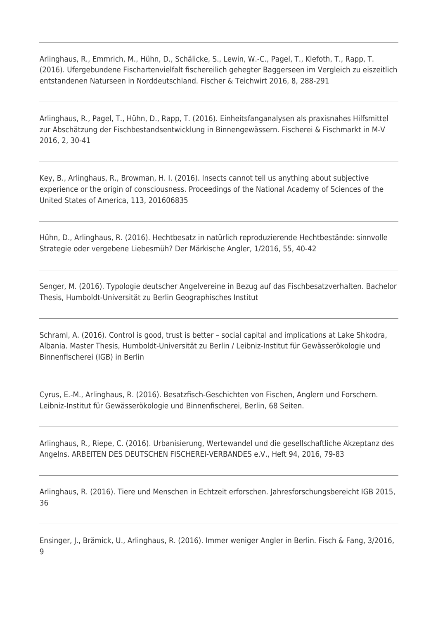Arlinghaus, R., Emmrich, M., Hühn, D., Schälicke, S., Lewin, W.-C., Pagel, T., Klefoth, T., Rapp, T. (2016). Ufergebundene Fischartenvielfalt fischereilich gehegter Baggerseen im Vergleich zu eiszeitlich entstandenen Naturseen in Norddeutschland. Fischer & Teichwirt 2016, 8, 288-291

Arlinghaus, R., Pagel, T., Hühn, D., Rapp, T. (2016). Einheitsfanganalysen als praxisnahes Hilfsmittel zur Abschätzung der Fischbestandsentwicklung in Binnengewässern. Fischerei & Fischmarkt in M-V 2016, 2, 30-41

Key, B., Arlinghaus, R., Browman, H. I. (2016). Insects cannot tell us anything about subjective experience or the origin of consciousness. Proceedings of the National Academy of Sciences of the United States of America, 113, 201606835

Hühn, D., Arlinghaus, R. (2016). Hechtbesatz in natürlich reproduzierende Hechtbestände: sinnvolle Strategie oder vergebene Liebesmüh? Der Märkische Angler, 1/2016, 55, 40-42

Senger, M. (2016). Typologie deutscher Angelvereine in Bezug auf das Fischbesatzverhalten. Bachelor Thesis, Humboldt-Universität zu Berlin Geographisches Institut

Schraml, A. (2016). Control is good, trust is better – social capital and implications at Lake Shkodra, Albania. Master Thesis, Humboldt-Universität zu Berlin / Leibniz-Institut für Gewässerökologie und Binnenfischerei (IGB) in Berlin

Cyrus, E.-M., Arlinghaus, R. (2016). Besatzfisch-Geschichten von Fischen, Anglern und Forschern. Leibniz-Institut für Gewässerökologie und Binnenfischerei, Berlin, 68 Seiten.

Arlinghaus, R., Riepe, C. (2016). Urbanisierung, Wertewandel und die gesellschaftliche Akzeptanz des Angelns. ARBEITEN DES DEUTSCHEN FISCHEREI-VERBANDES e.V., Heft 94, 2016, 79-83

Arlinghaus, R. (2016). Tiere und Menschen in Echtzeit erforschen. Jahresforschungsbereicht IGB 2015, 36

Ensinger, J., Brämick, U., Arlinghaus, R. (2016). Immer weniger Angler in Berlin. Fisch & Fang, 3/2016, 9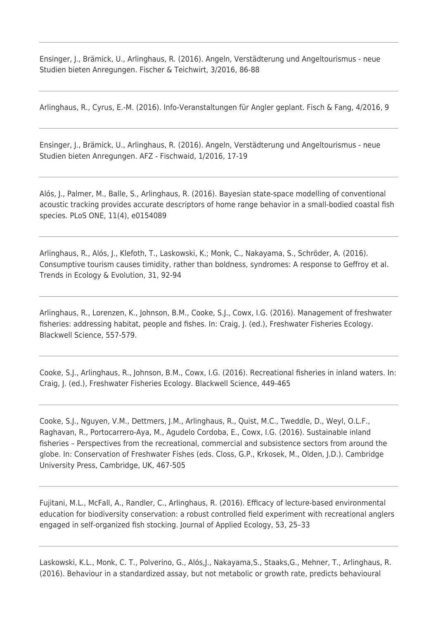Ensinger, J., Brämick, U., Arlinghaus, R. (2016). Angeln, Verstädterung und Angeltourismus - neue Studien bieten Anregungen. Fischer & Teichwirt, 3/2016, 86-88

Arlinghaus, R., Cyrus, E.-M. (2016). Info-Veranstaltungen für Angler geplant. Fisch & Fang, 4/2016, 9

Ensinger, J., Brämick, U., Arlinghaus, R. (2016). Angeln, Verstädterung und Angeltourismus - neue Studien bieten Anregungen. AFZ - Fischwaid, 1/2016, 17-19

Alós, J., Palmer, M., Balle, S., Arlinghaus, R. (2016). Bayesian state-space modelling of conventional acoustic tracking provides accurate descriptors of home range behavior in a small-bodied coastal fish species. PLoS ONE, 11(4), e0154089

Arlinghaus, R., Alós, J., Klefoth, T., Laskowski, K.; Monk, C., Nakayama, S., Schröder, A. (2016). Consumptive tourism causes timidity, rather than boldness, syndromes: A response to Geffroy et al. Trends in Ecology & Evolution, 31, 92-94

Arlinghaus, R., Lorenzen, K., Johnson, B.M., Cooke, S.J., Cowx, I.G. (2016). Management of freshwater fisheries: addressing habitat, people and fishes. In: Craig, J. (ed.), Freshwater Fisheries Ecology. Blackwell Science, 557-579.

Cooke, S.J., Arlinghaus, R., Johnson, B.M., Cowx, I.G. (2016). Recreational fisheries in inland waters. In: Craig, J. (ed.), Freshwater Fisheries Ecology. Blackwell Science, 449-465

Cooke, S.J., Nguyen, V.M., Dettmers, J.M., Arlinghaus, R., Quist, M.C., Tweddle, D., Weyl, O.L.F., Raghavan, R., Portocarrero-Aya, M., Agudelo Cordoba, E., Cowx, I.G. (2016). Sustainable inland fisheries – Perspectives from the recreational, commercial and subsistence sectors from around the globe. In: Conservation of Freshwater Fishes (eds. Closs, G.P., Krkosek, M., Olden, J.D.). Cambridge University Press, Cambridge, UK, 467-505

Fujitani, M.L., McFall, A., Randler, C., Arlinghaus, R. (2016). Efficacy of lecture-based environmental education for biodiversity conservation: a robust controlled field experiment with recreational anglers engaged in self-organized fish stocking. Journal of Applied Ecology, 53, 25–33

Laskowski, K.L., Monk, C. T., Polverino, G., Alós,J., Nakayama,S., Staaks,G., Mehner, T., Arlinghaus, R. (2016). Behaviour in a standardized assay, but not metabolic or growth rate, predicts behavioural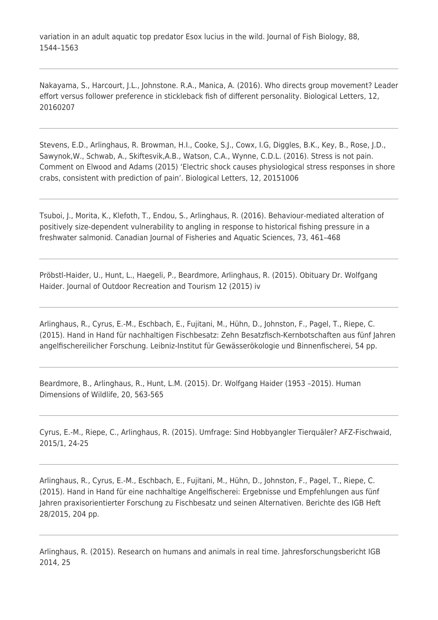variation in an adult aquatic top predator Esox lucius in the wild. Journal of Fish Biology, 88, 1544–1563

Nakayama, S., Harcourt, J.L., Johnstone. R.A., Manica, A. (2016). Who directs group movement? Leader effort versus follower preference in stickleback fish of different personality. Biological Letters, 12, 20160207

Stevens, E.D., Arlinghaus, R. Browman, H.I., Cooke, S.J., Cowx, I.G, Diggles, B.K., Key, B., Rose, J.D., Sawynok,W., Schwab, A., Skiftesvik,A.B., Watson, C.A., Wynne, C.D.L. (2016). Stress is not pain. Comment on Elwood and Adams (2015) 'Electric shock causes physiological stress responses in shore crabs, consistent with prediction of pain'. Biological Letters, 12, 20151006

Tsuboi, J., Morita, K., Klefoth, T., Endou, S., Arlinghaus, R. (2016). Behaviour-mediated alteration of positively size-dependent vulnerability to angling in response to historical fishing pressure in a freshwater salmonid. Canadian Journal of Fisheries and Aquatic Sciences, 73, 461–468

Pröbstl-Haider, U., Hunt, L., Haegeli, P., Beardmore, Arlinghaus, R. (2015). Obituary Dr. Wolfgang Haider. Journal of Outdoor Recreation and Tourism 12 (2015) iv

Arlinghaus, R., Cyrus, E.-M., Eschbach, E., Fujitani, M., Hühn, D., Johnston, F., Pagel, T., Riepe, C. (2015). Hand in Hand für nachhaltigen Fischbesatz: Zehn Besatzfisch-Kernbotschaften aus fünf Jahren angelfischereilicher Forschung. Leibniz-Institut für Gewässerökologie und Binnenfischerei, 54 pp.

Beardmore, B., Arlinghaus, R., Hunt, L.M. (2015). Dr. Wolfgang Haider (1953 –2015). Human Dimensions of Wildlife, 20, 563-565

Cyrus, E.-M., Riepe, C., Arlinghaus, R. (2015). Umfrage: Sind Hobbyangler Tierquäler? AFZ-Fischwaid, 2015/1, 24-25

Arlinghaus, R., Cyrus, E.-M., Eschbach, E., Fujitani, M., Hühn, D., Johnston, F., Pagel, T., Riepe, C. (2015). Hand in Hand für eine nachhaltige Angelfischerei: Ergebnisse und Empfehlungen aus fünf Jahren praxisorientierter Forschung zu Fischbesatz und seinen Alternativen. Berichte des IGB Heft 28/2015, 204 pp.

Arlinghaus, R. (2015). Research on humans and animals in real time. Jahresforschungsbericht IGB 2014, 25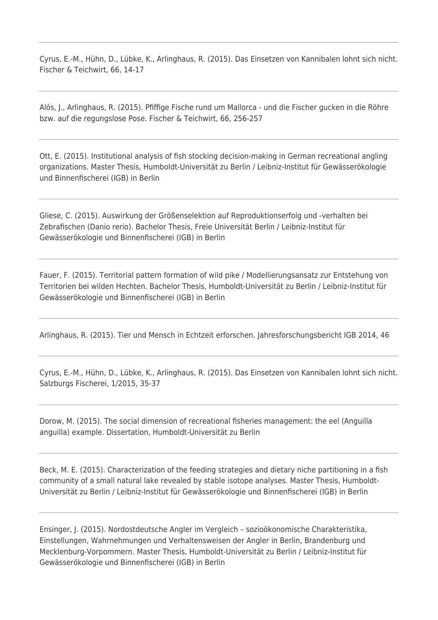Cyrus, E.-M., Hühn, D., Lübke, K., Arlinghaus, R. (2015). Das Einsetzen von Kannibalen lohnt sich nicht. Fischer & Teichwirt, 66, 14-17

Alós, J., Arlinghaus, R. (2015). Pfiffige Fische rund um Mallorca - und die Fischer gucken in die Röhre bzw. auf die regungslose Pose. Fischer & Teichwirt, 66, 256-257

Ott, E. (2015). Institutional analysis of fish stocking decision-making in German recreational angling organizations. Master Thesis, Humboldt-Universität zu Berlin / Leibniz-Institut für Gewässerökologie und Binnenfischerei (IGB) in Berlin

Gliese, C. (2015). Auswirkung der Größenselektion auf Reproduktionserfolg und -verhalten bei Zebrafischen (Danio rerio). Bachelor Thesis, Freie Universität Berlin / Leibniz-Institut für Gewässerökologie und Binnenfischerei (IGB) in Berlin

Fauer, F. (2015). Territorial pattern formation of wild pike / Modellierungsansatz zur Entstehung von Territorien bei wilden Hechten. Bachelor Thesis, Humboldt-Universität zu Berlin / Leibniz-Institut für Gewässerökologie und Binnenfischerei (IGB) in Berlin

Arlinghaus, R. (2015). Tier und Mensch in Echtzeit erforschen. Jahresforschungsbericht IGB 2014, 46

Cyrus, E.-M., Hühn, D., Lübke, K., Arlinghaus, R. (2015). Das Einsetzen von Kannibalen lohnt sich nicht. Salzburgs Fischerei, 1/2015, 35-37

Dorow, M. (2015). The social dimension of recreational fisheries management: the eel (Anguilla anguilla) example. Dissertation, Humboldt-Universität zu Berlin

Beck, M. E. (2015). Characterization of the feeding strategies and dietary niche partitioning in a fish community of a small natural lake revealed by stable isotope analyses. Master Thesis, Humboldt-Universität zu Berlin / Leibniz-Institut für Gewässerökologie und Binnenfischerei (IGB) in Berlin

Ensinger, J. (2015). Nordostdeutsche Angler im Vergleich – sozioökonomische Charakteristika, Einstellungen, Wahrnehmungen und Verhaltensweisen der Angler in Berlin, Brandenburg und Mecklenburg-Vorpommern. Master Thesis, Humboldt-Universität zu Berlin / Leibniz-Institut für Gewässerökologie und Binnenfischerei (IGB) in Berlin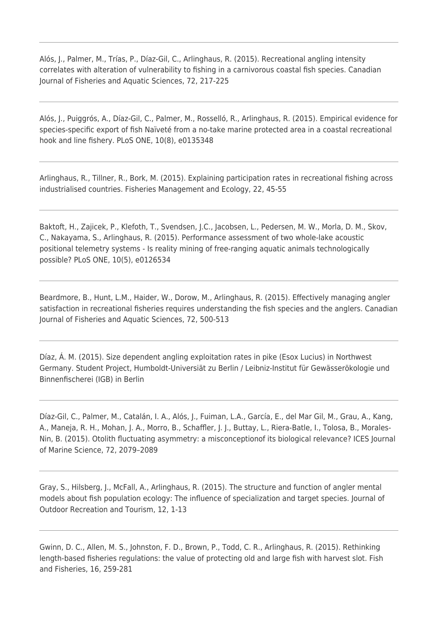Alós, J., Palmer, M., Trías, P., Díaz-Gil, C., Arlinghaus, R. (2015). Recreational angling intensity correlates with alteration of vulnerability to fishing in a carnivorous coastal fish species. Canadian Journal of Fisheries and Aquatic Sciences, 72, 217-225

Alós, J., Puiggrós, A., Díaz-Gil, C., Palmer, M., Rosselló, R., Arlinghaus, R. (2015). Empirical evidence for species-specific export of fish Naïveté from a no-take marine protected area in a coastal recreational hook and line fishery. PLoS ONE, 10(8), e0135348

Arlinghaus, R., Tillner, R., Bork, M. (2015). Explaining participation rates in recreational fishing across industrialised countries. Fisheries Management and Ecology, 22, 45-55

Baktoft, H., Zajicek, P., Klefoth, T., Svendsen, J.C., Jacobsen, L., Pedersen, M. W., Morla, D. M., Skov, C., Nakayama, S., Arlinghaus, R. (2015). Performance assessment of two whole-lake acoustic positional telemetry systems - Is reality mining of free-ranging aquatic animals technologically possible? PLoS ONE, 10(5), e0126534

Beardmore, B., Hunt, L.M., Haider, W., Dorow, M., Arlinghaus, R. (2015). Effectively managing angler satisfaction in recreational fisheries requires understanding the fish species and the anglers. Canadian Journal of Fisheries and Aquatic Sciences, 72, 500-513

Díaz, Á. M. (2015). Size dependent angling exploitation rates in pike (Esox Lucius) in Northwest Germany. Student Project, Humboldt-Universiät zu Berlin / Leibniz-Institut für Gewässerökologie und Binnenfischerei (IGB) in Berlin

Díaz-Gil, C., Palmer, M., Catalán, I. A., Alós, J., Fuiman, L.A., García, E., del Mar Gil, M., Grau, A., Kang, A., Maneja, R. H., Mohan, J. A., Morro, B., Schaffler, J. J., Buttay, L., Riera-Batle, I., Tolosa, B., Morales-Nin, B. (2015). Otolith fluctuating asymmetry: a misconceptionof its biological relevance? ICES Journal of Marine Science, 72, 2079–2089

Gray, S., Hilsberg, J., McFall, A., Arlinghaus, R. (2015). The structure and function of angler mental models about fish population ecology: The influence of specialization and target species. Journal of Outdoor Recreation and Tourism, 12, 1-13

Gwinn, D. C., Allen, M. S., Johnston, F. D., Brown, P., Todd, C. R., Arlinghaus, R. (2015). Rethinking length-based fisheries regulations: the value of protecting old and large fish with harvest slot. Fish and Fisheries, 16, 259-281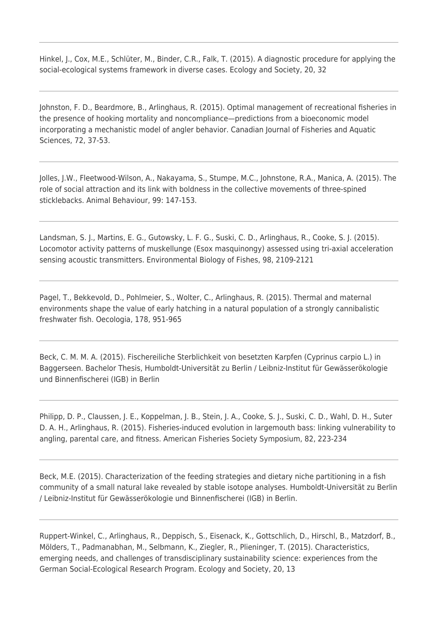Hinkel, J., Cox, M.E., Schlüter, M., Binder, C.R., Falk, T. (2015). A diagnostic procedure for applying the social-ecological systems framework in diverse cases. Ecology and Society, 20, 32

Johnston, F. D., Beardmore, B., Arlinghaus, R. (2015). Optimal management of recreational fisheries in the presence of hooking mortality and noncompliance—predictions from a bioeconomic model incorporating a mechanistic model of angler behavior. Canadian Journal of Fisheries and Aquatic Sciences, 72, 37-53.

Jolles, J.W., Fleetwood-Wilson, A., Nakayama, S., Stumpe, M.C., Johnstone, R.A., Manica, A. (2015). The role of social attraction and its link with boldness in the collective movements of three-spined sticklebacks. Animal Behaviour, 99: 147-153.

Landsman, S. J., Martins, E. G., Gutowsky, L. F. G., Suski, C. D., Arlinghaus, R., Cooke, S. J. (2015). Locomotor activity patterns of muskellunge (Esox masquinongy) assessed using tri-axial acceleration sensing acoustic transmitters. Environmental Biology of Fishes, 98, 2109-2121

Pagel, T., Bekkevold, D., Pohlmeier, S., Wolter, C., Arlinghaus, R. (2015). Thermal and maternal environments shape the value of early hatching in a natural population of a strongly cannibalistic freshwater fish. Oecologia, 178, 951-965

Beck, C. M. M. A. (2015). Fischereiliche Sterblichkeit von besetzten Karpfen (Cyprinus carpio L.) in Baggerseen. Bachelor Thesis, Humboldt-Universität zu Berlin / Leibniz-Institut für Gewässerökologie und Binnenfischerei (IGB) in Berlin

Philipp, D. P., Claussen, J. E., Koppelman, J. B., Stein, J. A., Cooke, S. J., Suski, C. D., Wahl, D. H., Suter D. A. H., Arlinghaus, R. (2015). Fisheries-induced evolution in largemouth bass: linking vulnerability to angling, parental care, and fitness. American Fisheries Society Symposium, 82, 223-234

Beck, M.E. (2015). Characterization of the feeding strategies and dietary niche partitioning in a fish community of a small natural lake revealed by stable isotope analyses. Humboldt-Universität zu Berlin / Leibniz-Institut für Gewässerökologie und Binnenfischerei (IGB) in Berlin.

Ruppert-Winkel, C., Arlinghaus, R., Deppisch, S., Eisenack, K., Gottschlich, D., Hirschl, B., Matzdorf, B., Mölders, T., Padmanabhan, M., Selbmann, K., Ziegler, R., Plieninger, T. (2015). Characteristics, emerging needs, and challenges of transdisciplinary sustainability science: experiences from the German Social-Ecological Research Program. Ecology and Society, 20, 13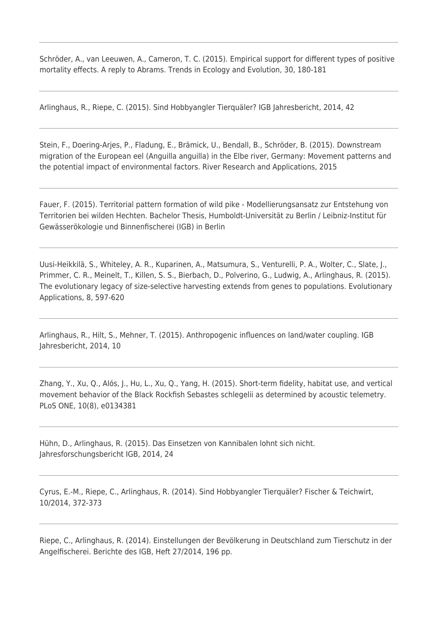Schröder, A., van Leeuwen, A., Cameron, T. C. (2015). Empirical support for different types of positive mortality effects. A reply to Abrams. Trends in Ecology and Evolution, 30, 180-181

Arlinghaus, R., Riepe, C. (2015). Sind Hobbyangler Tierquäler? IGB Jahresbericht, 2014, 42

Stein, F., Doering-Arjes, P., Fladung, E., Brämick, U., Bendall, B., Schröder, B. (2015). Downstream migration of the European eel (Anguilla anguilla) in the Elbe river, Germany: Movement patterns and the potential impact of environmental factors. River Research and Applications, 2015

Fauer, F. (2015). Territorial pattern formation of wild pike - Modellierungsansatz zur Entstehung von Territorien bei wilden Hechten. Bachelor Thesis, Humboldt-Universität zu Berlin / Leibniz-Institut für Gewässerökologie und Binnenfischerei (IGB) in Berlin

Uusi-Heikkilä, S., Whiteley, A. R., Kuparinen, A., Matsumura, S., Venturelli, P. A., Wolter, C., Slate, J., Primmer, C. R., Meinelt, T., Killen, S. S., Bierbach, D., Polverino, G., Ludwig, A., Arlinghaus, R. (2015). The evolutionary legacy of size-selective harvesting extends from genes to populations. Evolutionary Applications, 8, 597-620

Arlinghaus, R., Hilt, S., Mehner, T. (2015). Anthropogenic influences on land/water coupling. IGB Jahresbericht, 2014, 10

Zhang, Y., Xu, Q., Alós, J., Hu, L., Xu, Q., Yang, H. (2015). Short-term fidelity, habitat use, and vertical movement behavior of the Black Rockfish Sebastes schlegelii as determined by acoustic telemetry. PLoS ONE, 10(8), e0134381

Hühn, D., Arlinghaus, R. (2015). Das Einsetzen von Kannibalen lohnt sich nicht. Jahresforschungsbericht IGB, 2014, 24

Cyrus, E.-M., Riepe, C., Arlinghaus, R. (2014). Sind Hobbyangler Tierquäler? Fischer & Teichwirt, 10/2014, 372-373

Riepe, C., Arlinghaus, R. (2014). Einstellungen der Bevölkerung in Deutschland zum Tierschutz in der Angelfischerei. Berichte des IGB, Heft 27/2014, 196 pp.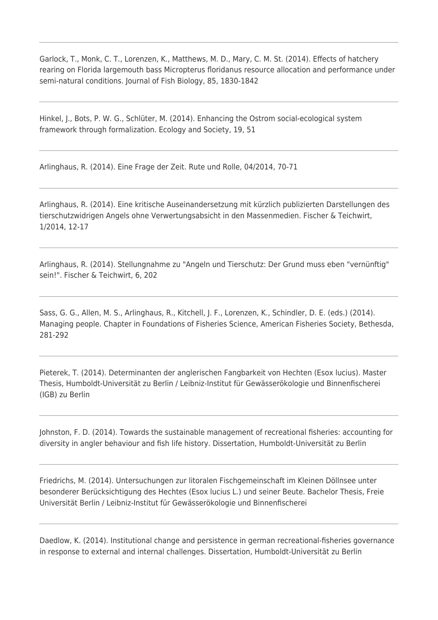Garlock, T., Monk, C. T., Lorenzen, K., Matthews, M. D., Mary, C. M. St. (2014). Effects of hatchery rearing on Florida largemouth bass Micropterus floridanus resource allocation and performance under semi-natural conditions. Journal of Fish Biology, 85, 1830-1842

Hinkel, J., Bots, P. W. G., Schlüter, M. (2014). Enhancing the Ostrom social-ecological system framework through formalization. Ecology and Society, 19, 51

Arlinghaus, R. (2014). Eine Frage der Zeit. Rute und Rolle, 04/2014, 70-71

Arlinghaus, R. (2014). Eine kritische Auseinandersetzung mit kürzlich publizierten Darstellungen des tierschutzwidrigen Angels ohne Verwertungsabsicht in den Massenmedien. Fischer & Teichwirt, 1/2014, 12-17

Arlinghaus, R. (2014). Stellungnahme zu "Angeln und Tierschutz: Der Grund muss eben "vernünftig" sein!". Fischer & Teichwirt, 6, 202

Sass, G. G., Allen, M. S., Arlinghaus, R., Kitchell, J. F., Lorenzen, K., Schindler, D. E. (eds.) (2014). Managing people. Chapter in Foundations of Fisheries Science, American Fisheries Society, Bethesda, 281-292

Pieterek, T. (2014). Determinanten der anglerischen Fangbarkeit von Hechten (Esox lucius). Master Thesis, Humboldt-Universität zu Berlin / Leibniz-Institut für Gewässerökologie und Binnenfischerei (IGB) zu Berlin

Johnston, F. D. (2014). Towards the sustainable management of recreational fisheries: accounting for diversity in angler behaviour and fish life history. Dissertation, Humboldt-Universität zu Berlin

Friedrichs, M. (2014). Untersuchungen zur litoralen Fischgemeinschaft im Kleinen Döllnsee unter besonderer Berücksichtigung des Hechtes (Esox lucius L.) und seiner Beute. Bachelor Thesis, Freie Universität Berlin / Leibniz-Institut für Gewässerökologie und Binnenfischerei

Daedlow, K. (2014). Institutional change and persistence in german recreational-fisheries governance in response to external and internal challenges. Dissertation, Humboldt-Universität zu Berlin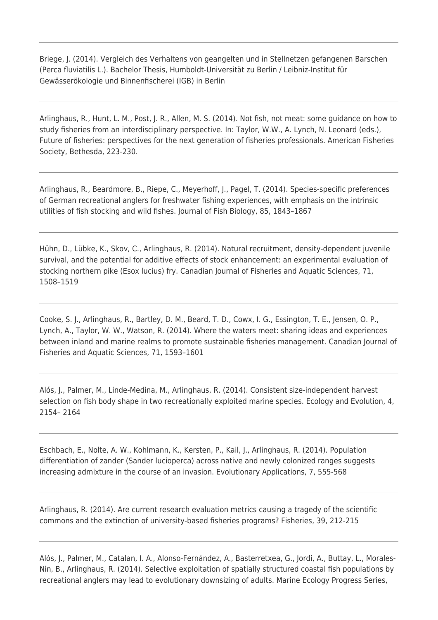Briege, J. (2014). Vergleich des Verhaltens von geangelten und in Stellnetzen gefangenen Barschen (Perca fluviatilis L.). Bachelor Thesis, Humboldt-Universität zu Berlin / Leibniz-Institut für Gewässerökologie und Binnenfischerei (IGB) in Berlin

Arlinghaus, R., Hunt, L. M., Post, J. R., Allen, M. S. (2014). Not fish, not meat: some guidance on how to study fisheries from an interdisciplinary perspective. In: Taylor, W.W., A. Lynch, N. Leonard (eds.), Future of fisheries: perspectives for the next generation of fisheries professionals. American Fisheries Society, Bethesda, 223-230.

Arlinghaus, R., Beardmore, B., Riepe, C., Meyerhoff, J., Pagel, T. (2014). Species-specific preferences of German recreational anglers for freshwater fishing experiences, with emphasis on the intrinsic utilities of fish stocking and wild fishes. Journal of Fish Biology, 85, 1843–1867

Hühn, D., Lübke, K., Skov, C., Arlinghaus, R. (2014). Natural recruitment, density-dependent juvenile survival, and the potential for additive effects of stock enhancement: an experimental evaluation of stocking northern pike (Esox lucius) fry. Canadian Journal of Fisheries and Aquatic Sciences, 71, 1508–1519

Cooke, S. J., Arlinghaus, R., Bartley, D. M., Beard, T. D., Cowx, I. G., Essington, T. E., Jensen, O. P., Lynch, A., Taylor, W. W., Watson, R. (2014). Where the waters meet: sharing ideas and experiences between inland and marine realms to promote sustainable fisheries management. Canadian Journal of Fisheries and Aquatic Sciences, 71, 1593–1601

Alós, J., Palmer, M., Linde-Medina, M., Arlinghaus, R. (2014). Consistent size-independent harvest selection on fish body shape in two recreationally exploited marine species. Ecology and Evolution, 4, 2154– 2164

Eschbach, E., Nolte, A. W., Kohlmann, K., Kersten, P., Kail, J., Arlinghaus, R. (2014). Population differentiation of zander (Sander lucioperca) across native and newly colonized ranges suggests increasing admixture in the course of an invasion. Evolutionary Applications, 7, 555-568

Arlinghaus, R. (2014). Are current research evaluation metrics causing a tragedy of the scientific commons and the extinction of university-based fisheries programs? Fisheries, 39, 212-215

Alós, J., Palmer, M., Catalan, I. A., Alonso-Fernández, A., Basterretxea, G., Jordi, A., Buttay, L., Morales-Nin, B., Arlinghaus, R. (2014). Selective exploitation of spatially structured coastal fish populations by recreational anglers may lead to evolutionary downsizing of adults. Marine Ecology Progress Series,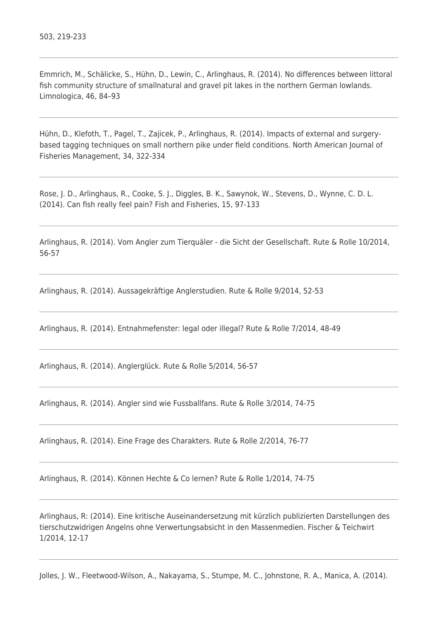Emmrich, M., Schälicke, S., Hühn, D., Lewin, C., Arlinghaus, R. (2014). No differences between littoral fish community structure of smallnatural and gravel pit lakes in the northern German lowlands. Limnologica, 46, 84–93

Hühn, D., Klefoth, T., Pagel, T., Zajicek, P., Arlinghaus, R. (2014). Impacts of external and surgerybased tagging techniques on small northern pike under field conditions. North American Journal of Fisheries Management, 34, 322-334

Rose, J. D., Arlinghaus, R., Cooke, S. J., Diggles, B. K., Sawynok, W., Stevens, D., Wynne, C. D. L. (2014). Can fish really feel pain? Fish and Fisheries, 15, 97-133

Arlinghaus, R. (2014). Vom Angler zum Tierquäler - die Sicht der Gesellschaft. Rute & Rolle 10/2014, 56-57

Arlinghaus, R. (2014). Aussagekräftige Anglerstudien. Rute & Rolle 9/2014, 52-53

Arlinghaus, R. (2014). Entnahmefenster: legal oder illegal? Rute & Rolle 7/2014, 48-49

Arlinghaus, R. (2014). Anglerglück. Rute & Rolle 5/2014, 56-57

Arlinghaus, R. (2014). Angler sind wie Fussballfans. Rute & Rolle 3/2014, 74-75

Arlinghaus, R. (2014). Eine Frage des Charakters. Rute & Rolle 2/2014, 76-77

Arlinghaus, R. (2014). Können Hechte & Co lernen? Rute & Rolle 1/2014, 74-75

Arlinghaus, R: (2014). Eine kritische Auseinandersetzung mit kürzlich publizierten Darstellungen des tierschutzwidrigen Angelns ohne Verwertungsabsicht in den Massenmedien. Fischer & Teichwirt 1/2014, 12-17

Jolles, J. W., Fleetwood-Wilson, A., Nakayama, S., Stumpe, M. C., Johnstone, R. A., Manica, A. (2014).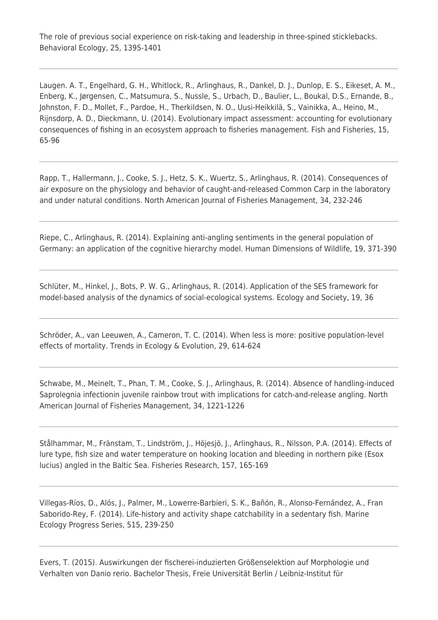The role of previous social experience on risk-taking and leadership in three-spined sticklebacks. Behavioral Ecology, 25, 1395-1401

Laugen. A. T., Engelhard, G. H., Whitlock, R., Arlinghaus, R., Dankel, D. J., Dunlop, E. S., Eikeset, A. M., Enberg, K., Jørgensen, C., Matsumura, S., Nussle, S., Urbach, D., Baulier, L., Boukal, D.S., Ernande, B., Johnston, F. D., Mollet, F., Pardoe, H., Therkildsen, N. O., Uusi-Heikkilä, S., Vainikka, A., Heino, M., Rijnsdorp, A. D., Dieckmann, U. (2014). Evolutionary impact assessment: accounting for evolutionary consequences of fishing in an ecosystem approach to fisheries management. Fish and Fisheries, 15, 65-96

Rapp, T., Hallermann, J., Cooke, S. J., Hetz, S. K., Wuertz, S., Arlinghaus, R. (2014). Consequences of air exposure on the physiology and behavior of caught-and-released Common Carp in the laboratory and under natural conditions. North American Journal of Fisheries Management, 34, 232-246

Riepe, C., Arlinghaus, R. (2014). Explaining anti-angling sentiments in the general population of Germany: an application of the cognitive hierarchy model. Human Dimensions of Wildlife, 19, 371-390

Schlüter, M., Hinkel, J., Bots, P. W. G., Arlinghaus, R. (2014). Application of the SES framework for model-based analysis of the dynamics of social-ecological systems. Ecology and Society, 19, 36

Schröder, A., van Leeuwen, A., Cameron, T. C. (2014). When less is more: positive population-level effects of mortality. Trends in Ecology & Evolution, 29, 614-624

Schwabe, M., Meinelt, T., Phan, T. M., Cooke, S. J., Arlinghaus, R. (2014). Absence of handling-induced Saprolegnia infectionin juvenile rainbow trout with implications for catch-and-release angling. North American Journal of Fisheries Management, 34, 1221-1226

Stålhammar, M., Fränstam, T., Lindström, J., Höjesjö, J., Arlinghaus, R., Nilsson, P.A. (2014). Effects of lure type, fish size and water temperature on hooking location and bleeding in northern pike (Esox lucius) angled in the Baltic Sea. Fisheries Research, 157, 165-169

Villegas-Ríos, D., Alós, J., Palmer, M., Lowerre-Barbieri, S. K., Bañón, R., Alonso-Fernández, A., Fran Saborido-Rey, F. (2014). Life-history and activity shape catchability in a sedentary fish. Marine Ecology Progress Series, 515, 239-250

Evers, T. (2015). Auswirkungen der fischerei-induzierten Größenselektion auf Morphologie und Verhalten von Danio rerio. Bachelor Thesis, Freie Universität Berlin / Leibniz-Institut für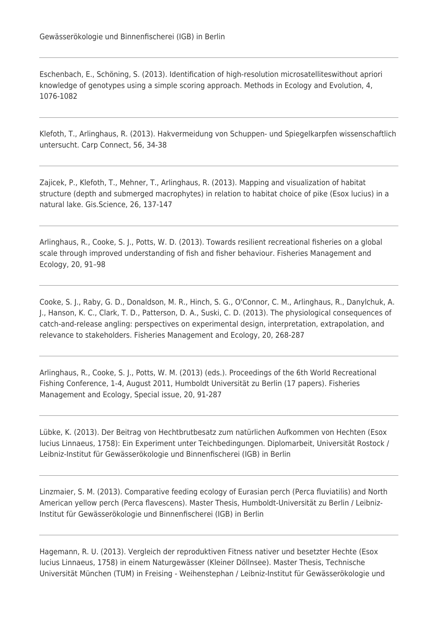Eschenbach, E., Schöning, S. (2013). Identification of high-resolution microsatelliteswithout apriori knowledge of genotypes using a simple scoring approach. Methods in Ecology and Evolution, 4, 1076-1082

Klefoth, T., Arlinghaus, R. (2013). Hakvermeidung von Schuppen- und Spiegelkarpfen wissenschaftlich untersucht. Carp Connect, 56, 34-38

Zajicek, P., Klefoth, T., Mehner, T., Arlinghaus, R. (2013). Mapping and visualization of habitat structure (depth and submerged macrophytes) in relation to habitat choice of pike (Esox lucius) in a natural lake. Gis.Science, 26, 137-147

Arlinghaus, R., Cooke, S. J., Potts, W. D. (2013). Towards resilient recreational fisheries on a global scale through improved understanding of fish and fisher behaviour. Fisheries Management and Ecology, 20, 91–98

Cooke, S. J., Raby, G. D., Donaldson, M. R., Hinch, S. G., O'Connor, C. M., Arlinghaus, R., Danylchuk, A. J., Hanson, K. C., Clark, T. D., Patterson, D. A., Suski, C. D. (2013). The physiological consequences of catch-and-release angling: perspectives on experimental design, interpretation, extrapolation, and relevance to stakeholders. Fisheries Management and Ecology, 20, 268-287

Arlinghaus, R., Cooke, S. J., Potts, W. M. (2013) (eds.). Proceedings of the 6th World Recreational Fishing Conference, 1-4, August 2011, Humboldt Universität zu Berlin (17 papers). Fisheries Management and Ecology, Special issue, 20, 91-287

Lübke, K. (2013). Der Beitrag von Hechtbrutbesatz zum natürlichen Aufkommen von Hechten (Esox lucius Linnaeus, 1758): Ein Experiment unter Teichbedingungen. Diplomarbeit, Universität Rostock / Leibniz-Institut für Gewässerökologie und Binnenfischerei (IGB) in Berlin

Linzmaier, S. M. (2013). Comparative feeding ecology of Eurasian perch (Perca fluviatilis) and North American yellow perch (Perca flavescens). Master Thesis, Humboldt-Universität zu Berlin / Leibniz-Institut für Gewässerökologie und Binnenfischerei (IGB) in Berlin

Hagemann, R. U. (2013). Vergleich der reproduktiven Fitness nativer und besetzter Hechte (Esox lucius Linnaeus, 1758) in einem Naturgewässer (Kleiner Döllnsee). Master Thesis, Technische Universität München (TUM) in Freising - Weihenstephan / Leibniz-Institut für Gewässerökologie und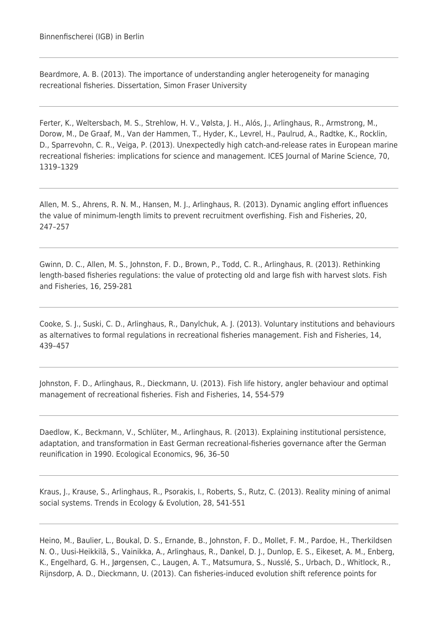Beardmore, A. B. (2013). The importance of understanding angler heterogeneity for managing recreational fisheries. Dissertation, Simon Fraser University

Ferter, K., Weltersbach, M. S., Strehlow, H. V., Vølsta, J. H., Alós, J., Arlinghaus, R., Armstrong, M., Dorow, M., De Graaf, M., Van der Hammen, T., Hyder, K., Levrel, H., Paulrud, A., Radtke, K., Rocklin, D., Sparrevohn, C. R., Veiga, P. (2013). Unexpectedly high catch-and-release rates in European marine recreational fisheries: implications for science and management. ICES Journal of Marine Science, 70, 1319–1329

Allen, M. S., Ahrens, R. N. M., Hansen, M. J., Arlinghaus, R. (2013). Dynamic angling effort influences the value of minimum-length limits to prevent recruitment overfishing. Fish and Fisheries, 20, 247–257

Gwinn, D. C., Allen, M. S., Johnston, F. D., Brown, P., Todd, C. R., Arlinghaus, R. (2013). Rethinking length-based fisheries regulations: the value of protecting old and large fish with harvest slots. Fish and Fisheries, 16, 259-281

Cooke, S. J., Suski, C. D., Arlinghaus, R., Danylchuk, A. J. (2013). Voluntary institutions and behaviours as alternatives to formal regulations in recreational fisheries management. Fish and Fisheries, 14, 439–457

Johnston, F. D., Arlinghaus, R., Dieckmann, U. (2013). Fish life history, angler behaviour and optimal management of recreational fisheries. Fish and Fisheries, 14, 554-579

Daedlow, K., Beckmann, V., Schlüter, M., Arlinghaus, R. (2013). Explaining institutional persistence, adaptation, and transformation in East German recreational-fisheries governance after the German reunification in 1990. Ecological Economics, 96, 36–50

Kraus, J., Krause, S., Arlinghaus, R., Psorakis, I., Roberts, S., Rutz, C. (2013). Reality mining of animal social systems. Trends in Ecology & Evolution, 28, 541-551

Heino, M., Baulier, L., Boukal, D. S., Ernande, B., Johnston, F. D., Mollet, F. M., Pardoe, H., Therkildsen N. O., Uusi-Heikkilä, S., Vainikka, A., Arlinghaus, R., Dankel, D. J., Dunlop, E. S., Eikeset, A. M., Enberg, K., Engelhard, G. H., Jørgensen, C., Laugen, A. T., Matsumura, S., Nusslé, S., Urbach, D., Whitlock, R., Rijnsdorp, A. D., Dieckmann, U. (2013). Can fisheries-induced evolution shift reference points for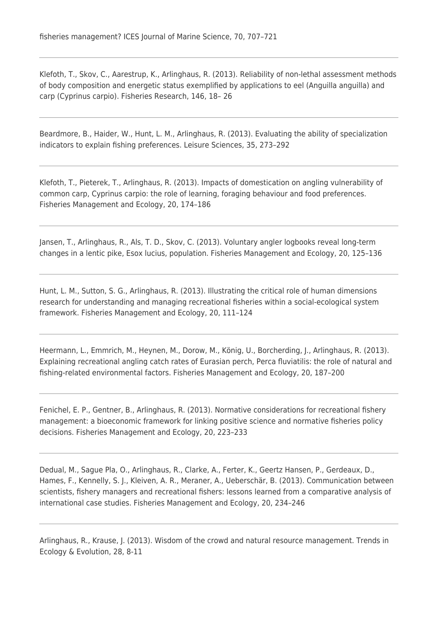Klefoth, T., Skov, C., Aarestrup, K., Arlinghaus, R. (2013). Reliability of non-lethal assessment methods of body composition and energetic status exemplified by applications to eel (Anguilla anguilla) and carp (Cyprinus carpio). Fisheries Research, 146, 18– 26

Beardmore, B., Haider, W., Hunt, L. M., Arlinghaus, R. (2013). Evaluating the ability of specialization indicators to explain fishing preferences. Leisure Sciences, 35, 273–292

Klefoth, T., Pieterek, T., Arlinghaus, R. (2013). Impacts of domestication on angling vulnerability of common carp, Cyprinus carpio: the role of learning, foraging behaviour and food preferences. Fisheries Management and Ecology, 20, 174–186

Jansen, T., Arlinghaus, R., Als, T. D., Skov, C. (2013). Voluntary angler logbooks reveal long-term changes in a lentic pike, Esox lucius, population. Fisheries Management and Ecology, 20, 125–136

Hunt, L. M., Sutton, S. G., Arlinghaus, R. (2013). Illustrating the critical role of human dimensions research for understanding and managing recreational fisheries within a social-ecological system framework. Fisheries Management and Ecology, 20, 111–124

Heermann, L., Emmrich, M., Heynen, M., Dorow, M., König, U., Borcherding, J., Arlinghaus, R. (2013). Explaining recreational angling catch rates of Eurasian perch, Perca fluviatilis: the role of natural and fishing-related environmental factors. Fisheries Management and Ecology, 20, 187–200

Fenichel, E. P., Gentner, B., Arlinghaus, R. (2013). Normative considerations for recreational fishery management: a bioeconomic framework for linking positive science and normative fisheries policy decisions. Fisheries Management and Ecology, 20, 223–233

Dedual, M., Sague Pla, O., Arlinghaus, R., Clarke, A., Ferter, K., Geertz Hansen, P., Gerdeaux, D., Hames, F., Kennelly, S. J., Kleiven, A. R., Meraner, A., Ueberschär, B. (2013). Communication between scientists, fishery managers and recreational fishers: lessons learned from a comparative analysis of international case studies. Fisheries Management and Ecology, 20, 234–246

Arlinghaus, R., Krause, J. (2013). Wisdom of the crowd and natural resource management. Trends in Ecology & Evolution, 28, 8-11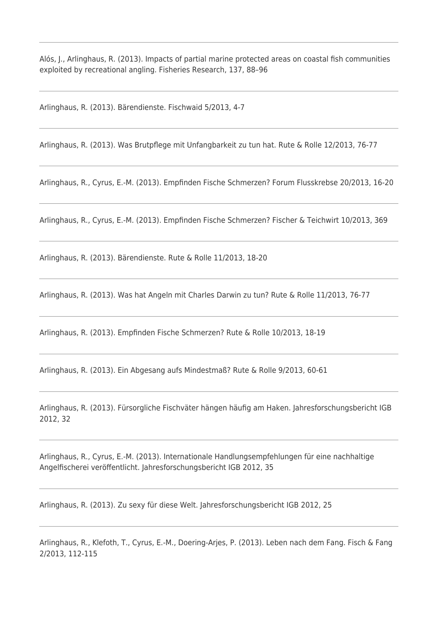Alós, J., Arlinghaus, R. (2013). Impacts of partial marine protected areas on coastal fish communities exploited by recreational angling. Fisheries Research, 137, 88–96

Arlinghaus, R. (2013). Bärendienste. Fischwaid 5/2013, 4-7

Arlinghaus, R. (2013). Was Brutpflege mit Unfangbarkeit zu tun hat. Rute & Rolle 12/2013, 76-77

Arlinghaus, R., Cyrus, E.-M. (2013). Empfinden Fische Schmerzen? Forum Flusskrebse 20/2013, 16-20

Arlinghaus, R., Cyrus, E.-M. (2013). Empfinden Fische Schmerzen? Fischer & Teichwirt 10/2013, 369

Arlinghaus, R. (2013). Bärendienste. Rute & Rolle 11/2013, 18-20

Arlinghaus, R. (2013). Was hat Angeln mit Charles Darwin zu tun? Rute & Rolle 11/2013, 76-77

Arlinghaus, R. (2013). Empfinden Fische Schmerzen? Rute & Rolle 10/2013, 18-19

Arlinghaus, R. (2013). Ein Abgesang aufs Mindestmaß? Rute & Rolle 9/2013, 60-61

Arlinghaus, R. (2013). Fürsorgliche Fischväter hängen häufig am Haken. Jahresforschungsbericht IGB 2012, 32

Arlinghaus, R., Cyrus, E.-M. (2013). Internationale Handlungsempfehlungen für eine nachhaltige Angelfischerei veröffentlicht. Jahresforschungsbericht IGB 2012, 35

Arlinghaus, R. (2013). Zu sexy für diese Welt. Jahresforschungsbericht IGB 2012, 25

Arlinghaus, R., Klefoth, T., Cyrus, E.-M., Doering-Arjes, P. (2013). Leben nach dem Fang. Fisch & Fang 2/2013, 112-115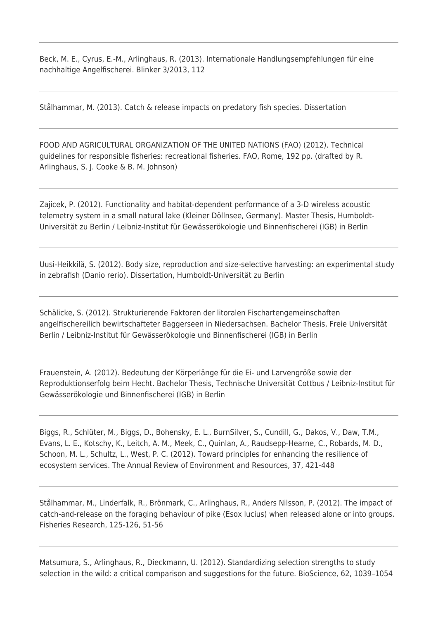Beck, M. E., Cyrus, E.-M., Arlinghaus, R. (2013). Internationale Handlungsempfehlungen für eine nachhaltige Angelfischerei. Blinker 3/2013, 112

Stålhammar, M. (2013). Catch & release impacts on predatory fish species. Dissertation

FOOD AND AGRICULTURAL ORGANIZATION OF THE UNITED NATIONS (FAO) (2012). Technical guidelines for responsible fisheries: recreational fisheries. FAO, Rome, 192 pp. (drafted by R. Arlinghaus, S. J. Cooke & B. M. Johnson)

Zajicek, P. (2012). Functionality and habitat-dependent performance of a 3-D wireless acoustic telemetry system in a small natural lake (Kleiner Döllnsee, Germany). Master Thesis, Humboldt-Universität zu Berlin / Leibniz-Institut für Gewässerökologie und Binnenfischerei (IGB) in Berlin

Uusi-Heikkilä, S. (2012). Body size, reproduction and size-selective harvesting: an experimental study in zebrafish (Danio rerio). Dissertation, Humboldt-Universität zu Berlin

Schälicke, S. (2012). Strukturierende Faktoren der litoralen Fischartengemeinschaften angelfischereilich bewirtschafteter Baggerseen in Niedersachsen. Bachelor Thesis, Freie Universität Berlin / Leibniz-Institut für Gewässerökologie und Binnenfischerei (IGB) in Berlin

Frauenstein, A. (2012). Bedeutung der Körperlänge für die Ei- und Larvengröße sowie der Reproduktionserfolg beim Hecht. Bachelor Thesis, Technische Universität Cottbus / Leibniz-Institut für Gewässerökologie und Binnenfischerei (IGB) in Berlin

Biggs, R., Schlüter, M., Biggs, D., Bohensky, E. L., BurnSilver, S., Cundill, G., Dakos, V., Daw, T.M., Evans, L. E., Kotschy, K., Leitch, A. M., Meek, C., Quinlan, A., Raudsepp-Hearne, C., Robards, M. D., Schoon, M. L., Schultz, L., West, P. C. (2012). Toward principles for enhancing the resilience of ecosystem services. The Annual Review of Environment and Resources, 37, 421-448

Stålhammar, M., Linderfalk, R., Brönmark, C., Arlinghaus, R., Anders Nilsson, P. (2012). The impact of catch-and-release on the foraging behaviour of pike (Esox lucius) when released alone or into groups. Fisheries Research, 125-126, 51-56

Matsumura, S., Arlinghaus, R., Dieckmann, U. (2012). Standardizing selection strengths to study selection in the wild: a critical comparison and suggestions for the future. BioScience, 62, 1039–1054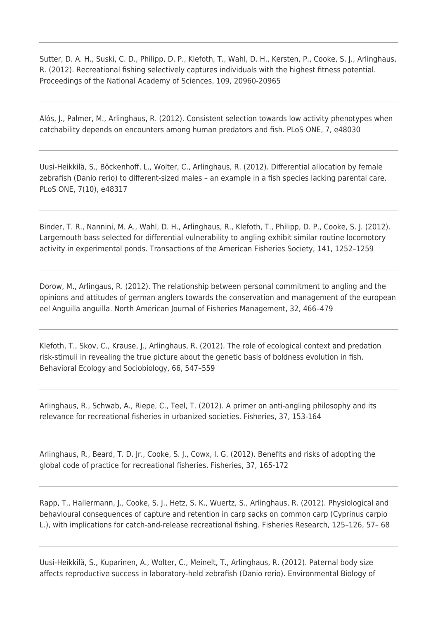Sutter, D. A. H., Suski, C. D., Philipp, D. P., Klefoth, T., Wahl, D. H., Kersten, P., Cooke, S. J., Arlinghaus, R. (2012). Recreational fishing selectively captures individuals with the highest fitness potential. Proceedings of the National Academy of Sciences, 109, 20960-20965

Alós, J., Palmer, M., Arlinghaus, R. (2012). Consistent selection towards low activity phenotypes when catchability depends on encounters among human predators and fish. PLoS ONE, 7, e48030

Uusi-Heikkilä, S., Böckenhoff, L., Wolter, C., Arlinghaus, R. (2012). Differential allocation by female zebrafish (Danio rerio) to different-sized males – an example in a fish species lacking parental care. PLoS ONE, 7(10), e48317

Binder, T. R., Nannini, M. A., Wahl, D. H., Arlinghaus, R., Klefoth, T., Philipp, D. P., Cooke, S. J. (2012). Largemouth bass selected for differential vulnerability to angling exhibit similar routine locomotory activity in experimental ponds. Transactions of the American Fisheries Society, 141, 1252–1259

Dorow, M., Arlingaus, R. (2012). The relationship between personal commitment to angling and the opinions and attitudes of german anglers towards the conservation and management of the european eel Anguilla anguilla. North American Journal of Fisheries Management, 32, 466–479

Klefoth, T., Skov, C., Krause, J., Arlinghaus, R. (2012). The role of ecological context and predation risk-stimuli in revealing the true picture about the genetic basis of boldness evolution in fish. Behavioral Ecology and Sociobiology, 66, 547–559

Arlinghaus, R., Schwab, A., Riepe, C., Teel, T. (2012). A primer on anti-angling philosophy and its relevance for recreational fisheries in urbanized societies. Fisheries, 37, 153-164

Arlinghaus, R., Beard, T. D. Jr., Cooke, S. J., Cowx, I. G. (2012). Benefits and risks of adopting the global code of practice for recreational fisheries. Fisheries, 37, 165-172

Rapp, T., Hallermann, J., Cooke, S. J., Hetz, S. K., Wuertz, S., Arlinghaus, R. (2012). Physiological and behavioural consequences of capture and retention in carp sacks on common carp (Cyprinus carpio L.), with implications for catch-and-release recreational fishing. Fisheries Research, 125–126, 57– 68

Uusi-Heikkilä, S., Kuparinen, A., Wolter, C., Meinelt, T., Arlinghaus, R. (2012). Paternal body size affects reproductive success in laboratory-held zebrafish (Danio rerio). Environmental Biology of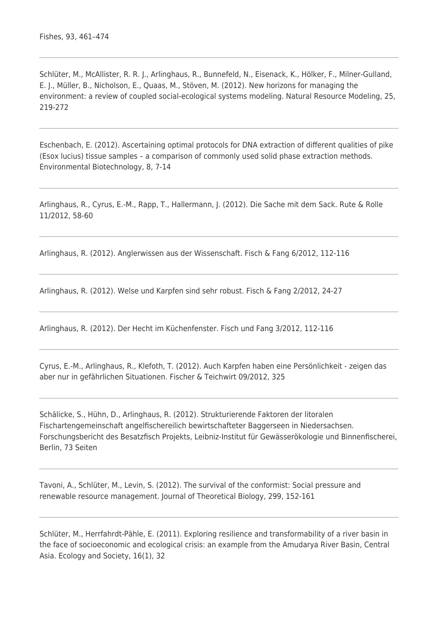Schlüter, M., McAllister, R. R. J., Arlinghaus, R., Bunnefeld, N., Eisenack, K., Hölker, F., Milner-Gulland, E. J., Müller, B., Nicholson, E., Quaas, M., Stöven, M. (2012). New horizons for managing the environment: a review of coupled social-ecological systems modeling. Natural Resource Modeling, 25, 219-272

Eschenbach, E. (2012). Ascertaining optimal protocols for DNA extraction of different qualities of pike (Esox lucius) tissue samples – a comparison of commonly used solid phase extraction methods. Environmental Biotechnology, 8, 7-14

Arlinghaus, R., Cyrus, E.-M., Rapp, T., Hallermann, J. (2012). Die Sache mit dem Sack. Rute & Rolle 11/2012, 58-60

Arlinghaus, R. (2012). Anglerwissen aus der Wissenschaft. Fisch & Fang 6/2012, 112-116

Arlinghaus, R. (2012). Welse und Karpfen sind sehr robust. Fisch & Fang 2/2012, 24-27

Arlinghaus, R. (2012). Der Hecht im Küchenfenster. Fisch und Fang 3/2012, 112-116

Cyrus, E.-M., Arlinghaus, R., Klefoth, T. (2012). Auch Karpfen haben eine Persönlichkeit - zeigen das aber nur in gefährlichen Situationen. Fischer & Teichwirt 09/2012, 325

Schälicke, S., Hühn, D., Arlinghaus, R. (2012). Strukturierende Faktoren der litoralen Fischartengemeinschaft angelfischereilich bewirtschafteter Baggerseen in Niedersachsen. Forschungsbericht des Besatzfisch Projekts, Leibniz-Institut für Gewässerökologie und Binnenfischerei, Berlin, 73 Seiten

Tavoni, A., Schlüter, M., Levin, S. (2012). The survival of the conformist: Social pressure and renewable resource management. Journal of Theoretical Biology, 299, 152-161

Schlüter, M., Herrfahrdt-Pähle, E. (2011). Exploring resilience and transformability of a river basin in the face of socioeconomic and ecological crisis: an example from the Amudarya River Basin, Central Asia. Ecology and Society, 16(1), 32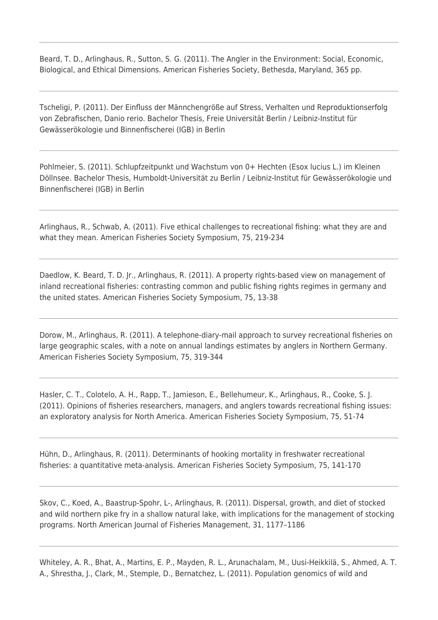Beard, T. D., Arlinghaus, R., Sutton, S. G. (2011). The Angler in the Environment: Social, Economic, Biological, and Ethical Dimensions. American Fisheries Society, Bethesda, Maryland, 365 pp.

Tscheligi, P. (2011). Der Einfluss der Männchengröße auf Stress, Verhalten und Reproduktionserfolg von Zebrafischen, Danio rerio. Bachelor Thesis, Freie Universität Berlin / Leibniz-Institut für Gewässerökologie und Binnenfischerei (IGB) in Berlin

Pohlmeier, S. (2011). Schlupfzeitpunkt und Wachstum von 0+ Hechten (Esox lucius L.) im Kleinen Döllnsee. Bachelor Thesis, Humboldt-Universität zu Berlin / Leibniz-Institut für Gewässerökologie und Binnenfischerei (IGB) in Berlin

Arlinghaus, R., Schwab, A. (2011). Five ethical challenges to recreational fishing: what they are and what they mean. American Fisheries Society Symposium, 75, 219-234

Daedlow, K. Beard, T. D. Jr., Arlinghaus, R. (2011). A property rights-based view on management of inland recreational fisheries: contrasting common and public fishing rights regimes in germany and the united states. American Fisheries Society Symposium, 75, 13-38

Dorow, M., Arlinghaus, R. (2011). A telephone-diary-mail approach to survey recreational fisheries on large geographic scales, with a note on annual landings estimates by anglers in Northern Germany. American Fisheries Society Symposium, 75, 319-344

Hasler, C. T., Colotelo, A. H., Rapp, T., Jamieson, E., Bellehumeur, K., Arlinghaus, R., Cooke, S. J. (2011). Opinions of fisheries researchers, managers, and anglers towards recreational fishing issues: an exploratory analysis for North America. American Fisheries Society Symposium, 75, 51-74

Hühn, D., Arlinghaus, R. (2011). Determinants of hooking mortality in freshwater recreational fisheries: a quantitative meta-analysis. American Fisheries Society Symposium, 75, 141-170

Skov, C., Koed, A., Baastrup-Spohr, L-, Arlinghaus, R. (2011). Dispersal, growth, and diet of stocked and wild northern pike fry in a shallow natural lake, with implications for the management of stocking programs. North American Journal of Fisheries Management, 31, 1177–1186

Whiteley, A. R., Bhat, A., Martins, E. P., Mayden, R. L., Arunachalam, M., Uusi-Heikkilä, S., Ahmed, A. T. A., Shrestha, J., Clark, M., Stemple, D., Bernatchez, L. (2011). Population genomics of wild and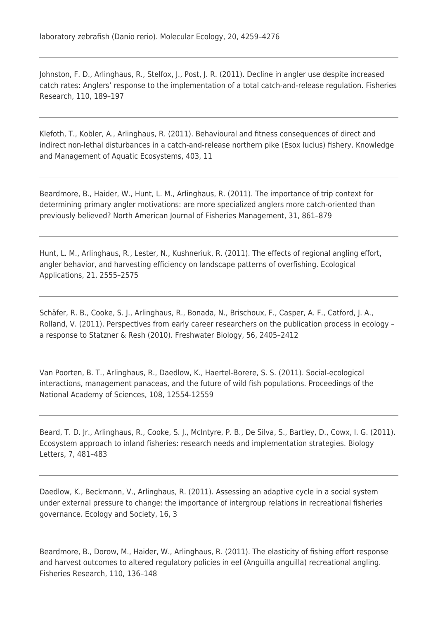Johnston, F. D., Arlinghaus, R., Stelfox, J., Post, J. R. (2011). Decline in angler use despite increased catch rates: Anglers' response to the implementation of a total catch-and-release regulation. Fisheries Research, 110, 189–197

Klefoth, T., Kobler, A., Arlinghaus, R. (2011). Behavioural and fitness consequences of direct and indirect non-lethal disturbances in a catch-and-release northern pike (Esox lucius) fishery. Knowledge and Management of Aquatic Ecosystems, 403, 11

Beardmore, B., Haider, W., Hunt, L. M., Arlinghaus, R. (2011). The importance of trip context for determining primary angler motivations: are more specialized anglers more catch-oriented than previously believed? North American Journal of Fisheries Management, 31, 861–879

Hunt, L. M., Arlinghaus, R., Lester, N., Kushneriuk, R. (2011). The effects of regional angling effort, angler behavior, and harvesting efficiency on landscape patterns of overfishing. Ecological Applications, 21, 2555–2575

Schäfer, R. B., Cooke, S. J., Arlinghaus, R., Bonada, N., Brischoux, F., Casper, A. F., Catford, J. A., Rolland, V. (2011). Perspectives from early career researchers on the publication process in ecology – a response to Statzner & Resh (2010). Freshwater Biology, 56, 2405–2412

Van Poorten, B. T., Arlinghaus, R., Daedlow, K., Haertel-Borere, S. S. (2011). Social-ecological interactions, management panaceas, and the future of wild fish populations. Proceedings of the National Academy of Sciences, 108, 12554-12559

Beard, T. D. Jr., Arlinghaus, R., Cooke, S. J., McIntyre, P. B., De Silva, S., Bartley, D., Cowx, I. G. (2011). Ecosystem approach to inland fisheries: research needs and implementation strategies. Biology Letters, 7, 481–483

Daedlow, K., Beckmann, V., Arlinghaus, R. (2011). Assessing an adaptive cycle in a social system under external pressure to change: the importance of intergroup relations in recreational fisheries governance. Ecology and Society, 16, 3

Beardmore, B., Dorow, M., Haider, W., Arlinghaus, R. (2011). The elasticity of fishing effort response and harvest outcomes to altered regulatory policies in eel (Anguilla anguilla) recreational angling. Fisheries Research, 110, 136–148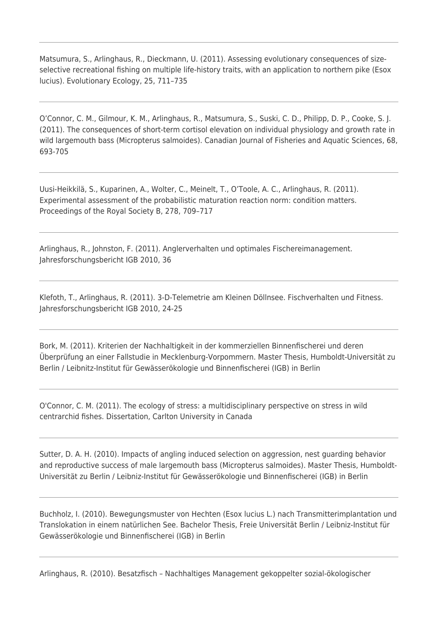Matsumura, S., Arlinghaus, R., Dieckmann, U. (2011). Assessing evolutionary consequences of sizeselective recreational fishing on multiple life-history traits, with an application to northern pike (Esox lucius). Evolutionary Ecology, 25, 711–735

O'Connor, C. M., Gilmour, K. M., Arlinghaus, R., Matsumura, S., Suski, C. D., Philipp, D. P., Cooke, S. J. (2011). The consequences of short-term cortisol elevation on individual physiology and growth rate in wild largemouth bass (Micropterus salmoides). Canadian Journal of Fisheries and Aquatic Sciences, 68, 693-705

Uusi-Heikkilä, S., Kuparinen, A., Wolter, C., Meinelt, T., O'Toole, A. C., Arlinghaus, R. (2011). Experimental assessment of the probabilistic maturation reaction norm: condition matters. Proceedings of the Royal Society B, 278, 709–717

Arlinghaus, R., Johnston, F. (2011). Anglerverhalten und optimales Fischereimanagement. Jahresforschungsbericht IGB 2010, 36

Klefoth, T., Arlinghaus, R. (2011). 3-D-Telemetrie am Kleinen Döllnsee. Fischverhalten und Fitness. Jahresforschungsbericht IGB 2010, 24-25

Bork, M. (2011). Kriterien der Nachhaltigkeit in der kommerziellen Binnenfischerei und deren Überprüfung an einer Fallstudie in Mecklenburg-Vorpommern. Master Thesis, Humboldt-Universität zu Berlin / Leibnitz-Institut für Gewässerökologie und Binnenfischerei (IGB) in Berlin

O'Connor, C. M. (2011). The ecology of stress: a multidisciplinary perspective on stress in wild centrarchid fishes. Dissertation, Carlton University in Canada

Sutter, D. A. H. (2010). Impacts of angling induced selection on aggression, nest guarding behavior and reproductive success of male largemouth bass (Micropterus salmoides). Master Thesis, Humboldt-Universität zu Berlin / Leibniz-Institut für Gewässerökologie und Binnenfischerei (IGB) in Berlin

Buchholz, I. (2010). Bewegungsmuster von Hechten (Esox lucius L.) nach Transmitterimplantation und Translokation in einem natürlichen See. Bachelor Thesis, Freie Universität Berlin / Leibniz-Institut für Gewässerökologie und Binnenfischerei (IGB) in Berlin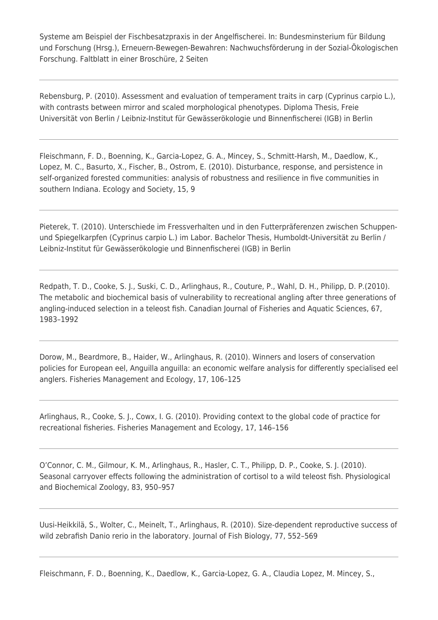Systeme am Beispiel der Fischbesatzpraxis in der Angelfischerei. In: Bundesminsterium für Bildung und Forschung (Hrsg.), Erneuern-Bewegen-Bewahren: Nachwuchsförderung in der Sozial-Ökologischen Forschung. Faltblatt in einer Broschüre, 2 Seiten

Rebensburg, P. (2010). Assessment and evaluation of temperament traits in carp (Cyprinus carpio L.), with contrasts between mirror and scaled morphological phenotypes. Diploma Thesis, Freie Universität von Berlin / Leibniz-Institut für Gewässerökologie und Binnenfischerei (IGB) in Berlin

Fleischmann, F. D., Boenning, K., Garcia-Lopez, G. A., Mincey, S., Schmitt-Harsh, M., Daedlow, K., Lopez, M. C., Basurto, X., Fischer, B., Ostrom, E. (2010). Disturbance, response, and persistence in self-organized forested communities: analysis of robustness and resilience in five communities in southern Indiana. Ecology and Society, 15, 9

Pieterek, T. (2010). Unterschiede im Fressverhalten und in den Futterpräferenzen zwischen Schuppenund Spiegelkarpfen (Cyprinus carpio L.) im Labor. Bachelor Thesis, Humboldt-Universität zu Berlin / Leibniz-Institut für Gewässerökologie und Binnenfischerei (IGB) in Berlin

Redpath, T. D., Cooke, S. J., Suski, C. D., Arlinghaus, R., Couture, P., Wahl, D. H., Philipp, D. P.(2010). The metabolic and biochemical basis of vulnerability to recreational angling after three generations of angling-induced selection in a teleost fish. Canadian Journal of Fisheries and Aquatic Sciences, 67, 1983–1992

Dorow, M., Beardmore, B., Haider, W., Arlinghaus, R. (2010). Winners and losers of conservation policies for European eel, Anguilla anguilla: an economic welfare analysis for differently specialised eel anglers. Fisheries Management and Ecology, 17, 106–125

Arlinghaus, R., Cooke, S. J., Cowx, I. G. (2010). Providing context to the global code of practice for recreational fisheries. Fisheries Management and Ecology, 17, 146–156

O'Connor, C. M., Gilmour, K. M., Arlinghaus, R., Hasler, C. T., Philipp, D. P., Cooke, S. J. (2010). Seasonal carryover effects following the administration of cortisol to a wild teleost fish. Physiological and Biochemical Zoology, 83, 950–957

Uusi-Heikkilä, S., Wolter, C., Meinelt, T., Arlinghaus, R. (2010). Size-dependent reproductive success of wild zebrafish Danio rerio in the laboratory. Journal of Fish Biology, 77, 552–569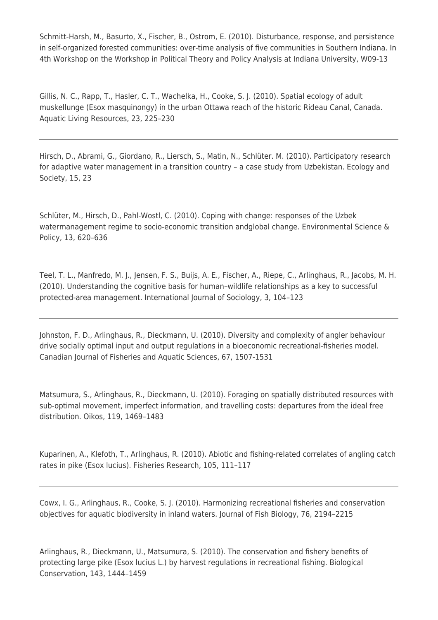Schmitt-Harsh, M., Basurto, X., Fischer, B., Ostrom, E. (2010). Disturbance, response, and persistence in self-organized forested communities: over-time analysis of five communities in Southern Indiana. In 4th Workshop on the Workshop in Political Theory and Policy Analysis at Indiana University, W09-13

Gillis, N. C., Rapp, T., Hasler, C. T., Wachelka, H., Cooke, S. J. (2010). Spatial ecology of adult muskellunge (Esox masquinongy) in the urban Ottawa reach of the historic Rideau Canal, Canada. Aquatic Living Resources, 23, 225–230

Hirsch, D., Abrami, G., Giordano, R., Liersch, S., Matin, N., Schlüter. M. (2010). Participatory research for adaptive water management in a transition country – a case study from Uzbekistan. Ecology and Society, 15, 23

Schlüter, M., Hirsch, D., Pahl-Wostl, C. (2010). Coping with change: responses of the Uzbek watermanagement regime to socio-economic transition andglobal change. Environmental Science & Policy, 13, 620–636

Teel, T. L., Manfredo, M. J., Jensen, F. S., Buijs, A. E., Fischer, A., Riepe, C., Arlinghaus, R., Jacobs, M. H. (2010). Understanding the cognitive basis for human–wildlife relationships as a key to successful protected-area management. International Journal of Sociology, 3, 104–123

Johnston, F. D., Arlinghaus, R., Dieckmann, U. (2010). Diversity and complexity of angler behaviour drive socially optimal input and output regulations in a bioeconomic recreational-fisheries model. Canadian Journal of Fisheries and Aquatic Sciences, 67, 1507-1531

Matsumura, S., Arlinghaus, R., Dieckmann, U. (2010). Foraging on spatially distributed resources with sub-optimal movement, imperfect information, and travelling costs: departures from the ideal free distribution. Oikos, 119, 1469–1483

Kuparinen, A., Klefoth, T., Arlinghaus, R. (2010). Abiotic and fishing-related correlates of angling catch rates in pike (Esox lucius). Fisheries Research, 105, 111–117

Cowx, I. G., Arlinghaus, R., Cooke, S. J. (2010). Harmonizing recreational fisheries and conservation objectives for aquatic biodiversity in inland waters. Journal of Fish Biology, 76, 2194–2215

Arlinghaus, R., Dieckmann, U., Matsumura, S. (2010). The conservation and fishery benefits of protecting large pike (Esox lucius L.) by harvest regulations in recreational fishing. Biological Conservation, 143, 1444–1459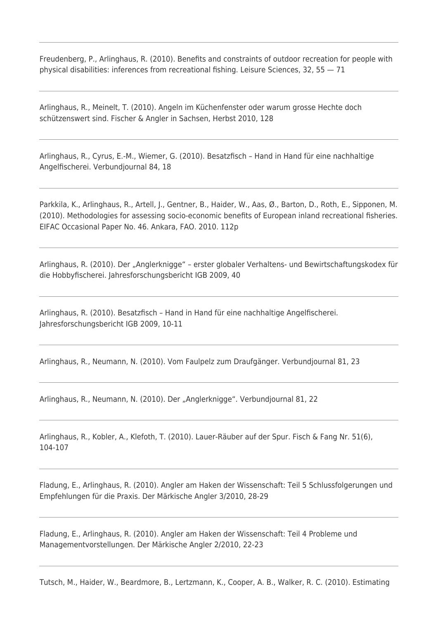Freudenberg, P., Arlinghaus, R. (2010). Benefits and constraints of outdoor recreation for people with physical disabilities: inferences from recreational fishing. Leisure Sciences, 32, 55 — 71

Arlinghaus, R., Meinelt, T. (2010). Angeln im Küchenfenster oder warum grosse Hechte doch schützenswert sind. Fischer & Angler in Sachsen, Herbst 2010, 128

Arlinghaus, R., Cyrus, E.-M., Wiemer, G. (2010). Besatzfisch – Hand in Hand für eine nachhaltige Angelfischerei. Verbundjournal 84, 18

Parkkila, K., Arlinghaus, R., Artell, J., Gentner, B., Haider, W., Aas, Ø., Barton, D., Roth, E., Sipponen, M. (2010). Methodologies for assessing socio-economic benefits of European inland recreational fisheries. EIFAC Occasional Paper No. 46. Ankara, FAO. 2010. 112p

Arlinghaus, R. (2010). Der "Anglerknigge" - erster globaler Verhaltens- und Bewirtschaftungskodex für die Hobbyfischerei. Jahresforschungsbericht IGB 2009, 40

Arlinghaus, R. (2010). Besatzfisch – Hand in Hand für eine nachhaltige Angelfischerei. Jahresforschungsbericht IGB 2009, 10-11

Arlinghaus, R., Neumann, N. (2010). Vom Faulpelz zum Draufgänger. Verbundjournal 81, 23

Arlinghaus, R., Neumann, N. (2010). Der "Anglerknigge". Verbundjournal 81, 22

Arlinghaus, R., Kobler, A., Klefoth, T. (2010). Lauer-Räuber auf der Spur. Fisch & Fang Nr. 51(6), 104-107

Fladung, E., Arlinghaus, R. (2010). Angler am Haken der Wissenschaft: Teil 5 Schlussfolgerungen und Empfehlungen für die Praxis. Der Märkische Angler 3/2010, 28-29

Fladung, E., Arlinghaus, R. (2010). Angler am Haken der Wissenschaft: Teil 4 Probleme und Managementvorstellungen. Der Märkische Angler 2/2010, 22-23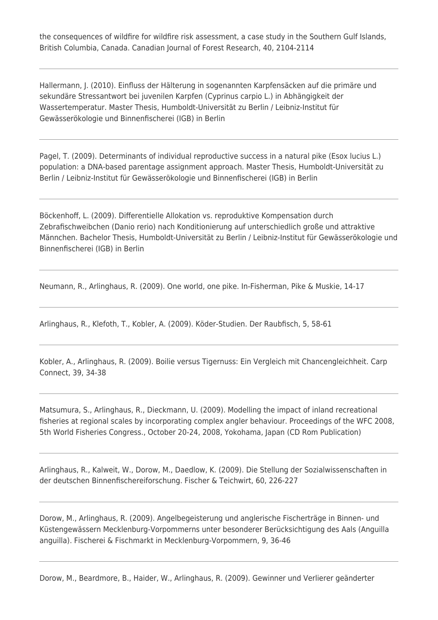the consequences of wildfire for wildfire risk assessment, a case study in the Southern Gulf Islands, British Columbia, Canada. Canadian Journal of Forest Research, 40, 2104-2114

Hallermann, J. (2010). Einfluss der Hälterung in sogenannten Karpfensäcken auf die primäre und sekundäre Stressantwort bei juvenilen Karpfen (Cyprinus carpio L.) in Abhängigkeit der Wassertemperatur. Master Thesis, Humboldt-Universität zu Berlin / Leibniz-Institut für Gewässerökologie und Binnenfischerei (IGB) in Berlin

Pagel, T. (2009). Determinants of individual reproductive success in a natural pike (Esox lucius L.) population: a DNA-based parentage assignment approach. Master Thesis, Humboldt-Universität zu Berlin / Leibniz-Institut für Gewässerökologie und Binnenfischerei (IGB) in Berlin

Böckenhoff, L. (2009). Differentielle Allokation vs. reproduktive Kompensation durch Zebrafischweibchen (Danio rerio) nach Konditionierung auf unterschiedlich große und attraktive Männchen. Bachelor Thesis, Humboldt-Universität zu Berlin / Leibniz-Institut für Gewässerökologie und Binnenfischerei (IGB) in Berlin

Neumann, R., Arlinghaus, R. (2009). One world, one pike. In-Fisherman, Pike & Muskie, 14-17

Arlinghaus, R., Klefoth, T., Kobler, A. (2009). Köder-Studien. Der Raubfisch, 5, 58-61

Kobler, A., Arlinghaus, R. (2009). Boilie versus Tigernuss: Ein Vergleich mit Chancengleichheit. Carp Connect, 39, 34-38

Matsumura, S., Arlinghaus, R., Dieckmann, U. (2009). Modelling the impact of inland recreational fisheries at regional scales by incorporating complex angler behaviour. Proceedings of the WFC 2008, 5th World Fisheries Congress., October 20-24, 2008, Yokohama, Japan (CD Rom Publication)

Arlinghaus, R., Kalweit, W., Dorow, M., Daedlow, K. (2009). Die Stellung der Sozialwissenschaften in der deutschen Binnenfischereiforschung. Fischer & Teichwirt, 60, 226-227

Dorow, M., Arlinghaus, R. (2009). Angelbegeisterung und anglerische Fischerträge in Binnen- und Küstengewässern Mecklenburg-Vorpommerns unter besonderer Berücksichtigung des Aals (Anguilla anguilla). Fischerei & Fischmarkt in Mecklenburg-Vorpommern, 9, 36-46

Dorow, M., Beardmore, B., Haider, W., Arlinghaus, R. (2009). Gewinner und Verlierer geänderter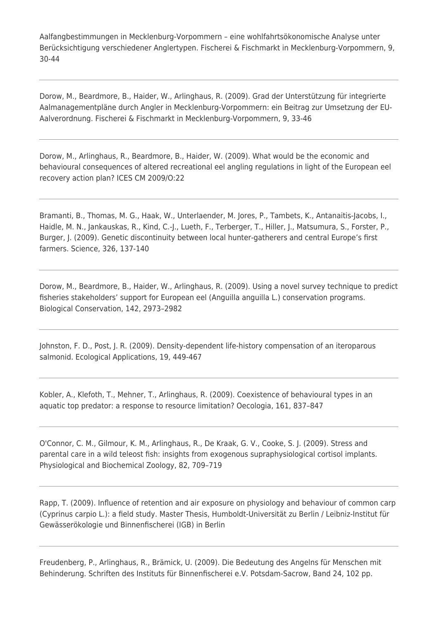Aalfangbestimmungen in Mecklenburg-Vorpommern – eine wohlfahrtsökonomische Analyse unter Berücksichtigung verschiedener Anglertypen. Fischerei & Fischmarkt in Mecklenburg-Vorpommern, 9, 30-44

Dorow, M., Beardmore, B., Haider, W., Arlinghaus, R. (2009). Grad der Unterstützung für integrierte Aalmanagementpläne durch Angler in Mecklenburg-Vorpommern: ein Beitrag zur Umsetzung der EU-Aalverordnung. Fischerei & Fischmarkt in Mecklenburg-Vorpommern, 9, 33-46

Dorow, M., Arlinghaus, R., Beardmore, B., Haider, W. (2009). What would be the economic and behavioural consequences of altered recreational eel angling regulations in light of the European eel recovery action plan? ICES CM 2009/O:22

Bramanti, B., Thomas, M. G., Haak, W., Unterlaender, M. Jores, P., Tambets, K., Antanaitis-Jacobs, I., Haidle, M. N., Jankauskas, R., Kind, C.-J., Lueth, F., Terberger, T., Hiller, J., Matsumura, S., Forster, P., Burger, J. (2009). Genetic discontinuity between local hunter-gatherers and central Europe's first farmers. Science, 326, 137-140

Dorow, M., Beardmore, B., Haider, W., Arlinghaus, R. (2009). Using a novel survey technique to predict fisheries stakeholders' support for European eel (Anguilla anguilla L.) conservation programs. Biological Conservation, 142, 2973–2982

Johnston, F. D., Post, J. R. (2009). Density-dependent life-history compensation of an iteroparous salmonid. Ecological Applications, 19, 449-467

Kobler, A., Klefoth, T., Mehner, T., Arlinghaus, R. (2009). Coexistence of behavioural types in an aquatic top predator: a response to resource limitation? Oecologia, 161, 837–847

O'Connor, C. M., Gilmour, K. M., Arlinghaus, R., De Kraak, G. V., Cooke, S. J. (2009). Stress and parental care in a wild teleost fish: insights from exogenous supraphysiological cortisol implants. Physiological and Biochemical Zoology, 82, 709–719

Rapp, T. (2009). Influence of retention and air exposure on physiology and behaviour of common carp (Cyprinus carpio L.): a field study. Master Thesis, Humboldt-Universität zu Berlin / Leibniz-Institut für Gewässerökologie und Binnenfischerei (IGB) in Berlin

Freudenberg, P., Arlinghaus, R., Brämick, U. (2009). Die Bedeutung des Angelns für Menschen mit Behinderung. Schriften des Instituts für Binnenfischerei e.V. Potsdam-Sacrow, Band 24, 102 pp.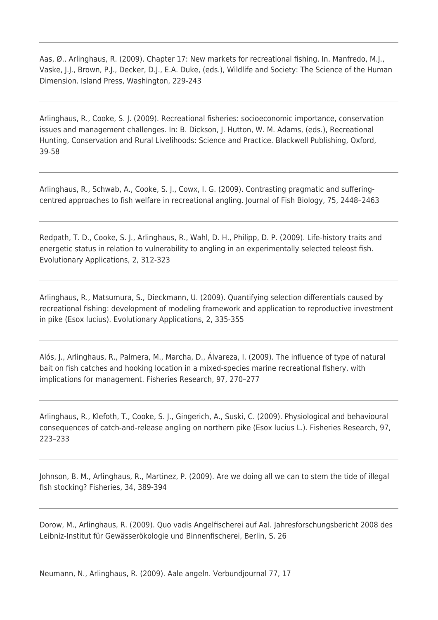Aas, Ø., Arlinghaus, R. (2009). Chapter 17: New markets for recreational fishing. In. Manfredo, M.J., Vaske, J.J., Brown, P.J., Decker, D.J., E.A. Duke, (eds.), Wildlife and Society: The Science of the Human Dimension. Island Press, Washington, 229-243

Arlinghaus, R., Cooke, S. J. (2009). Recreational fisheries: socioeconomic importance, conservation issues and management challenges. In: B. Dickson, J. Hutton, W. M. Adams, (eds.), Recreational Hunting, Conservation and Rural Livelihoods: Science and Practice. Blackwell Publishing, Oxford, 39-58

Arlinghaus, R., Schwab, A., Cooke, S. J., Cowx, I. G. (2009). Contrasting pragmatic and sufferingcentred approaches to fish welfare in recreational angling. Journal of Fish Biology, 75, 2448–2463

Redpath, T. D., Cooke, S. J., Arlinghaus, R., Wahl, D. H., Philipp, D. P. (2009). Life-history traits and energetic status in relation to vulnerability to angling in an experimentally selected teleost fish. Evolutionary Applications, 2, 312-323

Arlinghaus, R., Matsumura, S., Dieckmann, U. (2009). Quantifying selection differentials caused by recreational fishing: development of modeling framework and application to reproductive investment in pike (Esox lucius). Evolutionary Applications, 2, 335-355

Alós, J., Arlinghaus, R., Palmera, M., Marcha, D., Álvareza, I. (2009). The influence of type of natural bait on fish catches and hooking location in a mixed-species marine recreational fishery, with implications for management. Fisheries Research, 97, 270–277

Arlinghaus, R., Klefoth, T., Cooke, S. J., Gingerich, A., Suski, C. (2009). Physiological and behavioural consequences of catch-and-release angling on northern pike (Esox lucius L.). Fisheries Research, 97, 223–233

Johnson, B. M., Arlinghaus, R., Martinez, P. (2009). Are we doing all we can to stem the tide of illegal fish stocking? Fisheries, 34, 389-394

Dorow, M., Arlinghaus, R. (2009). Quo vadis Angelfischerei auf Aal. Jahresforschungsbericht 2008 des Leibniz-Institut für Gewässerökologie und Binnenfischerei, Berlin, S. 26

Neumann, N., Arlinghaus, R. (2009). Aale angeln. Verbundjournal 77, 17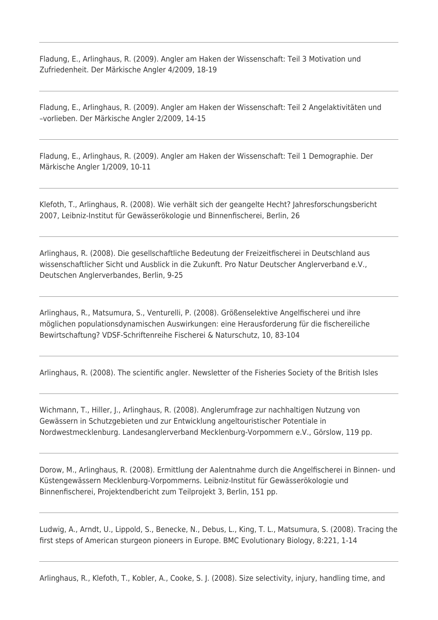Fladung, E., Arlinghaus, R. (2009). Angler am Haken der Wissenschaft: Teil 3 Motivation und Zufriedenheit. Der Märkische Angler 4/2009, 18-19

Fladung, E., Arlinghaus, R. (2009). Angler am Haken der Wissenschaft: Teil 2 Angelaktivitäten und –vorlieben. Der Märkische Angler 2/2009, 14-15

Fladung, E., Arlinghaus, R. (2009). Angler am Haken der Wissenschaft: Teil 1 Demographie. Der Märkische Angler 1/2009, 10-11

Klefoth, T., Arlinghaus, R. (2008). Wie verhält sich der geangelte Hecht? Jahresforschungsbericht 2007, Leibniz-Institut für Gewässerökologie und Binnenfischerei, Berlin, 26

Arlinghaus, R. (2008). Die gesellschaftliche Bedeutung der Freizeitfischerei in Deutschland aus wissenschaftlicher Sicht und Ausblick in die Zukunft. Pro Natur Deutscher Anglerverband e.V., Deutschen Anglerverbandes, Berlin, 9-25

Arlinghaus, R., Matsumura, S., Venturelli, P. (2008). Größenselektive Angelfischerei und ihre möglichen populationsdynamischen Auswirkungen: eine Herausforderung für die fischereiliche Bewirtschaftung? VDSF-Schriftenreihe Fischerei & Naturschutz, 10, 83-104

Arlinghaus, R. (2008). The scientific angler. Newsletter of the Fisheries Society of the British Isles

Wichmann, T., Hiller, J., Arlinghaus, R. (2008). Anglerumfrage zur nachhaltigen Nutzung von Gewässern in Schutzgebieten und zur Entwicklung angeltouristischer Potentiale in Nordwestmecklenburg. Landesanglerverband Mecklenburg-Vorpommern e.V., Görslow, 119 pp.

Dorow, M., Arlinghaus, R. (2008). Ermittlung der Aalentnahme durch die Angelfischerei in Binnen- und Küstengewässern Mecklenburg-Vorpommerns. Leibniz-Institut für Gewässerökologie und Binnenfischerei, Projektendbericht zum Teilprojekt 3, Berlin, 151 pp.

Ludwig, A., Arndt, U., Lippold, S., Benecke, N., Debus, L., King, T. L., Matsumura, S. (2008). Tracing the first steps of American sturgeon pioneers in Europe. BMC Evolutionary Biology, 8:221, 1-14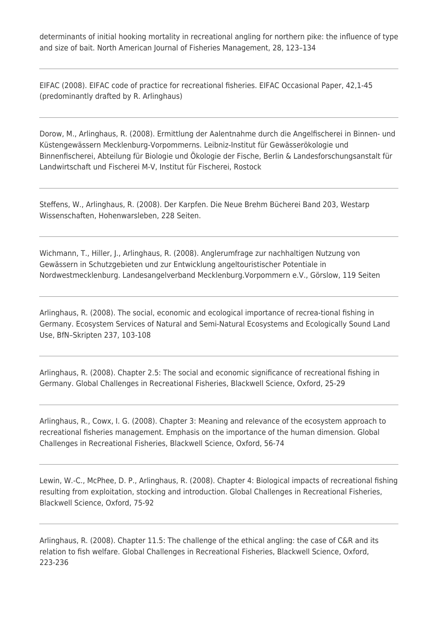determinants of initial hooking mortality in recreational angling for northern pike: the influence of type and size of bait. North American Journal of Fisheries Management, 28, 123–134

EIFAC (2008). EIFAC code of practice for recreational fisheries. EIFAC Occasional Paper, 42,1-45 (predominantly drafted by R. Arlinghaus)

Dorow, M., Arlinghaus, R. (2008). Ermittlung der Aalentnahme durch die Angelfischerei in Binnen- und Küstengewässern Mecklenburg-Vorpommerns. Leibniz-Institut für Gewässerökologie und Binnenfischerei, Abteilung für Biologie und Ökologie der Fische, Berlin & Landesforschungsanstalt für Landwirtschaft und Fischerei M-V, Institut für Fischerei, Rostock

Steffens, W., Arlinghaus, R. (2008). Der Karpfen. Die Neue Brehm Bücherei Band 203, Westarp Wissenschaften, Hohenwarsleben, 228 Seiten.

Wichmann, T., Hiller, J., Arlinghaus, R. (2008). Anglerumfrage zur nachhaltigen Nutzung von Gewässern in Schutzgebieten und zur Entwicklung angeltouristischer Potentiale in Nordwestmecklenburg. Landesangelverband Mecklenburg.Vorpommern e.V., Görslow, 119 Seiten

Arlinghaus, R. (2008). The social, economic and ecological importance of recrea-tional fishing in Germany. Ecosystem Services of Natural and Semi-Natural Ecosystems and Ecologically Sound Land Use, BfN–Skripten 237, 103-108

Arlinghaus, R. (2008). Chapter 2.5: The social and economic significance of recreational fishing in Germany. Global Challenges in Recreational Fisheries, Blackwell Science, Oxford, 25-29

Arlinghaus, R., Cowx, I. G. (2008). Chapter 3: Meaning and relevance of the ecosystem approach to recreational fisheries management. Emphasis on the importance of the human dimension. Global Challenges in Recreational Fisheries, Blackwell Science, Oxford, 56-74

Lewin, W.-C., McPhee, D. P., Arlinghaus, R. (2008). Chapter 4: Biological impacts of recreational fishing resulting from exploitation, stocking and introduction. Global Challenges in Recreational Fisheries, Blackwell Science, Oxford, 75-92

Arlinghaus, R. (2008). Chapter 11.5: The challenge of the ethical angling: the case of C&R and its relation to fish welfare. Global Challenges in Recreational Fisheries, Blackwell Science, Oxford, 223-236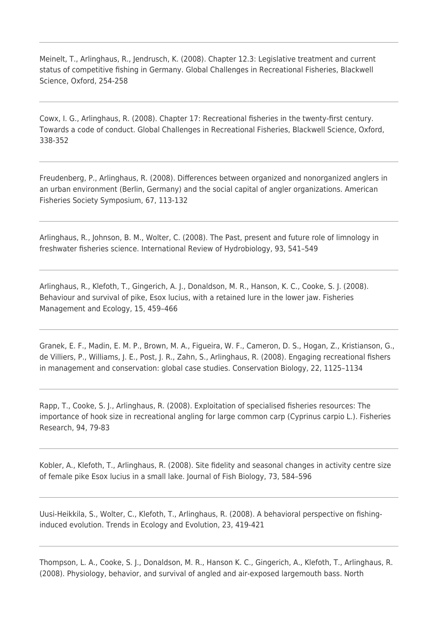Meinelt, T., Arlinghaus, R., Jendrusch, K. (2008). Chapter 12.3: Legislative treatment and current status of competitive fishing in Germany. Global Challenges in Recreational Fisheries, Blackwell Science, Oxford, 254-258

Cowx, I. G., Arlinghaus, R. (2008). Chapter 17: Recreational fisheries in the twenty-first century. Towards a code of conduct. Global Challenges in Recreational Fisheries, Blackwell Science, Oxford, 338-352

Freudenberg, P., Arlinghaus, R. (2008). Differences between organized and nonorganized anglers in an urban environment (Berlin, Germany) and the social capital of angler organizations. American Fisheries Society Symposium, 67, 113-132

Arlinghaus, R., Johnson, B. M., Wolter, C. (2008). The Past, present and future role of limnology in freshwater fisheries science. International Review of Hydrobiology, 93, 541–549

Arlinghaus, R., Klefoth, T., Gingerich, A. J., Donaldson, M. R., Hanson, K. C., Cooke, S. J. (2008). Behaviour and survival of pike, Esox lucius, with a retained lure in the lower jaw. Fisheries Management and Ecology, 15, 459–466

Granek, E. F., Madin, E. M. P., Brown, M. A., Figueira, W. F., Cameron, D. S., Hogan, Z., Kristianson, G., de Villiers, P., Williams, J. E., Post, J. R., Zahn, S., Arlinghaus, R. (2008). Engaging recreational fishers in management and conservation: global case studies. Conservation Biology, 22, 1125–1134

Rapp, T., Cooke, S. J., Arlinghaus, R. (2008). Exploitation of specialised fisheries resources: The importance of hook size in recreational angling for large common carp (Cyprinus carpio L.). Fisheries Research, 94, 79-83

Kobler, A., Klefoth, T., Arlinghaus, R. (2008). Site fidelity and seasonal changes in activity centre size of female pike Esox lucius in a small lake. Journal of Fish Biology, 73, 584–596

Uusi-Heikkila, S., Wolter, C., Klefoth, T., Arlinghaus, R. (2008). A behavioral perspective on fishinginduced evolution. Trends in Ecology and Evolution, 23, 419-421

Thompson, L. A., Cooke, S. J., Donaldson, M. R., Hanson K. C., Gingerich, A., Klefoth, T., Arlinghaus, R. (2008). Physiology, behavior, and survival of angled and air-exposed largemouth bass. North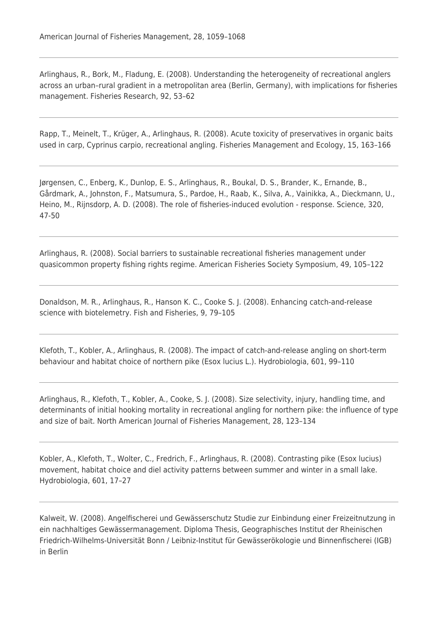Arlinghaus, R., Bork, M., Fladung, E. (2008). Understanding the heterogeneity of recreational anglers across an urban–rural gradient in a metropolitan area (Berlin, Germany), with implications for fisheries management. Fisheries Research, 92, 53–62

Rapp, T., Meinelt, T., Krüger, A., Arlinghaus, R. (2008). Acute toxicity of preservatives in organic baits used in carp, Cyprinus carpio, recreational angling. Fisheries Management and Ecology, 15, 163–166

Jørgensen, C., Enberg, K., Dunlop, E. S., Arlinghaus, R., Boukal, D. S., Brander, K., Ernande, B., Gårdmark, A., Johnston, F., Matsumura, S., Pardoe, H., Raab, K., Silva, A., Vainikka, A., Dieckmann, U., Heino, M., Rijnsdorp, A. D. (2008). The role of fisheries-induced evolution - response. Science, 320, 47-50

Arlinghaus, R. (2008). Social barriers to sustainable recreational fisheries management under quasicommon property fishing rights regime. American Fisheries Society Symposium, 49, 105–122

Donaldson, M. R., Arlinghaus, R., Hanson K. C., Cooke S. J. (2008). Enhancing catch-and-release science with biotelemetry. Fish and Fisheries, 9, 79–105

Klefoth, T., Kobler, A., Arlinghaus, R. (2008). The impact of catch-and-release angling on short-term behaviour and habitat choice of northern pike (Esox lucius L.). Hydrobiologia, 601, 99–110

Arlinghaus, R., Klefoth, T., Kobler, A., Cooke, S. J. (2008). Size selectivity, injury, handling time, and determinants of initial hooking mortality in recreational angling for northern pike: the influence of type and size of bait. North American Journal of Fisheries Management, 28, 123–134

Kobler, A., Klefoth, T., Wolter, C., Fredrich, F., Arlinghaus, R. (2008). Contrasting pike (Esox lucius) movement, habitat choice and diel activity patterns between summer and winter in a small lake. Hydrobiologia, 601, 17–27

Kalweit, W. (2008). Angelfischerei und Gewässerschutz Studie zur Einbindung einer Freizeitnutzung in ein nachhaltiges Gewässermanagement. Diploma Thesis, Geographisches Institut der Rheinischen Friedrich-Wilhelms-Universität Bonn / Leibniz-Institut für Gewässerökologie und Binnenfischerei (IGB) in Berlin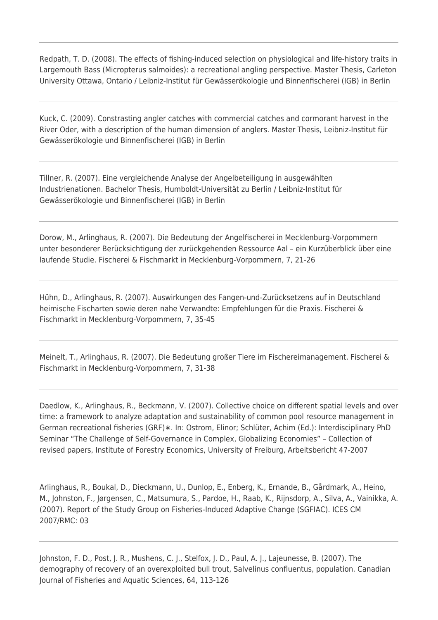Redpath, T. D. (2008). The effects of fishing-induced selection on physiological and life-history traits in Largemouth Bass (Micropterus salmoides): a recreational angling perspective. Master Thesis, Carleton University Ottawa, Ontario / Leibniz-Institut für Gewässerökologie und Binnenfischerei (IGB) in Berlin

Kuck, C. (2009). Constrasting angler catches with commercial catches and cormorant harvest in the River Oder, with a description of the human dimension of anglers. Master Thesis, Leibniz-Institut für Gewässerökologie und Binnenfischerei (IGB) in Berlin

Tillner, R. (2007). Eine vergleichende Analyse der Angelbeteiligung in ausgewählten Industrienationen. Bachelor Thesis, Humboldt-Universität zu Berlin / Leibniz-Institut für Gewässerökologie und Binnenfischerei (IGB) in Berlin

Dorow, M., Arlinghaus, R. (2007). Die Bedeutung der Angelfischerei in Mecklenburg-Vorpommern unter besonderer Berücksichtigung der zurückgehenden Ressource Aal – ein Kurzüberblick über eine laufende Studie. Fischerei & Fischmarkt in Mecklenburg-Vorpommern, 7, 21-26

Hühn, D., Arlinghaus, R. (2007). Auswirkungen des Fangen-und-Zurücksetzens auf in Deutschland heimische Fischarten sowie deren nahe Verwandte: Empfehlungen für die Praxis. Fischerei & Fischmarkt in Mecklenburg-Vorpommern, 7, 35-45

Meinelt, T., Arlinghaus, R. (2007). Die Bedeutung großer Tiere im Fischereimanagement. Fischerei & Fischmarkt in Mecklenburg-Vorpommern, 7, 31-38

Daedlow, K., Arlinghaus, R., Beckmann, V. (2007). Collective choice on different spatial levels and over time: a framework to analyze adaptation and sustainability of common pool resource management in German recreational fisheries (GRF)∗. In: Ostrom, Elinor; Schlüter, Achim (Ed.): Interdisciplinary PhD Seminar "The Challenge of Self-Governance in Complex, Globalizing Economies" – Collection of revised papers, Institute of Forestry Economics, University of Freiburg, Arbeitsbericht 47-2007

Arlinghaus, R., Boukal, D., Dieckmann, U., Dunlop, E., Enberg, K., Ernande, B., Gårdmark, A., Heino, M., Johnston, F., Jørgensen, C., Matsumura, S., Pardoe, H., Raab, K., Rijnsdorp, A., Silva, A., Vainikka, A. (2007). Report of the Study Group on Fisheries-Induced Adaptive Change (SGFIAC). ICES CM 2007/RMC: 03

Johnston, F. D., Post, J. R., Mushens, C. J., Stelfox, J. D., Paul, A. J., Lajeunesse, B. (2007). The demography of recovery of an overexploited bull trout, Salvelinus confluentus, population. Canadian Journal of Fisheries and Aquatic Sciences, 64, 113-126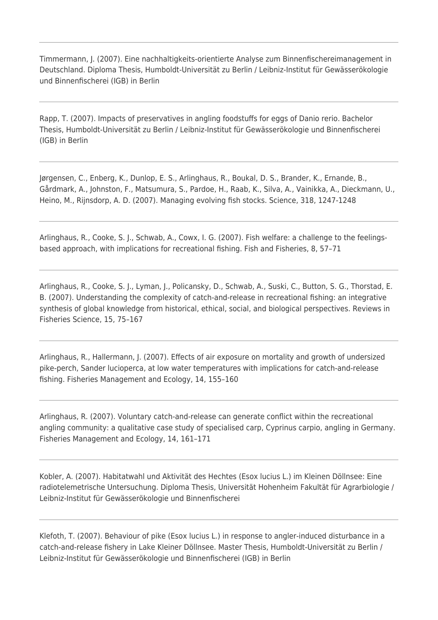Timmermann, J. (2007). Eine nachhaltigkeits-orientierte Analyse zum Binnenfischereimanagement in Deutschland. Diploma Thesis, Humboldt-Universität zu Berlin / Leibniz-Institut für Gewässerökologie und Binnenfischerei (IGB) in Berlin

Rapp, T. (2007). Impacts of preservatives in angling foodstuffs for eggs of Danio rerio. Bachelor Thesis, Humboldt-Universität zu Berlin / Leibniz-Institut für Gewässerökologie und Binnenfischerei (IGB) in Berlin

Jørgensen, C., Enberg, K., Dunlop, E. S., Arlinghaus, R., Boukal, D. S., Brander, K., Ernande, B., Gårdmark, A., Johnston, F., Matsumura, S., Pardoe, H., Raab, K., Silva, A., Vainikka, A., Dieckmann, U., Heino, M., Rijnsdorp, A. D. (2007). Managing evolving fish stocks. Science, 318, 1247-1248

Arlinghaus, R., Cooke, S. J., Schwab, A., Cowx, I. G. (2007). Fish welfare: a challenge to the feelingsbased approach, with implications for recreational fishing. Fish and Fisheries, 8, 57–71

Arlinghaus, R., Cooke, S. J., Lyman, J., Policansky, D., Schwab, A., Suski, C., Button, S. G., Thorstad, E. B. (2007). Understanding the complexity of catch-and-release in recreational fishing: an integrative synthesis of global knowledge from historical, ethical, social, and biological perspectives. Reviews in Fisheries Science, 15, 75–167

Arlinghaus, R., Hallermann, J. (2007). Effects of air exposure on mortality and growth of undersized pike-perch, Sander lucioperca, at low water temperatures with implications for catch-and-release fishing. Fisheries Management and Ecology, 14, 155–160

Arlinghaus, R. (2007). Voluntary catch-and-release can generate conflict within the recreational angling community: a qualitative case study of specialised carp, Cyprinus carpio, angling in Germany. Fisheries Management and Ecology, 14, 161–171

Kobler, A. (2007). Habitatwahl und Aktivität des Hechtes (Esox lucius L.) im Kleinen Döllnsee: Eine radiotelemetrische Untersuchung. Diploma Thesis, Universität Hohenheim Fakultät für Agrarbiologie / Leibniz-Institut für Gewässerökologie und Binnenfischerei

Klefoth, T. (2007). Behaviour of pike (Esox lucius L.) in response to angler-induced disturbance in a catch-and-release fishery in Lake Kleiner Döllnsee. Master Thesis, Humboldt-Universität zu Berlin / Leibniz-Institut für Gewässerökologie und Binnenfischerei (IGB) in Berlin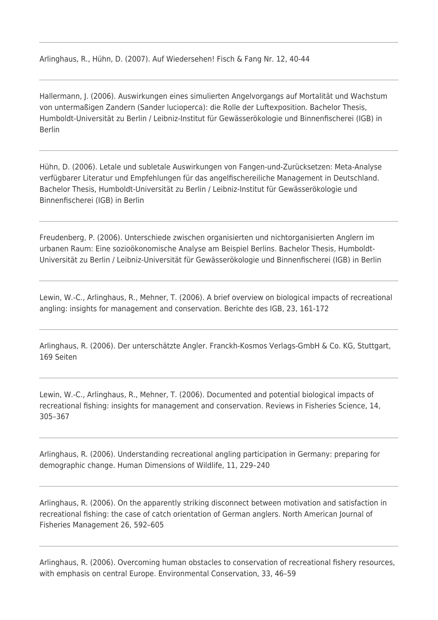Arlinghaus, R., Hühn, D. (2007). Auf Wiedersehen! Fisch & Fang Nr. 12, 40-44

Hallermann, J. (2006). Auswirkungen eines simulierten Angelvorgangs auf Mortalität und Wachstum von untermaßigen Zandern (Sander lucioperca): die Rolle der Luftexposition. Bachelor Thesis, Humboldt-Universität zu Berlin / Leibniz-Institut für Gewässerökologie und Binnenfischerei (IGB) in Berlin

Hühn, D. (2006). Letale und subletale Auswirkungen von Fangen-und-Zurücksetzen: Meta-Analyse verfügbarer Literatur und Empfehlungen für das angelfischereiliche Management in Deutschland. Bachelor Thesis, Humboldt-Universität zu Berlin / Leibniz-Institut für Gewässerökologie und Binnenfischerei (IGB) in Berlin

Freudenberg, P. (2006). Unterschiede zwischen organisierten und nichtorganisierten Anglern im urbanen Raum: Eine sozioökonomische Analyse am Beispiel Berlins. Bachelor Thesis, Humboldt-Universität zu Berlin / Leibniz-Universität für Gewässerökologie und Binnenfischerei (IGB) in Berlin

Lewin, W.-C., Arlinghaus, R., Mehner, T. (2006). A brief overview on biological impacts of recreational angling: insights for management and conservation. Berichte des IGB, 23, 161-172

Arlinghaus, R. (2006). Der unterschätzte Angler. Franckh-Kosmos Verlags-GmbH & Co. KG, Stuttgart, 169 Seiten

Lewin, W.-C., Arlinghaus, R., Mehner, T. (2006). Documented and potential biological impacts of recreational fishing: insights for management and conservation. Reviews in Fisheries Science, 14, 305–367

Arlinghaus, R. (2006). Understanding recreational angling participation in Germany: preparing for demographic change. Human Dimensions of Wildlife, 11, 229–240

Arlinghaus, R. (2006). On the apparently striking disconnect between motivation and satisfaction in recreational fishing: the case of catch orientation of German anglers. North American Journal of Fisheries Management 26, 592–605

Arlinghaus, R. (2006). Overcoming human obstacles to conservation of recreational fishery resources, with emphasis on central Europe. Environmental Conservation, 33, 46–59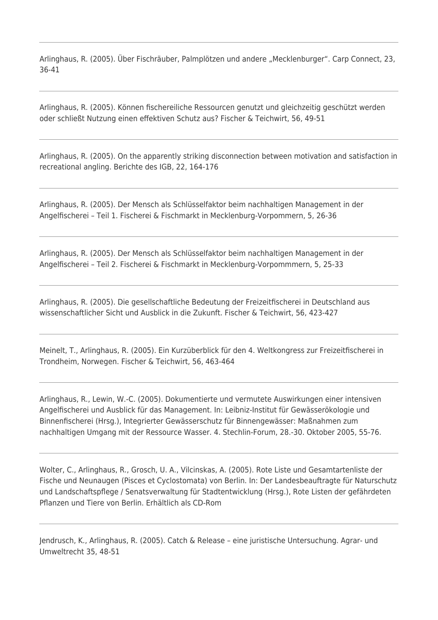Arlinghaus, R. (2005). Über Fischräuber, Palmplötzen und andere "Mecklenburger". Carp Connect, 23, 36-41

Arlinghaus, R. (2005). Können fischereiliche Ressourcen genutzt und gleichzeitig geschützt werden oder schließt Nutzung einen effektiven Schutz aus? Fischer & Teichwirt, 56, 49-51

Arlinghaus, R. (2005). On the apparently striking disconnection between motivation and satisfaction in recreational angling. Berichte des IGB, 22, 164-176

Arlinghaus, R. (2005). Der Mensch als Schlüsselfaktor beim nachhaltigen Management in der Angelfischerei – Teil 1. Fischerei & Fischmarkt in Mecklenburg-Vorpommern, 5, 26-36

Arlinghaus, R. (2005). Der Mensch als Schlüsselfaktor beim nachhaltigen Management in der Angelfischerei – Teil 2. Fischerei & Fischmarkt in Mecklenburg-Vorpommmern, 5, 25-33

Arlinghaus, R. (2005). Die gesellschaftliche Bedeutung der Freizeitfischerei in Deutschland aus wissenschaftlicher Sicht und Ausblick in die Zukunft. Fischer & Teichwirt, 56, 423-427

Meinelt, T., Arlinghaus, R. (2005). Ein Kurzüberblick für den 4. Weltkongress zur Freizeitfischerei in Trondheim, Norwegen. Fischer & Teichwirt, 56, 463-464

Arlinghaus, R., Lewin, W.-C. (2005). Dokumentierte und vermutete Auswirkungen einer intensiven Angelfischerei und Ausblick für das Management. In: Leibniz-Institut für Gewässerökologie und Binnenfischerei (Hrsg.), Integrierter Gewässerschutz für Binnengewässer: Maßnahmen zum nachhaltigen Umgang mit der Ressource Wasser. 4. Stechlin-Forum, 28.-30. Oktober 2005, 55-76.

Wolter, C., Arlinghaus, R., Grosch, U. A., Vilcinskas, A. (2005). Rote Liste und Gesamtartenliste der Fische und Neunaugen (Pisces et Cyclostomata) von Berlin. In: Der Landesbeauftragte für Naturschutz und Landschaftspflege / Senatsverwaltung für Stadtentwicklung (Hrsg.), Rote Listen der gefährdeten Pflanzen und Tiere von Berlin. Erhältlich als CD-Rom

Jendrusch, K., Arlinghaus, R. (2005). Catch & Release – eine juristische Untersuchung. Agrar- und Umweltrecht 35, 48-51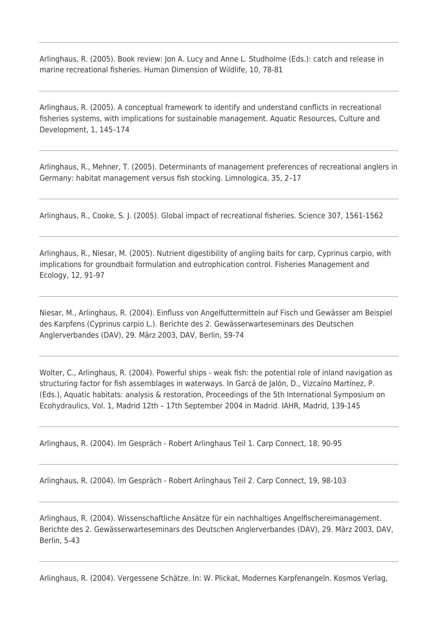Arlinghaus, R. (2005). Book review: Jon A. Lucy and Anne L. Studholme (Eds.): catch and release in marine recreational fisheries. Human Dimension of Wildlife, 10, 78-81

Arlinghaus, R. (2005). A conceptual framework to identify and understand conflicts in recreational fisheries systems, with implications for sustainable management. Aquatic Resources, Culture and Development, 1, 145–174

Arlinghaus, R., Mehner, T. (2005). Determinants of management preferences of recreational anglers in Germany: habitat management versus fish stocking. Limnologica, 35, 2–17

Arlinghaus, R., Cooke, S. J. (2005). Global impact of recreational fisheries. Science 307, 1561-1562

Arlinghaus, R., Niesar, M. (2005). Nutrient digestibility of angling baits for carp, Cyprinus carpio, with implications for groundbait formulation and eutrophication control. Fisheries Management and Ecology, 12, 91-97

Niesar, M., Arlinghaus, R. (2004). Einfluss von Angelfuttermitteln auf Fisch und Gewässer am Beispiel des Karpfens (Cyprinus carpio L.). Berichte des 2. Gewässerwarteseminars des Deutschen Anglerverbandes (DAV), 29. März 2003, DAV, Berlin, 59-74

Wolter, C., Arlinghaus, R. (2004). Powerful ships - weak fish: the potential role of inland navigation as structuring factor for fish assemblages in waterways. In Garcá de Jalón, D., Vizcaíno Martínez, P. (Eds.), Aquatic habitats: analysis & restoration, Proceedings of the 5th International Symposium on Ecohydraulics, Vol. 1, Madrid 12th – 17th September 2004 in Madrid. IAHR, Madrid, 139-145

Arlinghaus, R. (2004). Im Gespräch - Robert Arlinghaus Teil 1. Carp Connect, 18, 90-95

Arlinghaus, R. (2004). Im Gespräch - Robert Arlinghaus Teil 2. Carp Connect, 19, 98-103

Arlinghaus, R. (2004). Wissenschaftliche Ansätze für ein nachhaltiges Angelfischereimanagement. Berichte des 2. Gewässerwarteseminars des Deutschen Anglerverbandes (DAV), 29. März 2003, DAV, Berlin, 5-43

Arlinghaus, R. (2004). Vergessene Schätze. In: W. Plickat, Modernes Karpfenangeln. Kosmos Verlag,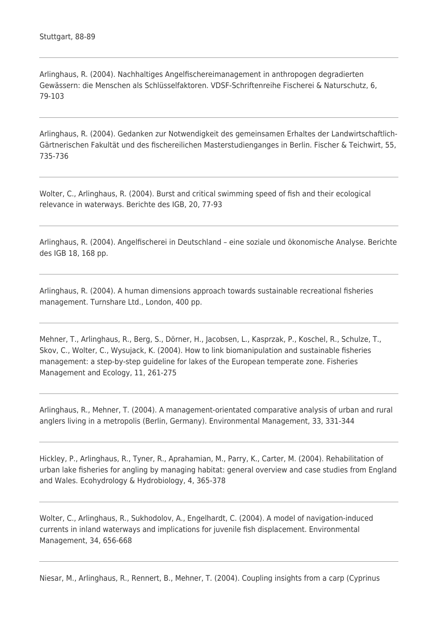Arlinghaus, R. (2004). Nachhaltiges Angelfischereimanagement in anthropogen degradierten Gewässern: die Menschen als Schlüsselfaktoren. VDSF-Schriftenreihe Fischerei & Naturschutz, 6, 79-103

Arlinghaus, R. (2004). Gedanken zur Notwendigkeit des gemeinsamen Erhaltes der Landwirtschaftlich-Gärtnerischen Fakultät und des fischereilichen Masterstudienganges in Berlin. Fischer & Teichwirt, 55, 735-736

Wolter, C., Arlinghaus, R. (2004). Burst and critical swimming speed of fish and their ecological relevance in waterways. Berichte des IGB, 20, 77-93

Arlinghaus, R. (2004). Angelfischerei in Deutschland – eine soziale und ökonomische Analyse. Berichte des IGB 18, 168 pp.

Arlinghaus, R. (2004). A human dimensions approach towards sustainable recreational fisheries management. Turnshare Ltd., London, 400 pp.

Mehner, T., Arlinghaus, R., Berg, S., Dörner, H., Jacobsen, L., Kasprzak, P., Koschel, R., Schulze, T., Skov, C., Wolter, C., Wysujack, K. (2004). How to link biomanipulation and sustainable fisheries management: a step-by-step guideline for lakes of the European temperate zone. Fisheries Management and Ecology, 11, 261-275

Arlinghaus, R., Mehner, T. (2004). A management-orientated comparative analysis of urban and rural anglers living in a metropolis (Berlin, Germany). Environmental Management, 33, 331-344

Hickley, P., Arlinghaus, R., Tyner, R., Aprahamian, M., Parry, K., Carter, M. (2004). Rehabilitation of urban lake fisheries for angling by managing habitat: general overview and case studies from England and Wales. Ecohydrology & Hydrobiology, 4, 365-378

Wolter, C., Arlinghaus, R., Sukhodolov, A., Engelhardt, C. (2004). A model of navigation-induced currents in inland waterways and implications for juvenile fish displacement. Environmental Management, 34, 656-668

Niesar, M., Arlinghaus, R., Rennert, B., Mehner, T. (2004). Coupling insights from a carp (Cyprinus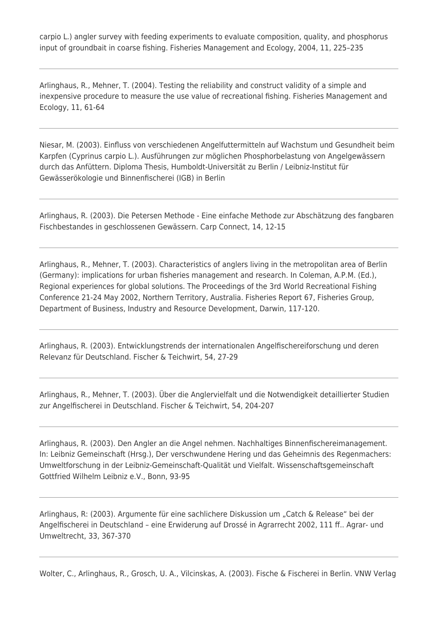carpio L.) angler survey with feeding experiments to evaluate composition, quality, and phosphorus input of groundbait in coarse fishing. Fisheries Management and Ecology, 2004, 11, 225–235

Arlinghaus, R., Mehner, T. (2004). Testing the reliability and construct validity of a simple and inexpensive procedure to measure the use value of recreational fishing. Fisheries Management and Ecology, 11, 61-64

Niesar, M. (2003). Einfluss von verschiedenen Angelfuttermitteln auf Wachstum und Gesundheit beim Karpfen (Cyprinus carpio L.). Ausführungen zur möglichen Phosphorbelastung von Angelgewässern durch das Anfüttern. Diploma Thesis, Humboldt-Universität zu Berlin / Leibniz-Institut für Gewässerökologie und Binnenfischerei (IGB) in Berlin

Arlinghaus, R. (2003). Die Petersen Methode - Eine einfache Methode zur Abschätzung des fangbaren Fischbestandes in geschlossenen Gewässern. Carp Connect, 14, 12-15

Arlinghaus, R., Mehner, T. (2003). Characteristics of anglers living in the metropolitan area of Berlin (Germany): implications for urban fisheries management and research. In Coleman, A.P.M. (Ed.), Regional experiences for global solutions. The Proceedings of the 3rd World Recreational Fishing Conference 21-24 May 2002, Northern Territory, Australia. Fisheries Report 67, Fisheries Group, Department of Business, Industry and Resource Development, Darwin, 117-120.

Arlinghaus, R. (2003). Entwicklungstrends der internationalen Angelfischereiforschung und deren Relevanz für Deutschland. Fischer & Teichwirt, 54, 27-29

Arlinghaus, R., Mehner, T. (2003). Über die Anglervielfalt und die Notwendigkeit detaillierter Studien zur Angelfischerei in Deutschland. Fischer & Teichwirt, 54, 204-207

Arlinghaus, R. (2003). Den Angler an die Angel nehmen. Nachhaltiges Binnenfischereimanagement. In: Leibniz Gemeinschaft (Hrsg.), Der verschwundene Hering und das Geheimnis des Regenmachers: Umweltforschung in der Leibniz-Gemeinschaft-Qualität und Vielfalt. Wissenschaftsgemeinschaft Gottfried Wilhelm Leibniz e.V., Bonn, 93-95

Arlinghaus, R: (2003). Argumente für eine sachlichere Diskussion um "Catch & Release" bei der Angelfischerei in Deutschland – eine Erwiderung auf Drossé in Agrarrecht 2002, 111 ff.. Agrar- und Umweltrecht, 33, 367-370

Wolter, C., Arlinghaus, R., Grosch, U. A., Vilcinskas, A. (2003). Fische & Fischerei in Berlin. VNW Verlag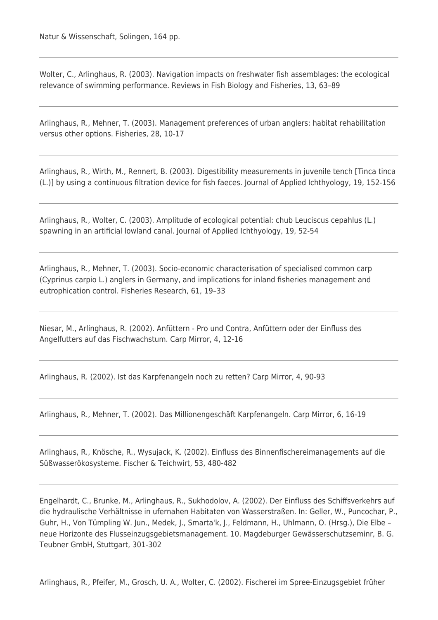Wolter, C., Arlinghaus, R. (2003). Navigation impacts on freshwater fish assemblages: the ecological relevance of swimming performance. Reviews in Fish Biology and Fisheries, 13, 63–89

Arlinghaus, R., Mehner, T. (2003). Management preferences of urban anglers: habitat rehabilitation versus other options. Fisheries, 28, 10-17

Arlinghaus, R., Wirth, M., Rennert, B. (2003). Digestibility measurements in juvenile tench [Tinca tinca (L.)] by using a continuous filtration device for fish faeces. Journal of Applied Ichthyology, 19, 152-156

Arlinghaus, R., Wolter, C. (2003). Amplitude of ecological potential: chub Leuciscus cepahlus (L.) spawning in an artificial lowland canal. Journal of Applied Ichthyology, 19, 52-54

Arlinghaus, R., Mehner, T. (2003). Socio-economic characterisation of specialised common carp (Cyprinus carpio L.) anglers in Germany, and implications for inland fisheries management and eutrophication control. Fisheries Research, 61, 19–33

Niesar, M., Arlinghaus, R. (2002). Anfüttern - Pro und Contra, Anfüttern oder der Einfluss des Angelfutters auf das Fischwachstum. Carp Mirror, 4, 12-16

Arlinghaus, R. (2002). Ist das Karpfenangeln noch zu retten? Carp Mirror, 4, 90-93

Arlinghaus, R., Mehner, T. (2002). Das Millionengeschäft Karpfenangeln. Carp Mirror, 6, 16-19

Arlinghaus, R., Knösche, R., Wysujack, K. (2002). Einfluss des Binnenfischereimanagements auf die Süßwasserökosysteme. Fischer & Teichwirt, 53, 480-482

Engelhardt, C., Brunke, M., Arlinghaus, R., Sukhodolov, A. (2002). Der Einfluss des Schiffsverkehrs auf die hydraulische Verhältnisse in ufernahen Habitaten von Wasserstraßen. In: Geller, W., Puncochar, P., Guhr, H., Von Tümpling W. Jun., Medek, J., Smarta'k, J., Feldmann, H., Uhlmann, O. (Hrsg.), Die Elbe – neue Horizonte des Flusseinzugsgebietsmanagement. 10. Magdeburger Gewässerschutzseminr, B. G. Teubner GmbH, Stuttgart, 301-302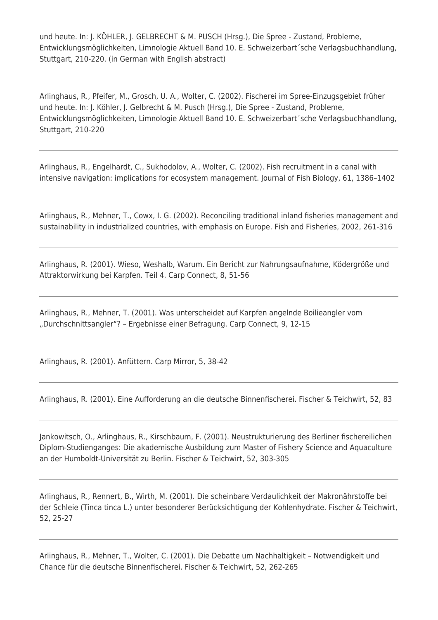und heute. In: J. KÖHLER, J. GELBRECHT & M. PUSCH (Hrsg.), Die Spree - Zustand, Probleme, Entwicklungsmöglichkeiten, Limnologie Aktuell Band 10. E. Schweizerbart´sche Verlagsbuchhandlung, Stuttgart, 210-220. (in German with English abstract)

Arlinghaus, R., Pfeifer, M., Grosch, U. A., Wolter, C. (2002). Fischerei im Spree-Einzugsgebiet früher und heute. In: J. Köhler, J. Gelbrecht & M. Pusch (Hrsg.), Die Spree - Zustand, Probleme, Entwicklungsmöglichkeiten, Limnologie Aktuell Band 10. E. Schweizerbart´sche Verlagsbuchhandlung, Stuttgart, 210-220

Arlinghaus, R., Engelhardt, C., Sukhodolov, A., Wolter, C. (2002). Fish recruitment in a canal with intensive navigation: implications for ecosystem management. Journal of Fish Biology, 61, 1386–1402

Arlinghaus, R., Mehner, T., Cowx, I. G. (2002). Reconciling traditional inland fisheries management and sustainability in industrialized countries, with emphasis on Europe. Fish and Fisheries, 2002, 261-316

Arlinghaus, R. (2001). Wieso, Weshalb, Warum. Ein Bericht zur Nahrungsaufnahme, Ködergröße und Attraktorwirkung bei Karpfen. Teil 4. Carp Connect, 8, 51-56

Arlinghaus, R., Mehner, T. (2001). Was unterscheidet auf Karpfen angelnde Boilieangler vom "Durchschnittsangler"? – Ergebnisse einer Befragung. Carp Connect, 9, 12-15

Arlinghaus, R. (2001). Anfüttern. Carp Mirror, 5, 38-42

Arlinghaus, R. (2001). Eine Aufforderung an die deutsche Binnenfischerei. Fischer & Teichwirt, 52, 83

Jankowitsch, O., Arlinghaus, R., Kirschbaum, F. (2001). Neustrukturierung des Berliner fischereilichen Diplom-Studienganges: Die akademische Ausbildung zum Master of Fishery Science and Aquaculture an der Humboldt-Universität zu Berlin. Fischer & Teichwirt, 52, 303-305

Arlinghaus, R., Rennert, B., Wirth, M. (2001). Die scheinbare Verdaulichkeit der Makronährstoffe bei der Schleie (Tinca tinca L.) unter besonderer Berücksichtigung der Kohlenhydrate. Fischer & Teichwirt, 52, 25-27

Arlinghaus, R., Mehner, T., Wolter, C. (2001). Die Debatte um Nachhaltigkeit – Notwendigkeit und Chance für die deutsche Binnenfischerei. Fischer & Teichwirt, 52, 262-265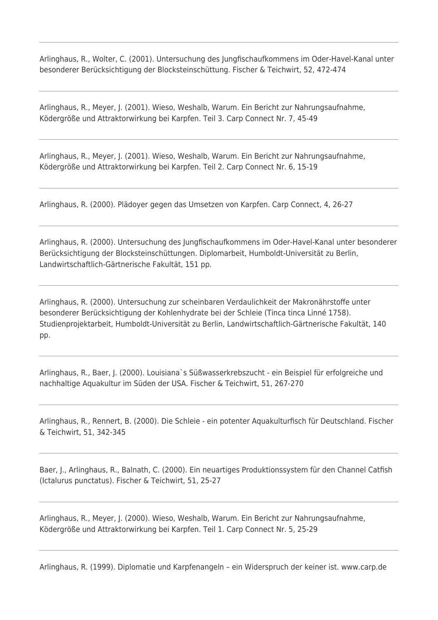Arlinghaus, R., Wolter, C. (2001). Untersuchung des Jungfischaufkommens im Oder-Havel-Kanal unter besonderer Berücksichtigung der Blocksteinschüttung. Fischer & Teichwirt, 52, 472-474

Arlinghaus, R., Meyer, J. (2001). Wieso, Weshalb, Warum. Ein Bericht zur Nahrungsaufnahme, Ködergröße und Attraktorwirkung bei Karpfen. Teil 3. Carp Connect Nr. 7, 45-49

Arlinghaus, R., Meyer, J. (2001). Wieso, Weshalb, Warum. Ein Bericht zur Nahrungsaufnahme, Ködergröße und Attraktorwirkung bei Karpfen. Teil 2. Carp Connect Nr. 6, 15-19

Arlinghaus, R. (2000). Plädoyer gegen das Umsetzen von Karpfen. Carp Connect, 4, 26-27

Arlinghaus, R. (2000). Untersuchung des Jungfischaufkommens im Oder-Havel-Kanal unter besonderer Berücksichtigung der Blocksteinschüttungen. Diplomarbeit, Humboldt-Universität zu Berlin, Landwirtschaftlich-Gärtnerische Fakultät, 151 pp.

Arlinghaus, R. (2000). Untersuchung zur scheinbaren Verdaulichkeit der Makronährstoffe unter besonderer Berücksichtigung der Kohlenhydrate bei der Schleie (Tinca tinca Linné 1758). Studienprojektarbeit, Humboldt-Universität zu Berlin, Landwirtschaftlich-Gärtnerische Fakultät, 140 pp.

Arlinghaus, R., Baer, J. (2000). Louisiana`s Süßwasserkrebszucht - ein Beispiel für erfolgreiche und nachhaltige Aquakultur im Süden der USA. Fischer & Teichwirt, 51, 267-270

Arlinghaus, R., Rennert, B. (2000). Die Schleie - ein potenter Aquakulturfisch für Deutschland. Fischer & Teichwirt, 51, 342-345

Baer, J., Arlinghaus, R., Balnath, C. (2000). Ein neuartiges Produktionssystem für den Channel Catfish (Ictalurus punctatus). Fischer & Teichwirt, 51, 25-27

Arlinghaus, R., Meyer, J. (2000). Wieso, Weshalb, Warum. Ein Bericht zur Nahrungsaufnahme, Ködergröße und Attraktorwirkung bei Karpfen. Teil 1. Carp Connect Nr. 5, 25-29

Arlinghaus, R. (1999). Diplomatie und Karpfenangeln – ein Widerspruch der keiner ist. www.carp.de